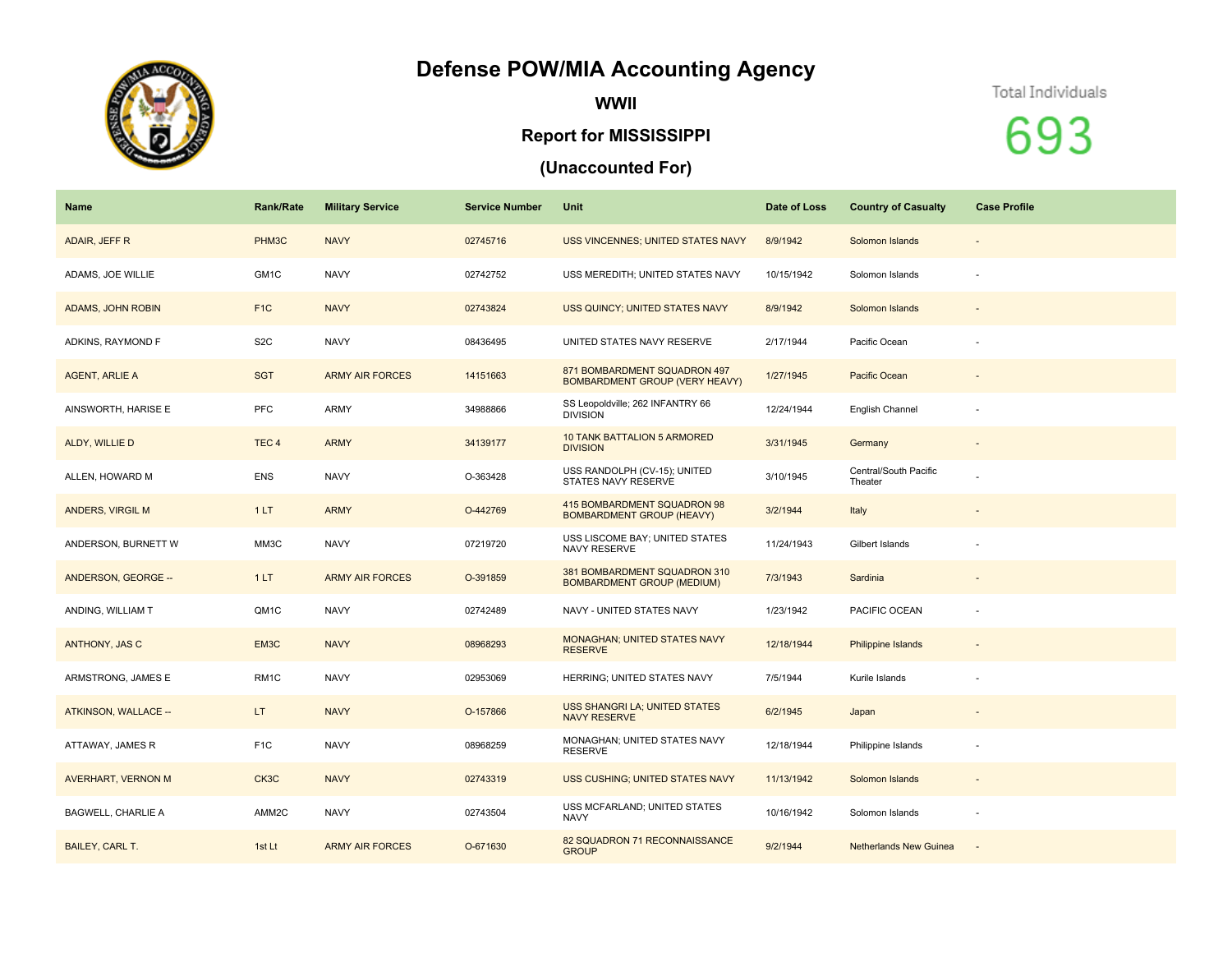## **Defense POW/MIA Accounting Agency**



**WWII**

## **Report for MISSISSIPPI**

## **(Unaccounted For)**

Total Individuals

693

| <b>Name</b>               | <b>Rank/Rate</b> | <b>Military Service</b> | <b>Service Number</b> | Unit                                                              | Date of Loss | <b>Country of Casualty</b>       | <b>Case Profile</b>          |
|---------------------------|------------------|-------------------------|-----------------------|-------------------------------------------------------------------|--------------|----------------------------------|------------------------------|
| ADAIR, JEFF R             | PHM3C            | <b>NAVY</b>             | 02745716              | USS VINCENNES; UNITED STATES NAVY                                 | 8/9/1942     | Solomon Islands                  | $\qquad \qquad \blacksquare$ |
| ADAMS, JOE WILLIE         | GM1C             | <b>NAVY</b>             | 02742752              | USS MEREDITH; UNITED STATES NAVY                                  | 10/15/1942   | Solomon Islands                  | $\sim$                       |
| ADAMS, JOHN ROBIN         | F <sub>1C</sub>  | <b>NAVY</b>             | 02743824              | USS QUINCY; UNITED STATES NAVY                                    | 8/9/1942     | Solomon Islands                  |                              |
| ADKINS, RAYMOND F         | S <sub>2</sub> C | <b>NAVY</b>             | 08436495              | UNITED STATES NAVY RESERVE                                        | 2/17/1944    | Pacific Ocean                    |                              |
| <b>AGENT, ARLIE A</b>     | <b>SGT</b>       | <b>ARMY AIR FORCES</b>  | 14151663              | 871 BOMBARDMENT SQUADRON 497<br>BOMBARDMENT GROUP (VERY HEAVY)    | 1/27/1945    | Pacific Ocean                    |                              |
| AINSWORTH, HARISE E       | PFC              | ARMY                    | 34988866              | SS Leopoldville; 262 INFANTRY 66<br><b>DIVISION</b>               | 12/24/1944   | English Channel                  | $\sim$                       |
| ALDY, WILLIE D            | TEC <sub>4</sub> | <b>ARMY</b>             | 34139177              | <b>10 TANK BATTALION 5 ARMORED</b><br><b>DIVISION</b>             | 3/31/1945    | Germany                          |                              |
| ALLEN, HOWARD M           | <b>ENS</b>       | <b>NAVY</b>             | O-363428              | USS RANDOLPH (CV-15); UNITED<br>STATES NAVY RESERVE               | 3/10/1945    | Central/South Pacific<br>Theater |                              |
| <b>ANDERS, VIRGIL M</b>   | 1LT              | <b>ARMY</b>             | O-442769              | 415 BOMBARDMENT SQUADRON 98<br><b>BOMBARDMENT GROUP (HEAVY)</b>   | 3/2/1944     | Italy                            |                              |
| ANDERSON, BURNETT W       | MM3C             | <b>NAVY</b>             | 07219720              | USS LISCOME BAY; UNITED STATES<br>NAVY RESERVE                    | 11/24/1943   | Gilbert Islands                  |                              |
| ANDERSON, GEORGE --       | 1LT              | <b>ARMY AIR FORCES</b>  | O-391859              | 381 BOMBARDMENT SQUADRON 310<br><b>BOMBARDMENT GROUP (MEDIUM)</b> | 7/3/1943     | Sardinia                         |                              |
| ANDING, WILLIAM T         | QM1C             | <b>NAVY</b>             | 02742489              | NAVY - UNITED STATES NAVY                                         | 1/23/1942    | PACIFIC OCEAN                    |                              |
| ANTHONY, JAS C            | EM3C             | <b>NAVY</b>             | 08968293              | <b>MONAGHAN; UNITED STATES NAVY</b><br><b>RESERVE</b>             | 12/18/1944   | Philippine Islands               |                              |
| ARMSTRONG, JAMES E        | RM <sub>1C</sub> | <b>NAVY</b>             | 02953069              | HERRING; UNITED STATES NAVY                                       | 7/5/1944     | Kurile Islands                   |                              |
| ATKINSON, WALLACE --      | LT.              | <b>NAVY</b>             | O-157866              | USS SHANGRI LA; UNITED STATES<br><b>NAVY RESERVE</b>              | 6/2/1945     | Japan                            |                              |
| ATTAWAY, JAMES R          | F <sub>1</sub> C | <b>NAVY</b>             | 08968259              | MONAGHAN; UNITED STATES NAVY<br>RESERVE                           | 12/18/1944   | Philippine Islands               |                              |
| AVERHART, VERNON M        | CK3C             | <b>NAVY</b>             | 02743319              | USS CUSHING; UNITED STATES NAVY                                   | 11/13/1942   | Solomon Islands                  | $\qquad \qquad \blacksquare$ |
| <b>BAGWELL, CHARLIE A</b> | AMM2C            | <b>NAVY</b>             | 02743504              | USS MCFARLAND; UNITED STATES<br><b>NAVY</b>                       | 10/16/1942   | Solomon Islands                  | ٠                            |
| <b>BAILEY, CARL T.</b>    | 1st Lt           | <b>ARMY AIR FORCES</b>  | O-671630              | 82 SQUADRON 71 RECONNAISSANCE<br><b>GROUP</b>                     | 9/2/1944     | <b>Netherlands New Guinea</b>    | $\sim$                       |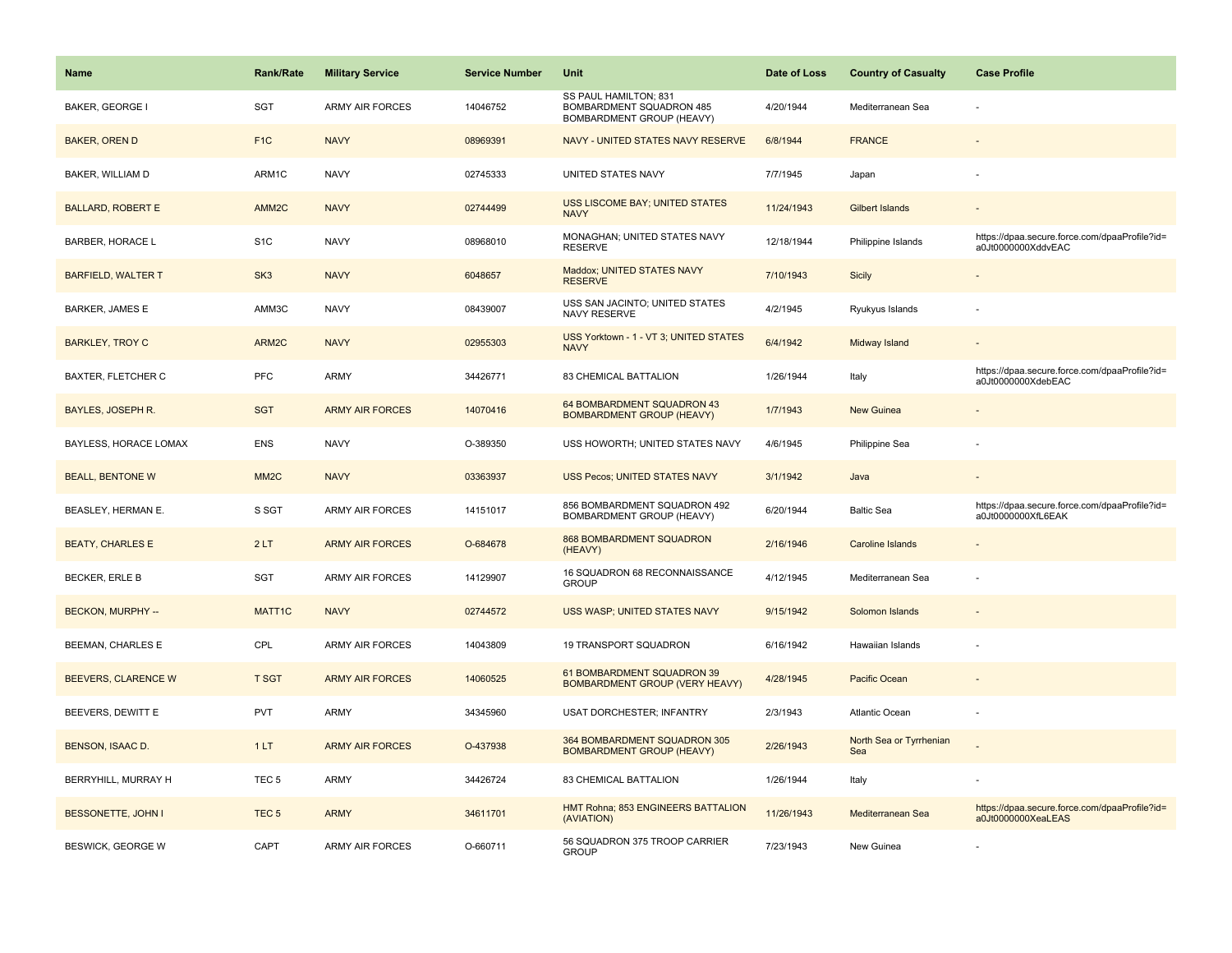| Name                      | <b>Rank/Rate</b>  | <b>Military Service</b> | <b>Service Number</b> | Unit                                                                           | Date of Loss | <b>Country of Casualty</b>     | <b>Case Profile</b>                                                 |
|---------------------------|-------------------|-------------------------|-----------------------|--------------------------------------------------------------------------------|--------------|--------------------------------|---------------------------------------------------------------------|
| <b>BAKER, GEORGE</b>      | SGT               | <b>ARMY AIR FORCES</b>  | 14046752              | SS PAUL HAMILTON; 831<br>BOMBARDMENT SQUADRON 485<br>BOMBARDMENT GROUP (HEAVY) | 4/20/1944    | Mediterranean Sea              |                                                                     |
| <b>BAKER, OREN D</b>      | F <sub>1C</sub>   | <b>NAVY</b>             | 08969391              | NAVY - UNITED STATES NAVY RESERVE                                              | 6/8/1944     | <b>FRANCE</b>                  |                                                                     |
| BAKER, WILLIAM D          | ARM1C             | <b>NAVY</b>             | 02745333              | UNITED STATES NAVY                                                             | 7/7/1945     | Japan                          |                                                                     |
| <b>BALLARD, ROBERT E</b>  | AMM2C             | <b>NAVY</b>             | 02744499              | USS LISCOME BAY; UNITED STATES<br><b>NAVY</b>                                  | 11/24/1943   | <b>Gilbert Islands</b>         |                                                                     |
| <b>BARBER, HORACE L</b>   | S <sub>1</sub> C  | <b>NAVY</b>             | 08968010              | MONAGHAN; UNITED STATES NAVY<br><b>RESERVE</b>                                 | 12/18/1944   | Philippine Islands             | https://dpaa.secure.force.com/dpaaProfile?id=<br>a0Jt0000000XddvEAC |
| <b>BARFIELD, WALTER T</b> | SK <sub>3</sub>   | <b>NAVY</b>             | 6048657               | Maddox; UNITED STATES NAVY<br><b>RESERVE</b>                                   | 7/10/1943    | <b>Sicily</b>                  | $\overline{\phantom{a}}$                                            |
| <b>BARKER, JAMES E</b>    | AMM3C             | <b>NAVY</b>             | 08439007              | USS SAN JACINTO; UNITED STATES<br>NAVY RESERVE                                 | 4/2/1945     | Ryukyus Islands                |                                                                     |
| <b>BARKLEY, TROY C</b>    | ARM2C             | <b>NAVY</b>             | 02955303              | USS Yorktown - 1 - VT 3; UNITED STATES<br><b>NAVY</b>                          | 6/4/1942     | Midway Island                  |                                                                     |
| BAXTER, FLETCHER C        | PFC               | ARMY                    | 34426771              | 83 CHEMICAL BATTALION                                                          | 1/26/1944    | Italy                          | https://dpaa.secure.force.com/dpaaProfile?id=<br>a0Jt0000000XdebEAC |
| BAYLES, JOSEPH R.         | <b>SGT</b>        | <b>ARMY AIR FORCES</b>  | 14070416              | 64 BOMBARDMENT SQUADRON 43<br><b>BOMBARDMENT GROUP (HEAVY)</b>                 | 1/7/1943     | <b>New Guinea</b>              |                                                                     |
| BAYLESS, HORACE LOMAX     | <b>ENS</b>        | <b>NAVY</b>             | O-389350              | USS HOWORTH; UNITED STATES NAVY                                                | 4/6/1945     | Philippine Sea                 |                                                                     |
| <b>BEALL, BENTONE W</b>   | MM <sub>2</sub> C | <b>NAVY</b>             | 03363937              | USS Pecos; UNITED STATES NAVY                                                  | 3/1/1942     | Java                           |                                                                     |
| BEASLEY, HERMAN E.        | S SGT             | <b>ARMY AIR FORCES</b>  | 14151017              | 856 BOMBARDMENT SQUADRON 492<br>BOMBARDMENT GROUP (HEAVY)                      | 6/20/1944    | <b>Baltic Sea</b>              | https://dpaa.secure.force.com/dpaaProfile?id=<br>a0Jt0000000XfL6EAK |
| <b>BEATY, CHARLES E</b>   | 2LT               | <b>ARMY AIR FORCES</b>  | O-684678              | 868 BOMBARDMENT SQUADRON<br>(HEAVY)                                            | 2/16/1946    | <b>Caroline Islands</b>        |                                                                     |
| <b>BECKER, ERLE B</b>     | <b>SGT</b>        | <b>ARMY AIR FORCES</b>  | 14129907              | 16 SQUADRON 68 RECONNAISSANCE<br><b>GROUP</b>                                  | 4/12/1945    | Mediterranean Sea              |                                                                     |
| BECKON, MURPHY --         | MATT1C            | <b>NAVY</b>             | 02744572              | USS WASP; UNITED STATES NAVY                                                   | 9/15/1942    | Solomon Islands                |                                                                     |
| BEEMAN, CHARLES E         | CPL               | <b>ARMY AIR FORCES</b>  | 14043809              | 19 TRANSPORT SQUADRON                                                          | 6/16/1942    | Hawaiian Islands               |                                                                     |
| BEEVERS, CLARENCE W       | <b>T SGT</b>      | <b>ARMY AIR FORCES</b>  | 14060525              | 61 BOMBARDMENT SQUADRON 39<br><b>BOMBARDMENT GROUP (VERY HEAVY)</b>            | 4/28/1945    | Pacific Ocean                  |                                                                     |
| BEEVERS, DEWITT E         | <b>PVT</b>        | <b>ARMY</b>             | 34345960              | USAT DORCHESTER; INFANTRY                                                      | 2/3/1943     | Atlantic Ocean                 | $\sim$                                                              |
| BENSON, ISAAC D.          | 1LT               | <b>ARMY AIR FORCES</b>  | O-437938              | 364 BOMBARDMENT SQUADRON 305<br><b>BOMBARDMENT GROUP (HEAVY)</b>               | 2/26/1943    | North Sea or Tyrrhenian<br>Sea |                                                                     |
| BERRYHILL, MURRAY H       | TEC <sub>5</sub>  | <b>ARMY</b>             | 34426724              | 83 CHEMICAL BATTALION                                                          | 1/26/1944    | Italy                          |                                                                     |
| <b>BESSONETTE, JOHN I</b> | TEC <sub>5</sub>  | <b>ARMY</b>             | 34611701              | HMT Rohna; 853 ENGINEERS BATTALION<br>(AVIATION)                               | 11/26/1943   | Mediterranean Sea              | https://dpaa.secure.force.com/dpaaProfile?id=<br>a0Jt0000000XeaLEAS |
| <b>BESWICK, GEORGE W</b>  | CAPT              | <b>ARMY AIR FORCES</b>  | O-660711              | 56 SQUADRON 375 TROOP CARRIER<br><b>GROUP</b>                                  | 7/23/1943    | New Guinea                     |                                                                     |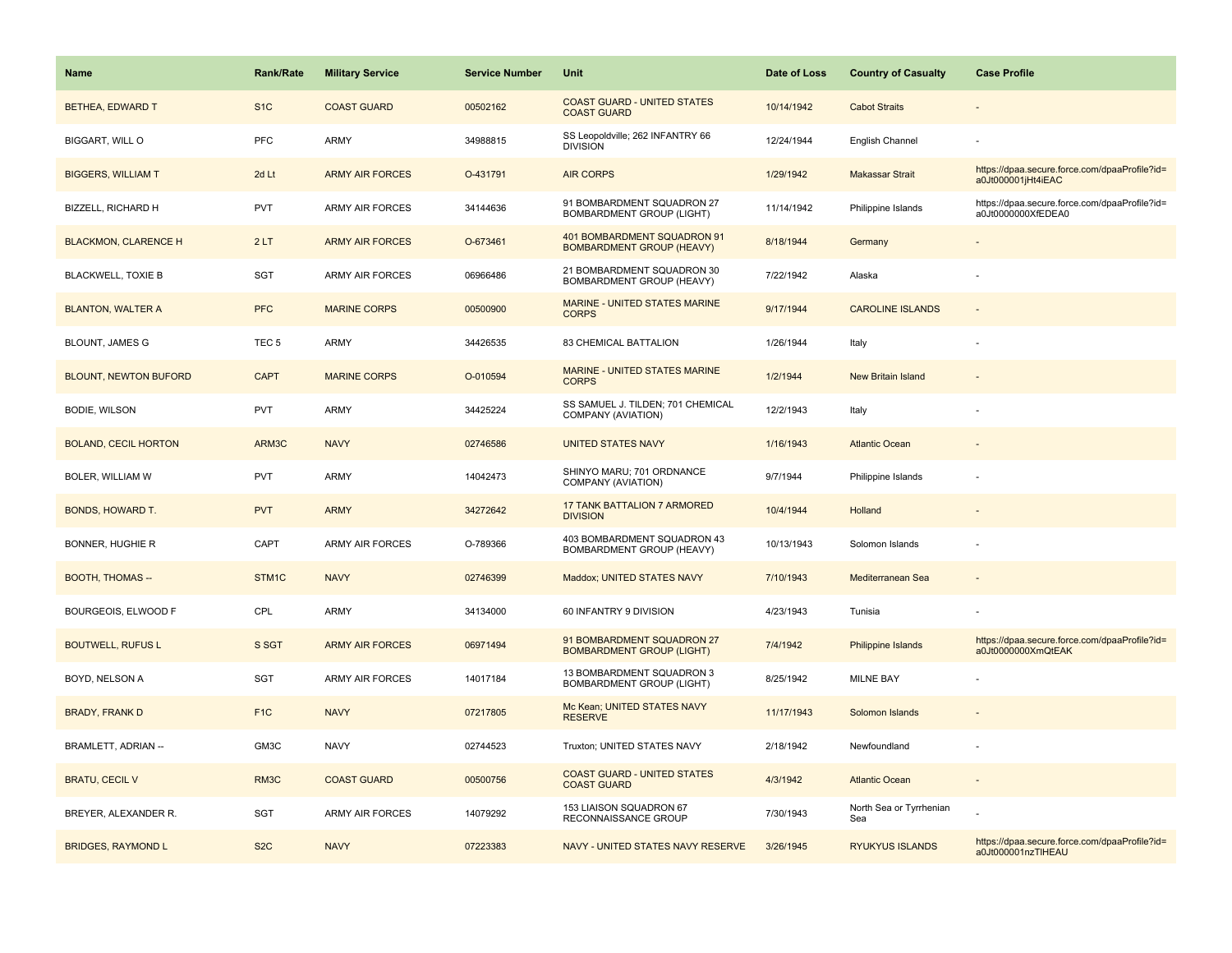| <b>Name</b>                  | <b>Rank/Rate</b>  | <b>Military Service</b> | <b>Service Number</b> | Unit                                                            | Date of Loss | <b>Country of Casualty</b>     | <b>Case Profile</b>                                                 |
|------------------------------|-------------------|-------------------------|-----------------------|-----------------------------------------------------------------|--------------|--------------------------------|---------------------------------------------------------------------|
| BETHEA, EDWARD T             | S <sub>1</sub> C  | <b>COAST GUARD</b>      | 00502162              | <b>COAST GUARD - UNITED STATES</b><br><b>COAST GUARD</b>        | 10/14/1942   | <b>Cabot Straits</b>           |                                                                     |
| BIGGART, WILL O              | PFC               | ARMY                    | 34988815              | SS Leopoldville; 262 INFANTRY 66<br><b>DIVISION</b>             | 12/24/1944   | English Channel                |                                                                     |
| <b>BIGGERS, WILLIAM T</b>    | 2d Lt             | <b>ARMY AIR FORCES</b>  | O-431791              | <b>AIR CORPS</b>                                                | 1/29/1942    | <b>Makassar Strait</b>         | https://dpaa.secure.force.com/dpaaProfile?id=<br>a0Jt000001jHt4iEAC |
| BIZZELL, RICHARD H           | <b>PVT</b>        | <b>ARMY AIR FORCES</b>  | 34144636              | 91 BOMBARDMENT SQUADRON 27<br><b>BOMBARDMENT GROUP (LIGHT)</b>  | 11/14/1942   | Philippine Islands             | https://dpaa.secure.force.com/dpaaProfile?id=<br>a0Jt0000000XfEDEA0 |
| <b>BLACKMON, CLARENCE H</b>  | 2LT               | <b>ARMY AIR FORCES</b>  | O-673461              | 401 BOMBARDMENT SQUADRON 91<br><b>BOMBARDMENT GROUP (HEAVY)</b> | 8/18/1944    | Germany                        |                                                                     |
| <b>BLACKWELL, TOXIE B</b>    | SGT               | <b>ARMY AIR FORCES</b>  | 06966486              | 21 BOMBARDMENT SQUADRON 30<br>BOMBARDMENT GROUP (HEAVY)         | 7/22/1942    | Alaska                         |                                                                     |
| <b>BLANTON, WALTER A</b>     | <b>PFC</b>        | <b>MARINE CORPS</b>     | 00500900              | MARINE - UNITED STATES MARINE<br><b>CORPS</b>                   | 9/17/1944    | <b>CAROLINE ISLANDS</b>        |                                                                     |
| <b>BLOUNT, JAMES G</b>       | TEC <sub>5</sub>  | ARMY                    | 34426535              | 83 CHEMICAL BATTALION                                           | 1/26/1944    | Italy                          |                                                                     |
| <b>BLOUNT, NEWTON BUFORD</b> | <b>CAPT</b>       | <b>MARINE CORPS</b>     | O-010594              | MARINE - UNITED STATES MARINE<br><b>CORPS</b>                   | 1/2/1944     | New Britain Island             |                                                                     |
| <b>BODIE, WILSON</b>         | <b>PVT</b>        | <b>ARMY</b>             | 34425224              | SS SAMUEL J. TILDEN; 701 CHEMICAL<br>COMPANY (AVIATION)         | 12/2/1943    | Italy                          |                                                                     |
| <b>BOLAND, CECIL HORTON</b>  | ARM3C             | <b>NAVY</b>             | 02746586              | <b>UNITED STATES NAVY</b>                                       | 1/16/1943    | <b>Atlantic Ocean</b>          |                                                                     |
| <b>BOLER, WILLIAM W</b>      | <b>PVT</b>        | <b>ARMY</b>             | 14042473              | SHINYO MARU; 701 ORDNANCE<br>COMPANY (AVIATION)                 | 9/7/1944     | Philippine Islands             |                                                                     |
| BONDS, HOWARD T.             | <b>PVT</b>        | <b>ARMY</b>             | 34272642              | 17 TANK BATTALION 7 ARMORED<br><b>DIVISION</b>                  | 10/4/1944    | Holland                        |                                                                     |
| <b>BONNER, HUGHIE R</b>      | CAPT              | <b>ARMY AIR FORCES</b>  | O-789366              | 403 BOMBARDMENT SQUADRON 43<br>BOMBARDMENT GROUP (HEAVY)        | 10/13/1943   | Solomon Islands                |                                                                     |
| <b>BOOTH, THOMAS --</b>      | STM1C             | <b>NAVY</b>             | 02746399              | Maddox; UNITED STATES NAVY                                      | 7/10/1943    | Mediterranean Sea              |                                                                     |
| BOURGEOIS, ELWOOD F          | CPL               | ARMY                    | 34134000              | 60 INFANTRY 9 DIVISION                                          | 4/23/1943    | Tunisia                        |                                                                     |
| <b>BOUTWELL, RUFUS L</b>     | S SGT             | <b>ARMY AIR FORCES</b>  | 06971494              | 91 BOMBARDMENT SQUADRON 27<br><b>BOMBARDMENT GROUP (LIGHT)</b>  | 7/4/1942     | Philippine Islands             | https://dpaa.secure.force.com/dpaaProfile?id=<br>a0Jt0000000XmQtEAK |
| BOYD, NELSON A               | SGT               | <b>ARMY AIR FORCES</b>  | 14017184              | 13 BOMBARDMENT SQUADRON 3<br>BOMBARDMENT GROUP (LIGHT)          | 8/25/1942    | <b>MILNE BAY</b>               |                                                                     |
| <b>BRADY, FRANK D</b>        | F <sub>1</sub> C  | <b>NAVY</b>             | 07217805              | Mc Kean; UNITED STATES NAVY<br><b>RESERVE</b>                   | 11/17/1943   | Solomon Islands                |                                                                     |
| <b>BRAMLETT, ADRIAN --</b>   | GM3C              | <b>NAVY</b>             | 02744523              | Truxton; UNITED STATES NAVY                                     | 2/18/1942    | Newfoundland                   |                                                                     |
| <b>BRATU, CECIL V</b>        | RM <sub>3</sub> C | <b>COAST GUARD</b>      | 00500756              | <b>COAST GUARD - UNITED STATES</b><br><b>COAST GUARD</b>        | 4/3/1942     | <b>Atlantic Ocean</b>          |                                                                     |
| BREYER, ALEXANDER R.         | SGT               | <b>ARMY AIR FORCES</b>  | 14079292              | 153 LIAISON SQUADRON 67<br>RECONNAISSANCE GROUP                 | 7/30/1943    | North Sea or Tyrrhenian<br>Sea |                                                                     |
| <b>BRIDGES, RAYMOND L</b>    | S <sub>2</sub> C  | <b>NAVY</b>             | 07223383              | NAVY - UNITED STATES NAVY RESERVE                               | 3/26/1945    | <b>RYUKYUS ISLANDS</b>         | https://dpaa.secure.force.com/dpaaProfile?id=<br>a0Jt000001nzTIHEAU |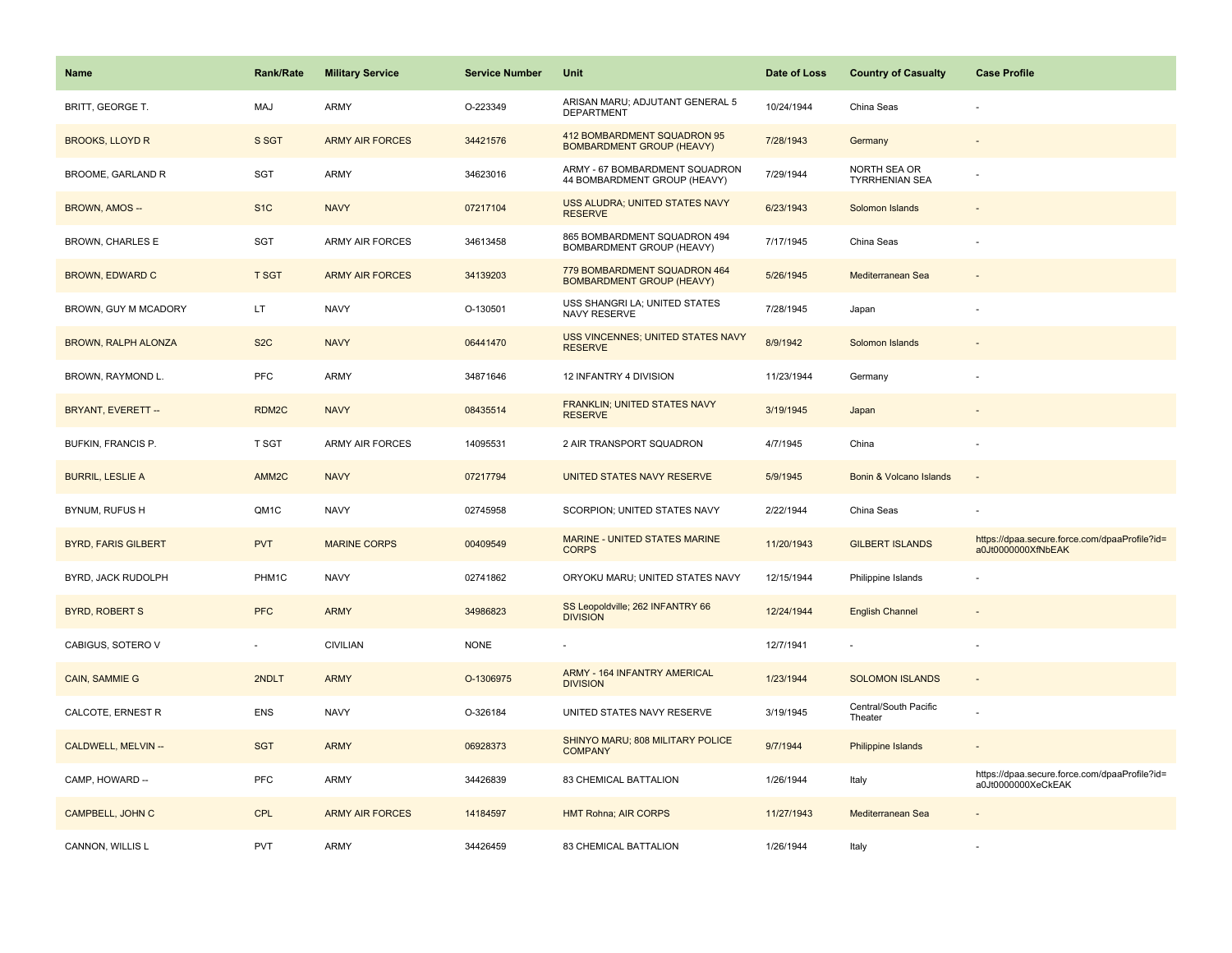| Name                       | <b>Rank/Rate</b>  | <b>Military Service</b> | <b>Service Number</b> | Unit                                                             | Date of Loss | <b>Country of Casualty</b>            | <b>Case Profile</b>                                                 |
|----------------------------|-------------------|-------------------------|-----------------------|------------------------------------------------------------------|--------------|---------------------------------------|---------------------------------------------------------------------|
| BRITT, GEORGE T.           | MAJ               | ARMY                    | O-223349              | ARISAN MARU; ADJUTANT GENERAL 5<br><b>DEPARTMENT</b>             | 10/24/1944   | China Seas                            |                                                                     |
| <b>BROOKS, LLOYD R</b>     | S SGT             | <b>ARMY AIR FORCES</b>  | 34421576              | 412 BOMBARDMENT SQUADRON 95<br>BOMBARDMENT GROUP (HEAVY)         | 7/28/1943    | Germany                               |                                                                     |
| <b>BROOME, GARLAND R</b>   | SGT               | ARMY                    | 34623016              | ARMY - 67 BOMBARDMENT SQUADRON<br>44 BOMBARDMENT GROUP (HEAVY)   | 7/29/1944    | NORTH SEA OR<br><b>TYRRHENIAN SEA</b> |                                                                     |
| BROWN, AMOS --             | S <sub>1</sub> C  | <b>NAVY</b>             | 07217104              | USS ALUDRA; UNITED STATES NAVY<br><b>RESERVE</b>                 | 6/23/1943    | Solomon Islands                       |                                                                     |
| BROWN, CHARLES E           | <b>SGT</b>        | ARMY AIR FORCES         | 34613458              | 865 BOMBARDMENT SQUADRON 494<br>BOMBARDMENT GROUP (HEAVY)        | 7/17/1945    | China Seas                            |                                                                     |
| <b>BROWN, EDWARD C</b>     | <b>T SGT</b>      | <b>ARMY AIR FORCES</b>  | 34139203              | 779 BOMBARDMENT SQUADRON 464<br><b>BOMBARDMENT GROUP (HEAVY)</b> | 5/26/1945    | Mediterranean Sea                     |                                                                     |
| BROWN, GUY M MCADORY       | LT.               | <b>NAVY</b>             | O-130501              | USS SHANGRI LA; UNITED STATES<br>NAVY RESERVE                    | 7/28/1945    | Japan                                 |                                                                     |
| <b>BROWN, RALPH ALONZA</b> | S <sub>2</sub> C  | <b>NAVY</b>             | 06441470              | <b>USS VINCENNES; UNITED STATES NAVY</b><br><b>RESERVE</b>       | 8/9/1942     | Solomon Islands                       |                                                                     |
| BROWN, RAYMOND L.          | PFC               | ARMY                    | 34871646              | 12 INFANTRY 4 DIVISION                                           | 11/23/1944   | Germany                               |                                                                     |
| <b>BRYANT, EVERETT --</b>  | RDM2C             | <b>NAVY</b>             | 08435514              | FRANKLIN; UNITED STATES NAVY<br><b>RESERVE</b>                   | 3/19/1945    | Japan                                 |                                                                     |
| <b>BUFKIN, FRANCIS P.</b>  | <b>T SGT</b>      | <b>ARMY AIR FORCES</b>  | 14095531              | 2 AIR TRANSPORT SQUADRON                                         | 4/7/1945     | China                                 |                                                                     |
| <b>BURRIL, LESLIE A</b>    | AMM <sub>2C</sub> | <b>NAVY</b>             | 07217794              | UNITED STATES NAVY RESERVE                                       | 5/9/1945     | Bonin & Volcano Islands               | $\overline{\phantom{a}}$                                            |
| BYNUM, RUFUS H             | QM1C              | <b>NAVY</b>             | 02745958              | SCORPION; UNITED STATES NAVY                                     | 2/22/1944    | China Seas                            |                                                                     |
| <b>BYRD, FARIS GILBERT</b> | <b>PVT</b>        | <b>MARINE CORPS</b>     | 00409549              | MARINE - UNITED STATES MARINE<br><b>CORPS</b>                    | 11/20/1943   | <b>GILBERT ISLANDS</b>                | https://dpaa.secure.force.com/dpaaProfile?id=<br>a0Jt0000000XfNbEAK |
| BYRD, JACK RUDOLPH         | PHM1C             | <b>NAVY</b>             | 02741862              | ORYOKU MARU; UNITED STATES NAVY                                  | 12/15/1944   | Philippine Islands                    |                                                                     |
| <b>BYRD, ROBERT S</b>      | <b>PFC</b>        | <b>ARMY</b>             | 34986823              | SS Leopoldville; 262 INFANTRY 66<br><b>DIVISION</b>              | 12/24/1944   | <b>English Channel</b>                |                                                                     |
| CABIGUS, SOTERO V          |                   | <b>CIVILIAN</b>         | <b>NONE</b>           |                                                                  | 12/7/1941    |                                       |                                                                     |
| CAIN, SAMMIE G             | 2NDLT             | <b>ARMY</b>             | O-1306975             | ARMY - 164 INFANTRY AMERICAL<br><b>DIVISION</b>                  | 1/23/1944    | <b>SOLOMON ISLANDS</b>                | $\overline{\phantom{a}}$                                            |
| CALCOTE, ERNEST R          | <b>ENS</b>        | <b>NAVY</b>             | O-326184              | UNITED STATES NAVY RESERVE                                       | 3/19/1945    | Central/South Pacific<br>Theater      |                                                                     |
| CALDWELL, MELVIN --        | <b>SGT</b>        | <b>ARMY</b>             | 06928373              | SHINYO MARU; 808 MILITARY POLICE<br><b>COMPANY</b>               | 9/7/1944     | Philippine Islands                    |                                                                     |
| CAMP, HOWARD --            | <b>PFC</b>        | ARMY                    | 34426839              | 83 CHEMICAL BATTALION                                            | 1/26/1944    | Italy                                 | https://dpaa.secure.force.com/dpaaProfile?id=<br>a0Jt0000000XeCkEAK |
| <b>CAMPBELL, JOHN C</b>    | <b>CPL</b>        | <b>ARMY AIR FORCES</b>  | 14184597              | <b>HMT Rohna; AIR CORPS</b>                                      | 11/27/1943   | Mediterranean Sea                     |                                                                     |
| CANNON, WILLIS L           | <b>PVT</b>        | ARMY                    | 34426459              | 83 CHEMICAL BATTALION                                            | 1/26/1944    | Italy                                 |                                                                     |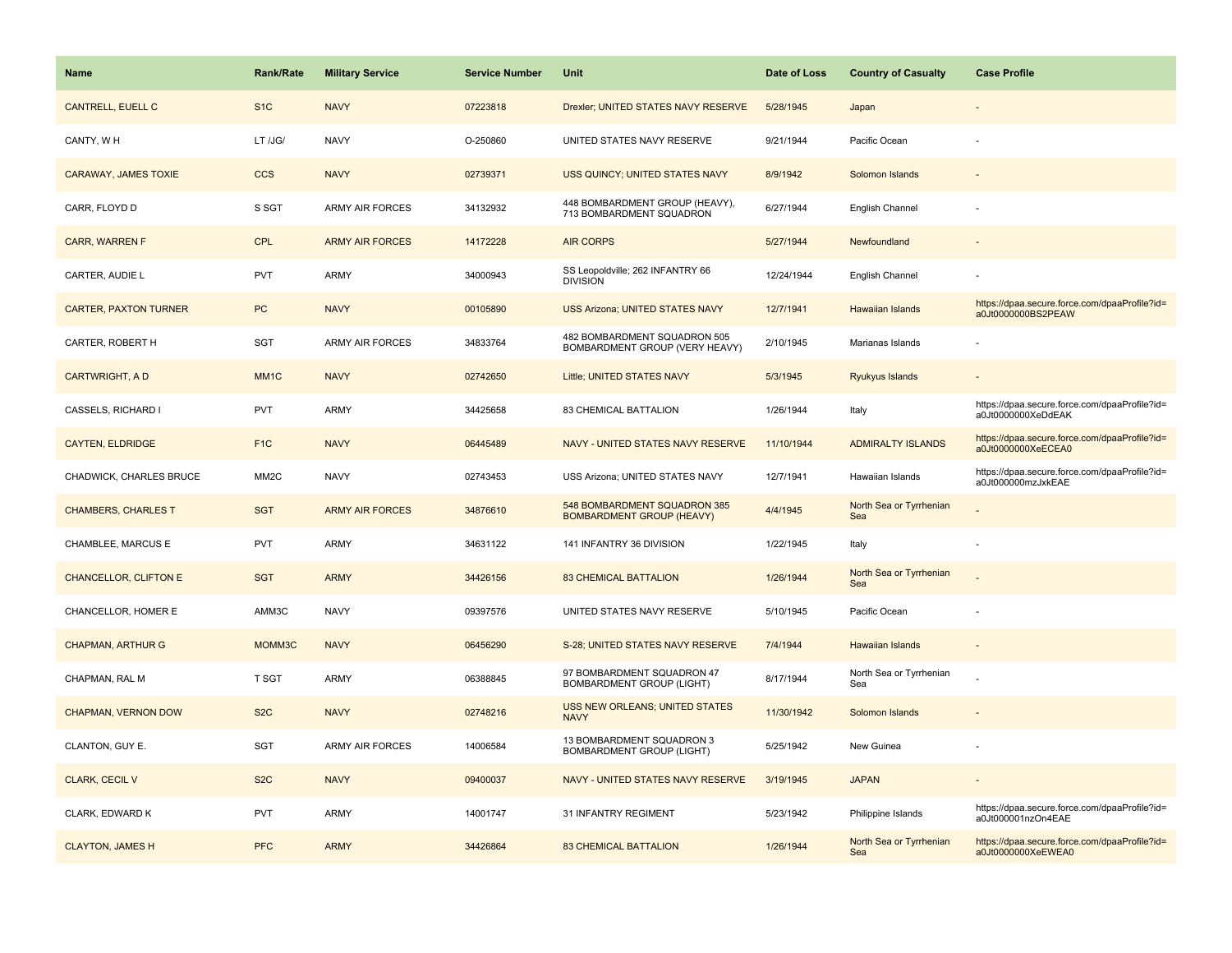| <b>Name</b>                  | <b>Rank/Rate</b>  | <b>Military Service</b> | <b>Service Number</b> | Unit                                                             | Date of Loss | <b>Country of Casualty</b>     | <b>Case Profile</b>                                                 |
|------------------------------|-------------------|-------------------------|-----------------------|------------------------------------------------------------------|--------------|--------------------------------|---------------------------------------------------------------------|
| CANTRELL, EUELL C            | S <sub>1</sub> C  | <b>NAVY</b>             | 07223818              | Drexler; UNITED STATES NAVY RESERVE                              | 5/28/1945    | Japan                          |                                                                     |
| CANTY, WH                    | LT /JG/           | <b>NAVY</b>             | O-250860              | UNITED STATES NAVY RESERVE                                       | 9/21/1944    | Pacific Ocean                  |                                                                     |
| CARAWAY, JAMES TOXIE         | <b>CCS</b>        | <b>NAVY</b>             | 02739371              | USS QUINCY; UNITED STATES NAVY                                   | 8/9/1942     | Solomon Islands                |                                                                     |
| CARR, FLOYD D                | S SGT             | <b>ARMY AIR FORCES</b>  | 34132932              | 448 BOMBARDMENT GROUP (HEAVY),<br>713 BOMBARDMENT SQUADRON       | 6/27/1944    | English Channel                |                                                                     |
| <b>CARR, WARREN F</b>        | <b>CPL</b>        | <b>ARMY AIR FORCES</b>  | 14172228              | <b>AIR CORPS</b>                                                 | 5/27/1944    | Newfoundland                   |                                                                     |
| CARTER, AUDIE L              | PVT               | <b>ARMY</b>             | 34000943              | SS Leopoldville; 262 INFANTRY 66<br><b>DIVISION</b>              | 12/24/1944   | English Channel                |                                                                     |
| <b>CARTER, PAXTON TURNER</b> | <b>PC</b>         | <b>NAVY</b>             | 00105890              | <b>USS Arizona; UNITED STATES NAVY</b>                           | 12/7/1941    | <b>Hawaiian Islands</b>        | https://dpaa.secure.force.com/dpaaProfile?id=<br>a0Jt0000000BS2PEAW |
| CARTER, ROBERT H             | SGT               | <b>ARMY AIR FORCES</b>  | 34833764              | 482 BOMBARDMENT SQUADRON 505<br>BOMBARDMENT GROUP (VERY HEAVY)   | 2/10/1945    | Marianas Islands               |                                                                     |
| <b>CARTWRIGHT, AD</b>        | MM <sub>1</sub> C | <b>NAVY</b>             | 02742650              | Little; UNITED STATES NAVY                                       | 5/3/1945     | Ryukyus Islands                |                                                                     |
| CASSELS, RICHARD I           | PVT               | ARMY                    | 34425658              | 83 CHEMICAL BATTALION                                            | 1/26/1944    | Italy                          | https://dpaa.secure.force.com/dpaaProfile?id=<br>a0Jt0000000XeDdEAK |
| <b>CAYTEN, ELDRIDGE</b>      | F <sub>1C</sub>   | <b>NAVY</b>             | 06445489              | NAVY - UNITED STATES NAVY RESERVE                                | 11/10/1944   | <b>ADMIRALTY ISLANDS</b>       | https://dpaa.secure.force.com/dpaaProfile?id=<br>a0Jt0000000XeECEA0 |
| CHADWICK, CHARLES BRUCE      | MM <sub>2</sub> C | <b>NAVY</b>             | 02743453              | USS Arizona; UNITED STATES NAVY                                  | 12/7/1941    | Hawaiian Islands               | https://dpaa.secure.force.com/dpaaProfile?id=<br>a0Jt000000mzJxkEAE |
| <b>CHAMBERS, CHARLES T</b>   | <b>SGT</b>        | <b>ARMY AIR FORCES</b>  | 34876610              | 548 BOMBARDMENT SQUADRON 385<br><b>BOMBARDMENT GROUP (HEAVY)</b> | 4/4/1945     | North Sea or Tyrrhenian<br>Sea |                                                                     |
| CHAMBLEE, MARCUS E           | <b>PVT</b>        | ARMY                    | 34631122              | 141 INFANTRY 36 DIVISION                                         | 1/22/1945    | Italy                          |                                                                     |
| <b>CHANCELLOR, CLIFTON E</b> | <b>SGT</b>        | <b>ARMY</b>             | 34426156              | <b>83 CHEMICAL BATTALION</b>                                     | 1/26/1944    | North Sea or Tyrrhenian<br>Sea |                                                                     |
| CHANCELLOR, HOMER E          | AMM3C             | <b>NAVY</b>             | 09397576              | UNITED STATES NAVY RESERVE                                       | 5/10/1945    | Pacific Ocean                  |                                                                     |
| <b>CHAPMAN, ARTHUR G</b>     | MOMM3C            | <b>NAVY</b>             | 06456290              | S-28; UNITED STATES NAVY RESERVE                                 | 7/4/1944     | Hawaiian Islands               |                                                                     |
| CHAPMAN, RAL M               | T SGT             | ARMY                    | 06388845              | 97 BOMBARDMENT SQUADRON 47<br><b>BOMBARDMENT GROUP (LIGHT)</b>   | 8/17/1944    | North Sea or Tyrrhenian<br>Sea |                                                                     |
| <b>CHAPMAN, VERNON DOW</b>   | S <sub>2</sub> C  | <b>NAVY</b>             | 02748216              | USS NEW ORLEANS; UNITED STATES<br><b>NAVY</b>                    | 11/30/1942   | Solomon Islands                |                                                                     |
| CLANTON, GUY E.              | SGT               | <b>ARMY AIR FORCES</b>  | 14006584              | 13 BOMBARDMENT SQUADRON 3<br><b>BOMBARDMENT GROUP (LIGHT)</b>    | 5/25/1942    | New Guinea                     |                                                                     |
| <b>CLARK, CECIL V</b>        | S <sub>2</sub> C  | <b>NAVY</b>             | 09400037              | NAVY - UNITED STATES NAVY RESERVE                                | 3/19/1945    | <b>JAPAN</b>                   |                                                                     |
| CLARK, EDWARD K              | <b>PVT</b>        | <b>ARMY</b>             | 14001747              | 31 INFANTRY REGIMENT                                             | 5/23/1942    | Philippine Islands             | https://dpaa.secure.force.com/dpaaProfile?id=<br>a0Jt000001nzOn4EAE |
| <b>CLAYTON, JAMES H</b>      | <b>PFC</b>        | <b>ARMY</b>             | 34426864              | <b>83 CHEMICAL BATTALION</b>                                     | 1/26/1944    | North Sea or Tyrrhenian<br>Sea | https://dpaa.secure.force.com/dpaaProfile?id=<br>a0Jt0000000XeEWEA0 |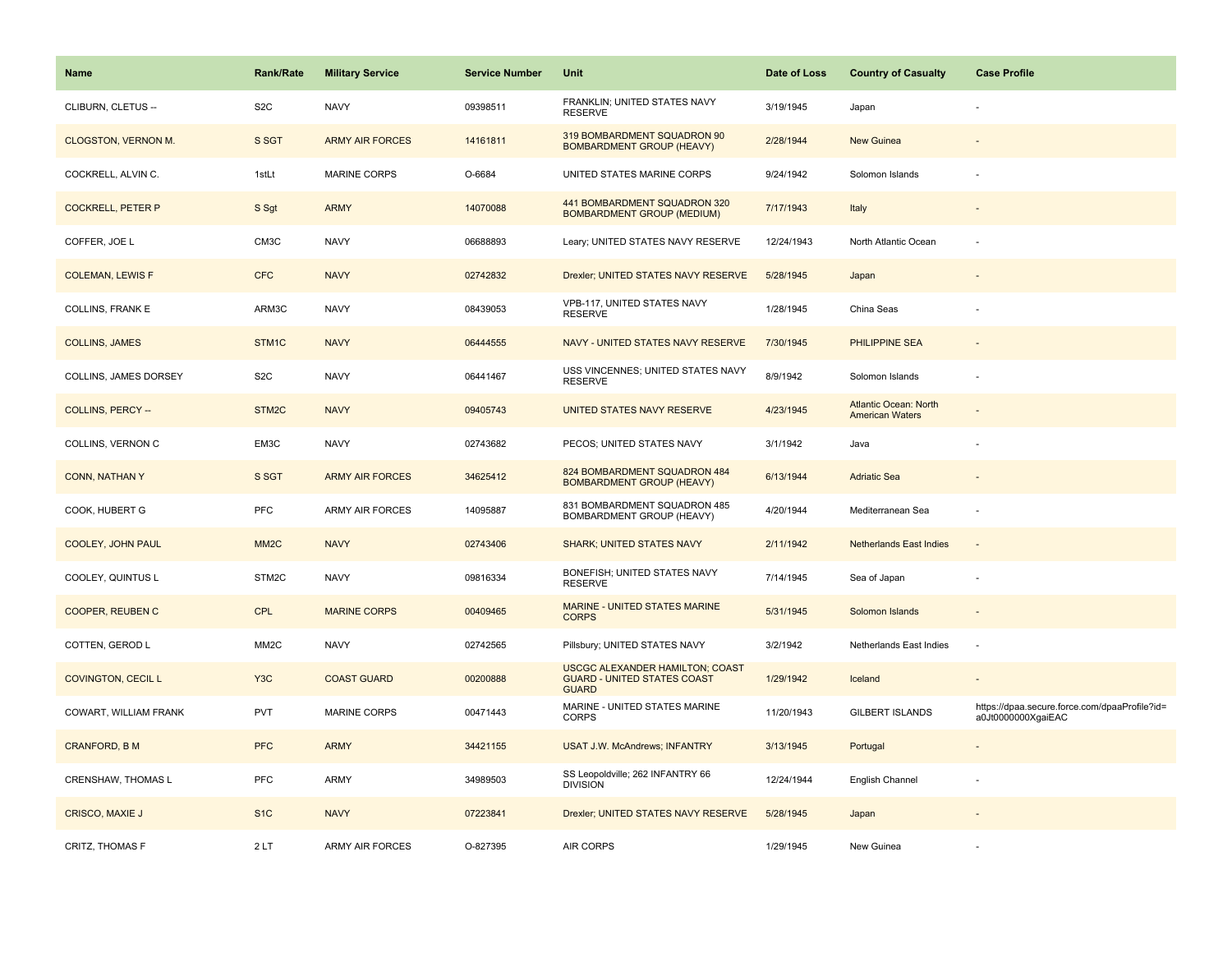| <b>Name</b>                | Rank/Rate         | <b>Military Service</b> | <b>Service Number</b> | Unit                                                                                         | Date of Loss | <b>Country of Casualty</b>                             | <b>Case Profile</b>                                                 |
|----------------------------|-------------------|-------------------------|-----------------------|----------------------------------------------------------------------------------------------|--------------|--------------------------------------------------------|---------------------------------------------------------------------|
| CLIBURN, CLETUS --         | S <sub>2</sub> C  | <b>NAVY</b>             | 09398511              | FRANKLIN; UNITED STATES NAVY<br><b>RESERVE</b>                                               | 3/19/1945    | Japan                                                  |                                                                     |
| <b>CLOGSTON, VERNON M.</b> | S SGT             | <b>ARMY AIR FORCES</b>  | 14161811              | 319 BOMBARDMENT SQUADRON 90<br><b>BOMBARDMENT GROUP (HEAVY)</b>                              | 2/28/1944    | <b>New Guinea</b>                                      |                                                                     |
| COCKRELL, ALVIN C.         | 1stLt             | <b>MARINE CORPS</b>     | O-6684                | UNITED STATES MARINE CORPS                                                                   | 9/24/1942    | Solomon Islands                                        |                                                                     |
| <b>COCKRELL, PETER P</b>   | S Sgt             | <b>ARMY</b>             | 14070088              | 441 BOMBARDMENT SQUADRON 320<br><b>BOMBARDMENT GROUP (MEDIUM)</b>                            | 7/17/1943    | Italy                                                  |                                                                     |
| COFFER, JOE L              | CM3C              | <b>NAVY</b>             | 06688893              | Leary; UNITED STATES NAVY RESERVE                                                            | 12/24/1943   | North Atlantic Ocean                                   |                                                                     |
| <b>COLEMAN, LEWIS F</b>    | <b>CFC</b>        | <b>NAVY</b>             | 02742832              | Drexler; UNITED STATES NAVY RESERVE                                                          | 5/28/1945    | Japan                                                  |                                                                     |
| COLLINS, FRANK E           | ARM3C             | <b>NAVY</b>             | 08439053              | VPB-117, UNITED STATES NAVY<br><b>RESERVE</b>                                                | 1/28/1945    | China Seas                                             |                                                                     |
| <b>COLLINS, JAMES</b>      | STM1C             | <b>NAVY</b>             | 06444555              | NAVY - UNITED STATES NAVY RESERVE                                                            | 7/30/1945    | PHILIPPINE SEA                                         |                                                                     |
| COLLINS, JAMES DORSEY      | S <sub>2</sub> C  | <b>NAVY</b>             | 06441467              | USS VINCENNES; UNITED STATES NAVY<br><b>RESERVE</b>                                          | 8/9/1942     | Solomon Islands                                        |                                                                     |
| <b>COLLINS, PERCY --</b>   | STM2C             | <b>NAVY</b>             | 09405743              | UNITED STATES NAVY RESERVE                                                                   | 4/23/1945    | <b>Atlantic Ocean: North</b><br><b>American Waters</b> |                                                                     |
| COLLINS, VERNON C          | EM3C              | <b>NAVY</b>             | 02743682              | PECOS; UNITED STATES NAVY                                                                    | 3/1/1942     | Java                                                   |                                                                     |
| CONN, NATHAN Y             | S SGT             | <b>ARMY AIR FORCES</b>  | 34625412              | 824 BOMBARDMENT SQUADRON 484<br><b>BOMBARDMENT GROUP (HEAVY)</b>                             | 6/13/1944    | <b>Adriatic Sea</b>                                    | $\sim$                                                              |
| COOK, HUBERT G             | <b>PFC</b>        | <b>ARMY AIR FORCES</b>  | 14095887              | 831 BOMBARDMENT SQUADRON 485<br>BOMBARDMENT GROUP (HEAVY)                                    | 4/20/1944    | Mediterranean Sea                                      |                                                                     |
| <b>COOLEY, JOHN PAUL</b>   | MM <sub>2</sub> C | <b>NAVY</b>             | 02743406              | SHARK; UNITED STATES NAVY                                                                    | 2/11/1942    | <b>Netherlands East Indies</b>                         | $\sim$                                                              |
| COOLEY, QUINTUS L          | STM2C             | <b>NAVY</b>             | 09816334              | BONEFISH; UNITED STATES NAVY<br><b>RESERVE</b>                                               | 7/14/1945    | Sea of Japan                                           |                                                                     |
| <b>COOPER, REUBEN C</b>    | <b>CPL</b>        | <b>MARINE CORPS</b>     | 00409465              | MARINE - UNITED STATES MARINE<br><b>CORPS</b>                                                | 5/31/1945    | Solomon Islands                                        |                                                                     |
| COTTEN, GEROD L            | MM <sub>2</sub> C | <b>NAVY</b>             | 02742565              | Pillsbury; UNITED STATES NAVY                                                                | 3/2/1942     | Netherlands East Indies                                | ÷,                                                                  |
| <b>COVINGTON, CECIL L</b>  | Y <sub>3</sub> C  | <b>COAST GUARD</b>      | 00200888              | <b>USCGC ALEXANDER HAMILTON; COAST</b><br><b>GUARD - UNITED STATES COAST</b><br><b>GUARD</b> | 1/29/1942    | Iceland                                                |                                                                     |
| COWART, WILLIAM FRANK      | <b>PVT</b>        | <b>MARINE CORPS</b>     | 00471443              | MARINE - UNITED STATES MARINE<br><b>CORPS</b>                                                | 11/20/1943   | <b>GILBERT ISLANDS</b>                                 | https://dpaa.secure.force.com/dpaaProfile?id=<br>a0Jt0000000XgaiEAC |
| <b>CRANFORD, B M</b>       | <b>PFC</b>        | <b>ARMY</b>             | 34421155              | <b>USAT J.W. McAndrews; INFANTRY</b>                                                         | 3/13/1945    | Portugal                                               | $\sim$                                                              |
| CRENSHAW, THOMAS L         | PFC               | <b>ARMY</b>             | 34989503              | SS Leopoldville; 262 INFANTRY 66<br><b>DIVISION</b>                                          | 12/24/1944   | English Channel                                        |                                                                     |
| CRISCO, MAXIE J            | S <sub>1</sub> C  | <b>NAVY</b>             | 07223841              | Drexler; UNITED STATES NAVY RESERVE                                                          | 5/28/1945    | Japan                                                  |                                                                     |
| CRITZ, THOMAS F            | 2LT               | <b>ARMY AIR FORCES</b>  | O-827395              | AIR CORPS                                                                                    | 1/29/1945    | New Guinea                                             |                                                                     |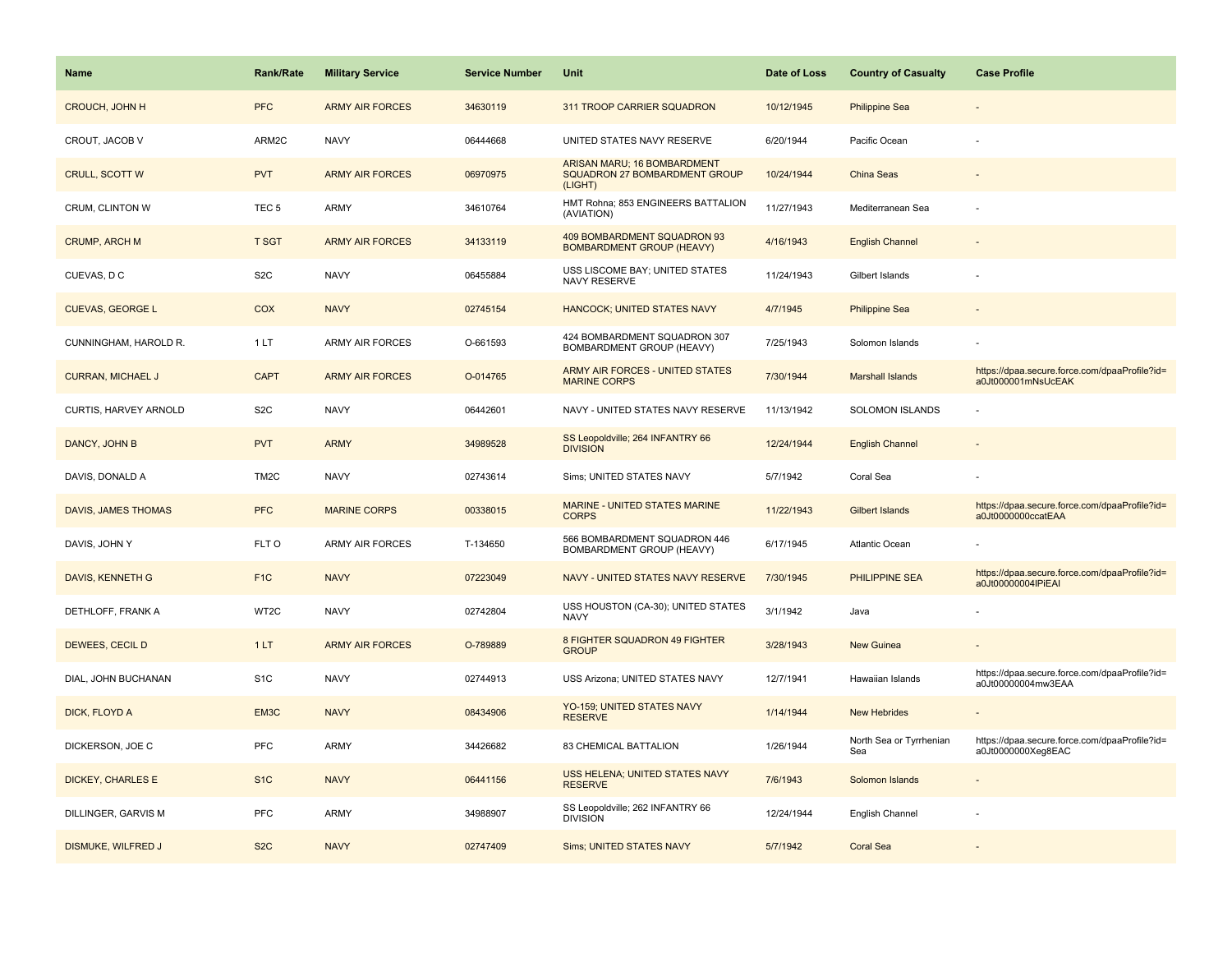| <b>Name</b>              | <b>Rank/Rate</b>  | <b>Military Service</b> | <b>Service Number</b> | Unit                                                                    | Date of Loss | <b>Country of Casualty</b>     | <b>Case Profile</b>                                                 |
|--------------------------|-------------------|-------------------------|-----------------------|-------------------------------------------------------------------------|--------------|--------------------------------|---------------------------------------------------------------------|
| <b>CROUCH, JOHN H</b>    | <b>PFC</b>        | <b>ARMY AIR FORCES</b>  | 34630119              | 311 TROOP CARRIER SQUADRON                                              | 10/12/1945   | <b>Philippine Sea</b>          |                                                                     |
| CROUT, JACOB V           | ARM2C             | <b>NAVY</b>             | 06444668              | UNITED STATES NAVY RESERVE                                              | 6/20/1944    | Pacific Ocean                  |                                                                     |
| CRULL, SCOTT W           | <b>PVT</b>        | <b>ARMY AIR FORCES</b>  | 06970975              | ARISAN MARU; 16 BOMBARDMENT<br>SQUADRON 27 BOMBARDMENT GROUP<br>(LIGHT) | 10/24/1944   | China Seas                     |                                                                     |
| CRUM, CLINTON W          | TEC <sub>5</sub>  | <b>ARMY</b>             | 34610764              | HMT Rohna; 853 ENGINEERS BATTALION<br>(AVIATION)                        | 11/27/1943   | Mediterranean Sea              |                                                                     |
| <b>CRUMP, ARCH M</b>     | <b>T SGT</b>      | <b>ARMY AIR FORCES</b>  | 34133119              | 409 BOMBARDMENT SQUADRON 93<br><b>BOMBARDMENT GROUP (HEAVY)</b>         | 4/16/1943    | <b>English Channel</b>         |                                                                     |
| CUEVAS, D C              | S <sub>2</sub> C  | <b>NAVY</b>             | 06455884              | USS LISCOME BAY; UNITED STATES<br>NAVY RESERVE                          | 11/24/1943   | Gilbert Islands                |                                                                     |
| <b>CUEVAS, GEORGE L</b>  | <b>COX</b>        | <b>NAVY</b>             | 02745154              | HANCOCK; UNITED STATES NAVY                                             | 4/7/1945     | <b>Philippine Sea</b>          |                                                                     |
| CUNNINGHAM, HAROLD R.    | 1 LT              | <b>ARMY AIR FORCES</b>  | O-661593              | 424 BOMBARDMENT SQUADRON 307<br>BOMBARDMENT GROUP (HEAVY)               | 7/25/1943    | Solomon Islands                |                                                                     |
| <b>CURRAN, MICHAEL J</b> | <b>CAPT</b>       | <b>ARMY AIR FORCES</b>  | O-014765              | ARMY AIR FORCES - UNITED STATES<br><b>MARINE CORPS</b>                  | 7/30/1944    | <b>Marshall Islands</b>        | https://dpaa.secure.force.com/dpaaProfile?id=<br>a0Jt000001mNsUcEAK |
| CURTIS, HARVEY ARNOLD    | S <sub>2</sub> C  | <b>NAVY</b>             | 06442601              | NAVY - UNITED STATES NAVY RESERVE                                       | 11/13/1942   | <b>SOLOMON ISLANDS</b>         |                                                                     |
| DANCY, JOHN B            | <b>PVT</b>        | <b>ARMY</b>             | 34989528              | SS Leopoldville; 264 INFANTRY 66<br><b>DIVISION</b>                     | 12/24/1944   | <b>English Channel</b>         |                                                                     |
| DAVIS, DONALD A          | TM <sub>2</sub> C | <b>NAVY</b>             | 02743614              | Sims; UNITED STATES NAVY                                                | 5/7/1942     | Coral Sea                      |                                                                     |
| DAVIS, JAMES THOMAS      | <b>PFC</b>        | <b>MARINE CORPS</b>     | 00338015              | <b>MARINE - UNITED STATES MARINE</b><br><b>CORPS</b>                    | 11/22/1943   | <b>Gilbert Islands</b>         | https://dpaa.secure.force.com/dpaaProfile?id=<br>a0Jt0000000ccatEAA |
| DAVIS, JOHN Y            | FLT O             | <b>ARMY AIR FORCES</b>  | T-134650              | 566 BOMBARDMENT SQUADRON 446<br>BOMBARDMENT GROUP (HEAVY)               | 6/17/1945    | <b>Atlantic Ocean</b>          |                                                                     |
| DAVIS, KENNETH G         | F <sub>1C</sub>   | <b>NAVY</b>             | 07223049              | NAVY - UNITED STATES NAVY RESERVE                                       | 7/30/1945    | PHILIPPINE SEA                 | https://dpaa.secure.force.com/dpaaProfile?id=<br>a0Jt00000004lPiEAI |
| DETHLOFF, FRANK A        | WT2C              | <b>NAVY</b>             | 02742804              | USS HOUSTON (CA-30); UNITED STATES<br><b>NAVY</b>                       | 3/1/1942     | Java                           |                                                                     |
| DEWEES, CECIL D          | 1LT               | <b>ARMY AIR FORCES</b>  | O-789889              | 8 FIGHTER SQUADRON 49 FIGHTER<br><b>GROUP</b>                           | 3/28/1943    | New Guinea                     |                                                                     |
| DIAL, JOHN BUCHANAN      | S <sub>1</sub> C  | <b>NAVY</b>             | 02744913              | USS Arizona; UNITED STATES NAVY                                         | 12/7/1941    | Hawaiian Islands               | https://dpaa.secure.force.com/dpaaProfile?id=<br>a0Jt00000004mw3EAA |
| DICK, FLOYD A            | EM3C              | <b>NAVY</b>             | 08434906              | YO-159; UNITED STATES NAVY<br><b>RESERVE</b>                            | 1/14/1944    | <b>New Hebrides</b>            |                                                                     |
| DICKERSON, JOE C         | PFC               | ARMY                    | 34426682              | 83 CHEMICAL BATTALION                                                   | 1/26/1944    | North Sea or Tyrrhenian<br>Sea | https://dpaa.secure.force.com/dpaaProfile?id=<br>a0Jt0000000Xeg8EAC |
| <b>DICKEY, CHARLES E</b> | S <sub>1</sub> C  | <b>NAVY</b>             | 06441156              | USS HELENA: UNITED STATES NAVY<br><b>RESERVE</b>                        | 7/6/1943     | Solomon Islands                |                                                                     |
| DILLINGER, GARVIS M      | PFC               | ARMY                    | 34988907              | SS Leopoldville; 262 INFANTRY 66<br><b>DIVISION</b>                     | 12/24/1944   | English Channel                |                                                                     |
| DISMUKE, WILFRED J       | S <sub>2</sub> C  | <b>NAVY</b>             | 02747409              | <b>Sims; UNITED STATES NAVY</b>                                         | 5/7/1942     | <b>Coral Sea</b>               |                                                                     |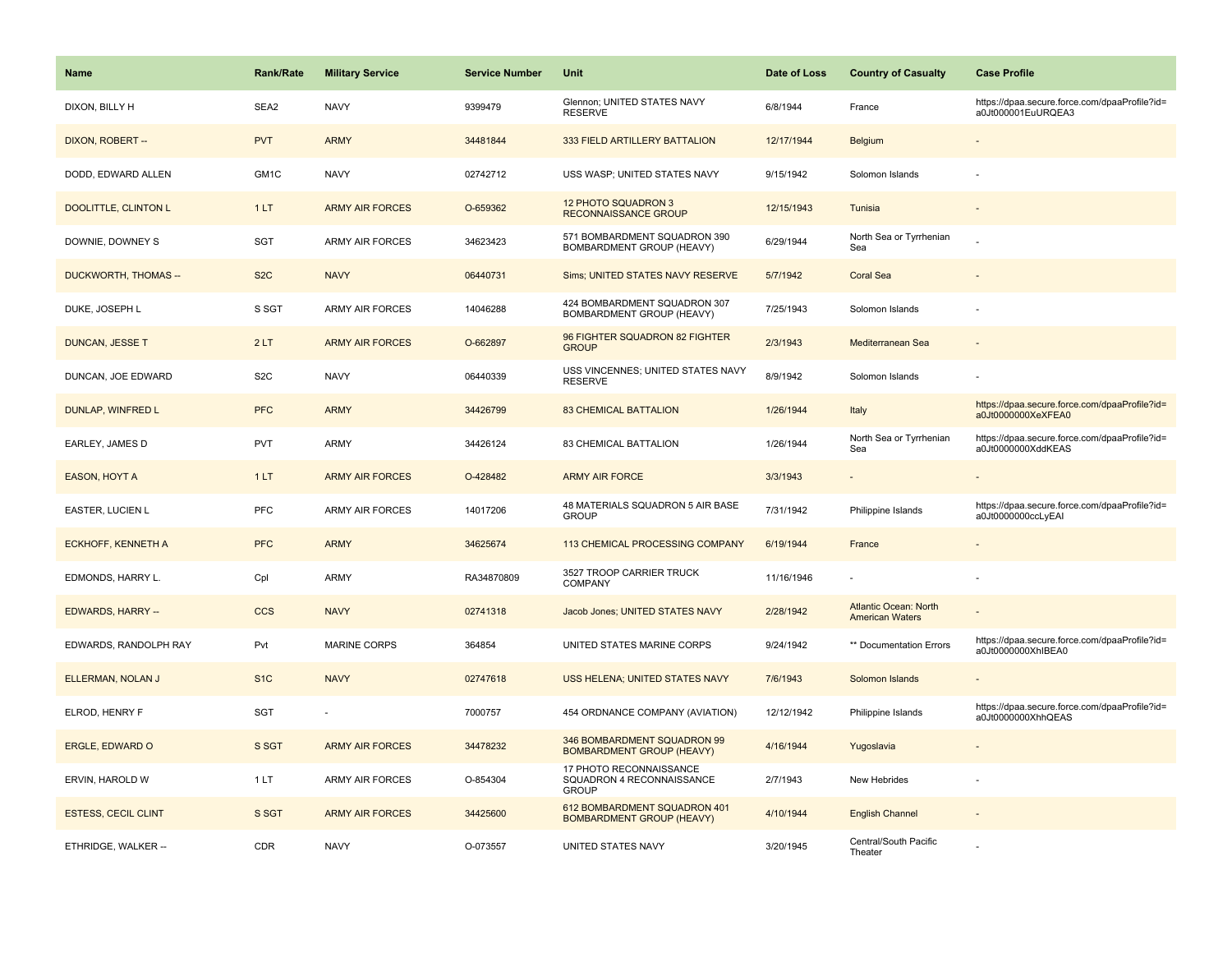| Name                        | <b>Rank/Rate</b> | <b>Military Service</b> | <b>Service Number</b> | Unit                                                                 | Date of Loss | <b>Country of Casualty</b>                             | <b>Case Profile</b>                                                 |
|-----------------------------|------------------|-------------------------|-----------------------|----------------------------------------------------------------------|--------------|--------------------------------------------------------|---------------------------------------------------------------------|
| DIXON, BILLY H              | SEA2             | <b>NAVY</b>             | 9399479               | Glennon; UNITED STATES NAVY<br><b>RESERVE</b>                        | 6/8/1944     | France                                                 | https://dpaa.secure.force.com/dpaaProfile?id=<br>a0Jt000001EuURQEA3 |
| DIXON, ROBERT --            | <b>PVT</b>       | <b>ARMY</b>             | 34481844              | 333 FIELD ARTILLERY BATTALION                                        | 12/17/1944   | <b>Belgium</b>                                         |                                                                     |
| DODD, EDWARD ALLEN          | GM1C             | <b>NAVY</b>             | 02742712              | USS WASP; UNITED STATES NAVY                                         | 9/15/1942    | Solomon Islands                                        |                                                                     |
| <b>DOOLITTLE, CLINTON L</b> | 1LT              | <b>ARMY AIR FORCES</b>  | O-659362              | 12 PHOTO SQUADRON 3<br><b>RECONNAISSANCE GROUP</b>                   | 12/15/1943   | Tunisia                                                |                                                                     |
| DOWNIE, DOWNEY S            | <b>SGT</b>       | <b>ARMY AIR FORCES</b>  | 34623423              | 571 BOMBARDMENT SQUADRON 390<br><b>BOMBARDMENT GROUP (HEAVY)</b>     | 6/29/1944    | North Sea or Tyrrhenian<br>Sea                         |                                                                     |
| DUCKWORTH, THOMAS --        | S <sub>2</sub> C | <b>NAVY</b>             | 06440731              | Sims; UNITED STATES NAVY RESERVE                                     | 5/7/1942     | <b>Coral Sea</b>                                       |                                                                     |
| DUKE, JOSEPH L              | S SGT            | <b>ARMY AIR FORCES</b>  | 14046288              | 424 BOMBARDMENT SQUADRON 307<br>BOMBARDMENT GROUP (HEAVY)            | 7/25/1943    | Solomon Islands                                        |                                                                     |
| <b>DUNCAN, JESSE T</b>      | 2LT              | <b>ARMY AIR FORCES</b>  | O-662897              | 96 FIGHTER SQUADRON 82 FIGHTER<br><b>GROUP</b>                       | 2/3/1943     | Mediterranean Sea                                      |                                                                     |
| DUNCAN, JOE EDWARD          | S <sub>2</sub> C | <b>NAVY</b>             | 06440339              | USS VINCENNES; UNITED STATES NAVY<br><b>RESERVE</b>                  | 8/9/1942     | Solomon Islands                                        |                                                                     |
| DUNLAP, WINFRED L           | <b>PFC</b>       | <b>ARMY</b>             | 34426799              | <b>83 CHEMICAL BATTALION</b>                                         | 1/26/1944    | Italy                                                  | https://dpaa.secure.force.com/dpaaProfile?id=<br>a0Jt0000000XeXFEA0 |
| EARLEY, JAMES D             | <b>PVT</b>       | <b>ARMY</b>             | 34426124              | 83 CHEMICAL BATTALION                                                | 1/26/1944    | North Sea or Tyrrhenian<br>Sea                         | https://dpaa.secure.force.com/dpaaProfile?id=<br>a0Jt0000000XddKEAS |
| EASON, HOYT A               | 1LT              | <b>ARMY AIR FORCES</b>  | O-428482              | <b>ARMY AIR FORCE</b>                                                | 3/3/1943     |                                                        |                                                                     |
| EASTER, LUCIEN L            | PFC              | <b>ARMY AIR FORCES</b>  | 14017206              | 48 MATERIALS SQUADRON 5 AIR BASE<br><b>GROUP</b>                     | 7/31/1942    | Philippine Islands                                     | https://dpaa.secure.force.com/dpaaProfile?id=<br>a0Jt0000000ccLyEAI |
| <b>ECKHOFF, KENNETH A</b>   | <b>PFC</b>       | <b>ARMY</b>             | 34625674              | 113 CHEMICAL PROCESSING COMPANY                                      | 6/19/1944    | France                                                 |                                                                     |
| EDMONDS, HARRY L.           | Cpl              | <b>ARMY</b>             | RA34870809            | 3527 TROOP CARRIER TRUCK<br>COMPANY                                  | 11/16/1946   |                                                        |                                                                     |
| <b>EDWARDS, HARRY --</b>    | <b>CCS</b>       | <b>NAVY</b>             | 02741318              | Jacob Jones; UNITED STATES NAVY                                      | 2/28/1942    | <b>Atlantic Ocean: North</b><br><b>American Waters</b> |                                                                     |
| EDWARDS, RANDOLPH RAY       | Pvt              | <b>MARINE CORPS</b>     | 364854                | UNITED STATES MARINE CORPS                                           | 9/24/1942    | ** Documentation Errors                                | https://dpaa.secure.force.com/dpaaProfile?id=<br>a0Jt0000000XhIBEA0 |
| ELLERMAN, NOLAN J           | S <sub>1</sub> C | <b>NAVY</b>             | 02747618              | USS HELENA; UNITED STATES NAVY                                       | 7/6/1943     | Solomon Islands                                        |                                                                     |
| ELROD, HENRY F              | <b>SGT</b>       |                         | 7000757               | 454 ORDNANCE COMPANY (AVIATION)                                      | 12/12/1942   | Philippine Islands                                     | https://dpaa.secure.force.com/dpaaProfile?id=<br>a0Jt0000000XhhQEAS |
| ERGLE, EDWARD O             | S SGT            | <b>ARMY AIR FORCES</b>  | 34478232              | 346 BOMBARDMENT SQUADRON 99<br><b>BOMBARDMENT GROUP (HEAVY)</b>      | 4/16/1944    | Yugoslavia                                             |                                                                     |
| ERVIN, HAROLD W             | 1LT              | <b>ARMY AIR FORCES</b>  | O-854304              | 17 PHOTO RECONNAISSANCE<br>SQUADRON 4 RECONNAISSANCE<br><b>GROUP</b> | 2/7/1943     | New Hebrides                                           |                                                                     |
| <b>ESTESS, CECIL CLINT</b>  | S SGT            | <b>ARMY AIR FORCES</b>  | 34425600              | 612 BOMBARDMENT SQUADRON 401<br><b>BOMBARDMENT GROUP (HEAVY)</b>     | 4/10/1944    | <b>English Channel</b>                                 |                                                                     |
| ETHRIDGE, WALKER --         | <b>CDR</b>       | <b>NAVY</b>             | O-073557              | UNITED STATES NAVY                                                   | 3/20/1945    | Central/South Pacific<br>Theater                       |                                                                     |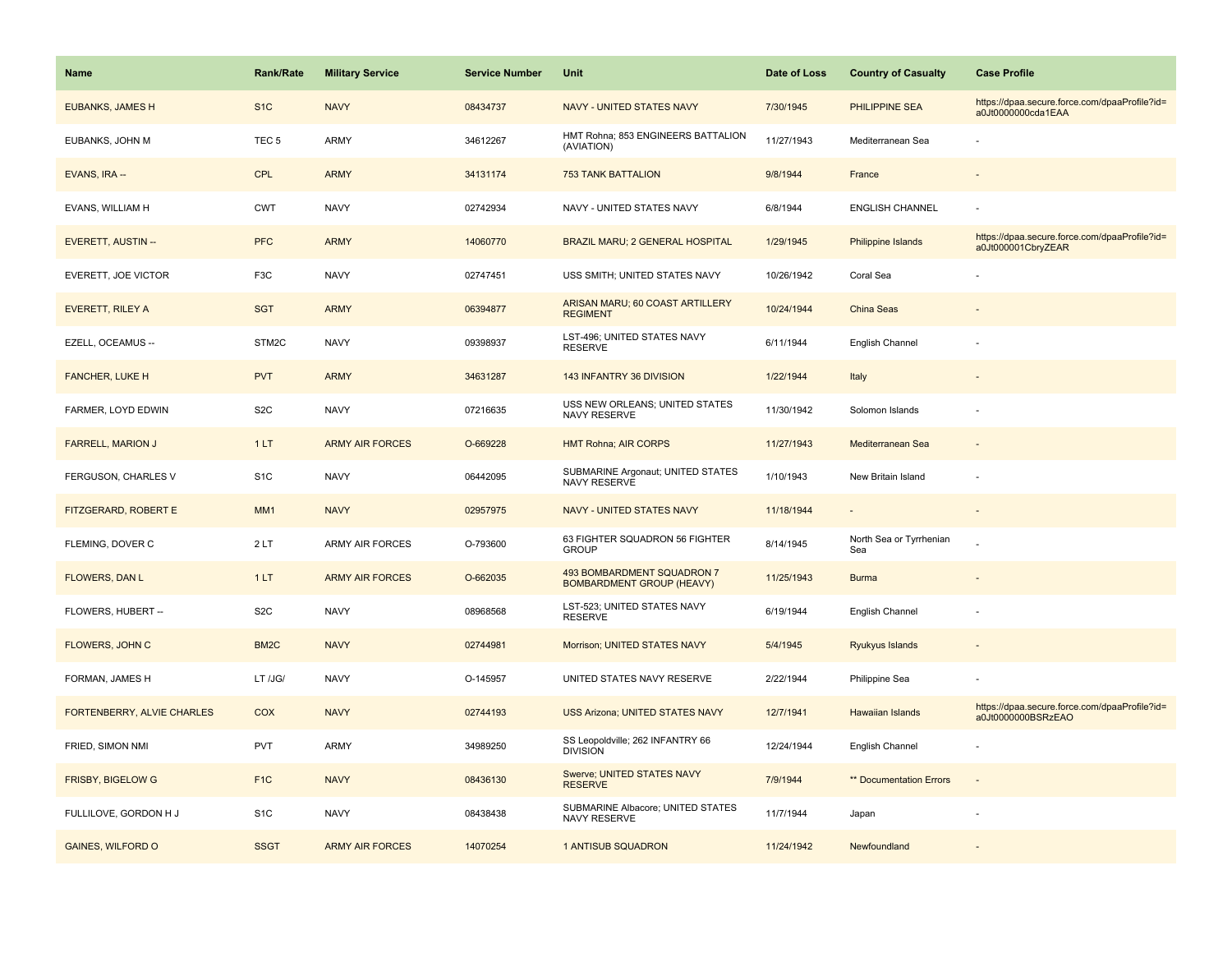| Name                       | <b>Rank/Rate</b>  | <b>Military Service</b> | <b>Service Number</b> | <b>Unit</b>                                                    | Date of Loss | <b>Country of Casualty</b>     | <b>Case Profile</b>                                                 |
|----------------------------|-------------------|-------------------------|-----------------------|----------------------------------------------------------------|--------------|--------------------------------|---------------------------------------------------------------------|
| <b>EUBANKS, JAMES H</b>    | S <sub>1</sub> C  | <b>NAVY</b>             | 08434737              | NAVY - UNITED STATES NAVY                                      | 7/30/1945    | PHILIPPINE SEA                 | https://dpaa.secure.force.com/dpaaProfile?id=<br>a0Jt0000000cda1EAA |
| EUBANKS, JOHN M            | TEC <sub>5</sub>  | ARMY                    | 34612267              | HMT Rohna; 853 ENGINEERS BATTALION<br>(AVIATION)               | 11/27/1943   | Mediterranean Sea              |                                                                     |
| EVANS, IRA --              | CPL               | <b>ARMY</b>             | 34131174              | <b>753 TANK BATTALION</b>                                      | 9/8/1944     | France                         |                                                                     |
| EVANS, WILLIAM H           | <b>CWT</b>        | <b>NAVY</b>             | 02742934              | NAVY - UNITED STATES NAVY                                      | 6/8/1944     | <b>ENGLISH CHANNEL</b>         |                                                                     |
| <b>EVERETT, AUSTIN --</b>  | <b>PFC</b>        | <b>ARMY</b>             | 14060770              | <b>BRAZIL MARU; 2 GENERAL HOSPITAL</b>                         | 1/29/1945    | <b>Philippine Islands</b>      | https://dpaa.secure.force.com/dpaaProfile?id=<br>a0Jt000001CbryZEAR |
| EVERETT, JOE VICTOR        | F <sub>3</sub> C  | <b>NAVY</b>             | 02747451              | USS SMITH; UNITED STATES NAVY                                  | 10/26/1942   | Coral Sea                      |                                                                     |
| <b>EVERETT, RILEY A</b>    | <b>SGT</b>        | <b>ARMY</b>             | 06394877              | ARISAN MARU; 60 COAST ARTILLERY<br><b>REGIMENT</b>             | 10/24/1944   | <b>China Seas</b>              |                                                                     |
| EZELL, OCEAMUS --          | STM2C             | <b>NAVY</b>             | 09398937              | LST-496; UNITED STATES NAVY<br><b>RESERVE</b>                  | 6/11/1944    | English Channel                |                                                                     |
| <b>FANCHER, LUKE H</b>     | <b>PVT</b>        | <b>ARMY</b>             | 34631287              | 143 INFANTRY 36 DIVISION                                       | 1/22/1944    | Italy                          |                                                                     |
| FARMER, LOYD EDWIN         | S <sub>2</sub> C  | <b>NAVY</b>             | 07216635              | USS NEW ORLEANS; UNITED STATES<br>NAVY RESERVE                 | 11/30/1942   | Solomon Islands                |                                                                     |
| <b>FARRELL, MARION J</b>   | 1LT               | <b>ARMY AIR FORCES</b>  | O-669228              | <b>HMT Rohna; AIR CORPS</b>                                    | 11/27/1943   | Mediterranean Sea              |                                                                     |
| FERGUSON, CHARLES V        | S <sub>1</sub> C  | <b>NAVY</b>             | 06442095              | SUBMARINE Argonaut; UNITED STATES<br>NAVY RESERVE              | 1/10/1943    | New Britain Island             |                                                                     |
| FITZGERARD, ROBERT E       | MM <sub>1</sub>   | <b>NAVY</b>             | 02957975              | NAVY - UNITED STATES NAVY                                      | 11/18/1944   |                                |                                                                     |
| FLEMING, DOVER C           | 2LT               | ARMY AIR FORCES         | O-793600              | 63 FIGHTER SQUADRON 56 FIGHTER<br><b>GROUP</b>                 | 8/14/1945    | North Sea or Tyrrhenian<br>Sea |                                                                     |
| FLOWERS, DAN L             | 1LT               | <b>ARMY AIR FORCES</b>  | O-662035              | 493 BOMBARDMENT SQUADRON 7<br><b>BOMBARDMENT GROUP (HEAVY)</b> | 11/25/1943   | <b>Burma</b>                   |                                                                     |
| FLOWERS, HUBERT --         | S <sub>2</sub> C  | <b>NAVY</b>             | 08968568              | LST-523; UNITED STATES NAVY<br><b>RESERVE</b>                  | 6/19/1944    | English Channel                |                                                                     |
| FLOWERS, JOHN C            | BM <sub>2</sub> C | <b>NAVY</b>             | 02744981              | Morrison; UNITED STATES NAVY                                   | 5/4/1945     | Ryukyus Islands                |                                                                     |
| FORMAN, JAMES H            | LT /JG/           | <b>NAVY</b>             | O-145957              | UNITED STATES NAVY RESERVE                                     | 2/22/1944    | Philippine Sea                 |                                                                     |
| FORTENBERRY, ALVIE CHARLES | COX               | <b>NAVY</b>             | 02744193              | <b>USS Arizona; UNITED STATES NAVY</b>                         | 12/7/1941    | <b>Hawaiian Islands</b>        | https://dpaa.secure.force.com/dpaaProfile?id=<br>a0Jt0000000BSRzEAO |
| FRIED, SIMON NMI           | <b>PVT</b>        | <b>ARMY</b>             | 34989250              | SS Leopoldville; 262 INFANTRY 66<br><b>DIVISION</b>            | 12/24/1944   | English Channel                |                                                                     |
| FRISBY, BIGELOW G          | F <sub>1C</sub>   | <b>NAVY</b>             | 08436130              | Swerve; UNITED STATES NAVY<br><b>RESERVE</b>                   | 7/9/1944     | ** Documentation Errors        | $\sim$                                                              |
| FULLILOVE, GORDON H J      | S <sub>1</sub> C  | <b>NAVY</b>             | 08438438              | SUBMARINE Albacore; UNITED STATES<br>NAVY RESERVE              | 11/7/1944    | Japan                          |                                                                     |
| <b>GAINES, WILFORD O</b>   | <b>SSGT</b>       | <b>ARMY AIR FORCES</b>  | 14070254              | 1 ANTISUB SQUADRON                                             | 11/24/1942   | Newfoundland                   |                                                                     |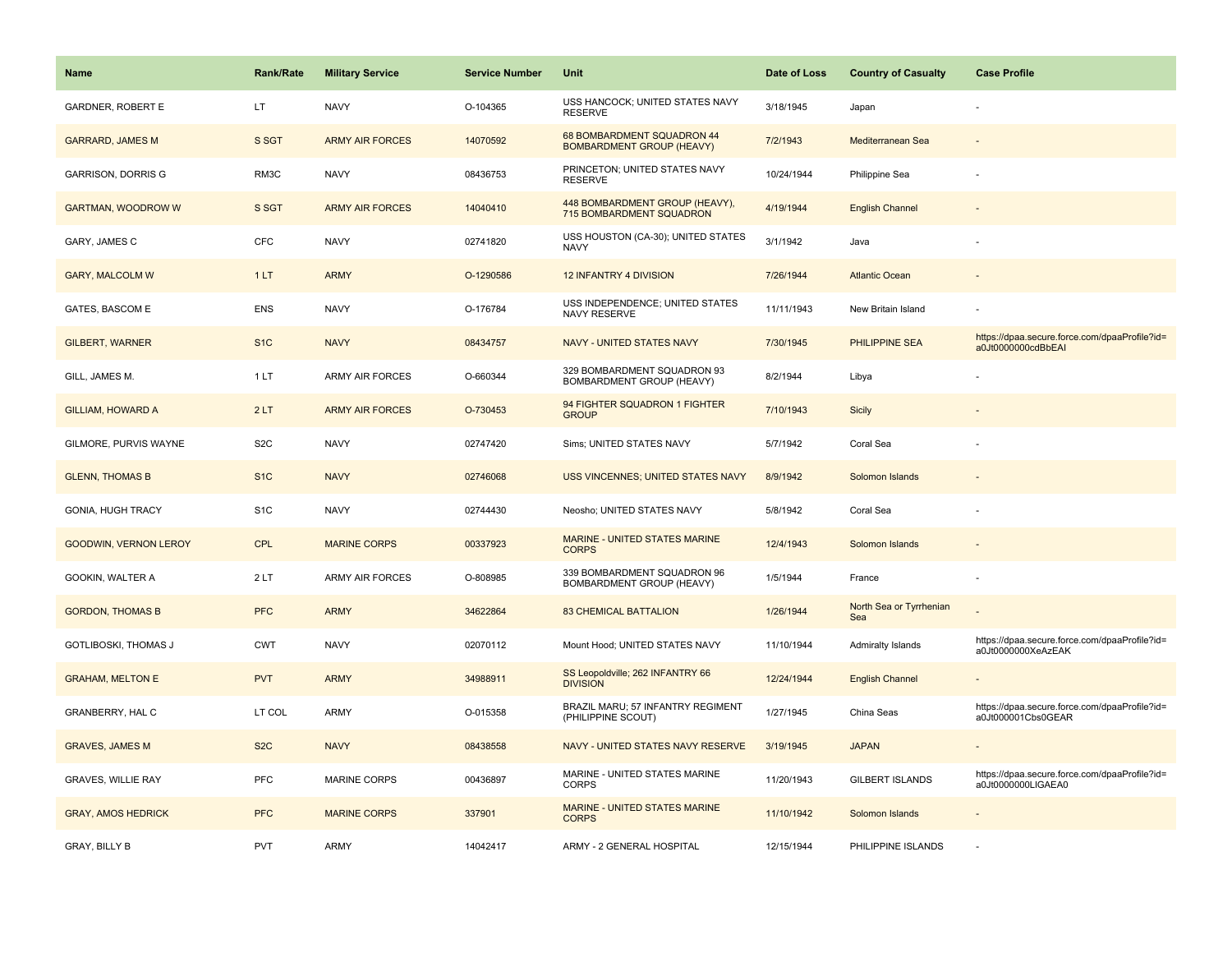| <b>Name</b>                  | Rank/Rate        | <b>Military Service</b> | <b>Service Number</b> | Unit                                                           | Date of Loss | <b>Country of Casualty</b>     | <b>Case Profile</b>                                                 |
|------------------------------|------------------|-------------------------|-----------------------|----------------------------------------------------------------|--------------|--------------------------------|---------------------------------------------------------------------|
| <b>GARDNER, ROBERT E</b>     | LT               | <b>NAVY</b>             | O-104365              | USS HANCOCK; UNITED STATES NAVY<br><b>RESERVE</b>              | 3/18/1945    | Japan                          |                                                                     |
| <b>GARRARD, JAMES M</b>      | S SGT            | <b>ARMY AIR FORCES</b>  | 14070592              | 68 BOMBARDMENT SQUADRON 44<br><b>BOMBARDMENT GROUP (HEAVY)</b> | 7/2/1943     | Mediterranean Sea              |                                                                     |
| GARRISON, DORRIS G           | RM3C             | <b>NAVY</b>             | 08436753              | PRINCETON; UNITED STATES NAVY<br><b>RESERVE</b>                | 10/24/1944   | Philippine Sea                 |                                                                     |
| <b>GARTMAN, WOODROW W</b>    | S SGT            | <b>ARMY AIR FORCES</b>  | 14040410              | 448 BOMBARDMENT GROUP (HEAVY),<br>715 BOMBARDMENT SQUADRON     | 4/19/1944    | <b>English Channel</b>         |                                                                     |
| GARY, JAMES C                | <b>CFC</b>       | <b>NAVY</b>             | 02741820              | USS HOUSTON (CA-30); UNITED STATES<br><b>NAVY</b>              | 3/1/1942     | Java                           |                                                                     |
| <b>GARY, MALCOLM W</b>       | 1LT              | <b>ARMY</b>             | O-1290586             | <b>12 INFANTRY 4 DIVISION</b>                                  | 7/26/1944    | <b>Atlantic Ocean</b>          |                                                                     |
| <b>GATES, BASCOM E</b>       | <b>ENS</b>       | <b>NAVY</b>             | O-176784              | USS INDEPENDENCE; UNITED STATES<br>NAVY RESERVE                | 11/11/1943   | New Britain Island             |                                                                     |
| <b>GILBERT, WARNER</b>       | S <sub>1</sub> C | <b>NAVY</b>             | 08434757              | <b>NAVY - UNITED STATES NAVY</b>                               | 7/30/1945    | <b>PHILIPPINE SEA</b>          | https://dpaa.secure.force.com/dpaaProfile?id=<br>a0Jt0000000cdBbEAI |
| GILL, JAMES M.               | 1LT              | <b>ARMY AIR FORCES</b>  | O-660344              | 329 BOMBARDMENT SQUADRON 93<br>BOMBARDMENT GROUP (HEAVY)       | 8/2/1944     | Libya                          |                                                                     |
| <b>GILLIAM, HOWARD A</b>     | 2LT              | <b>ARMY AIR FORCES</b>  | O-730453              | 94 FIGHTER SQUADRON 1 FIGHTER<br><b>GROUP</b>                  | 7/10/1943    | Sicily                         |                                                                     |
| GILMORE, PURVIS WAYNE        | S <sub>2</sub> C | <b>NAVY</b>             | 02747420              | Sims; UNITED STATES NAVY                                       | 5/7/1942     | Coral Sea                      |                                                                     |
| <b>GLENN, THOMAS B</b>       | S <sub>1</sub> C | <b>NAVY</b>             | 02746068              | USS VINCENNES; UNITED STATES NAVY                              | 8/9/1942     | Solomon Islands                |                                                                     |
| <b>GONIA, HUGH TRACY</b>     | S <sub>1</sub> C | <b>NAVY</b>             | 02744430              | Neosho; UNITED STATES NAVY                                     | 5/8/1942     | Coral Sea                      |                                                                     |
| <b>GOODWIN, VERNON LEROY</b> | <b>CPL</b>       | <b>MARINE CORPS</b>     | 00337923              | <b>MARINE - UNITED STATES MARINE</b><br><b>CORPS</b>           | 12/4/1943    | Solomon Islands                |                                                                     |
| GOOKIN, WALTER A             | 2LT              | <b>ARMY AIR FORCES</b>  | O-808985              | 339 BOMBARDMENT SQUADRON 96<br>BOMBARDMENT GROUP (HEAVY)       | 1/5/1944     | France                         | ÷,                                                                  |
| <b>GORDON, THOMAS B</b>      | <b>PFC</b>       | <b>ARMY</b>             | 34622864              | <b>83 CHEMICAL BATTALION</b>                                   | 1/26/1944    | North Sea or Tyrrhenian<br>Sea |                                                                     |
| GOTLIBOSKI, THOMAS J         | <b>CWT</b>       | <b>NAVY</b>             | 02070112              | Mount Hood; UNITED STATES NAVY                                 | 11/10/1944   | <b>Admiralty Islands</b>       | https://dpaa.secure.force.com/dpaaProfile?id=<br>a0Jt0000000XeAzEAK |
| <b>GRAHAM, MELTON E</b>      | <b>PVT</b>       | <b>ARMY</b>             | 34988911              | SS Leopoldville; 262 INFANTRY 66<br><b>DIVISION</b>            | 12/24/1944   | <b>English Channel</b>         |                                                                     |
| GRANBERRY, HAL C             | LT COL           | <b>ARMY</b>             | O-015358              | BRAZIL MARU; 57 INFANTRY REGIMENT<br>(PHILIPPINE SCOUT)        | 1/27/1945    | China Seas                     | https://dpaa.secure.force.com/dpaaProfile?id=<br>a0Jt000001Cbs0GEAR |
| <b>GRAVES, JAMES M</b>       | S <sub>2</sub> C | <b>NAVY</b>             | 08438558              | NAVY - UNITED STATES NAVY RESERVE                              | 3/19/1945    | <b>JAPAN</b>                   |                                                                     |
| <b>GRAVES, WILLIE RAY</b>    | <b>PFC</b>       | <b>MARINE CORPS</b>     | 00436897              | MARINE - UNITED STATES MARINE<br><b>CORPS</b>                  | 11/20/1943   | <b>GILBERT ISLANDS</b>         | https://dpaa.secure.force.com/dpaaProfile?id=<br>a0Jt0000000LIGAEA0 |
| <b>GRAY, AMOS HEDRICK</b>    | <b>PFC</b>       | <b>MARINE CORPS</b>     | 337901                | MARINE - UNITED STATES MARINE<br><b>CORPS</b>                  | 11/10/1942   | Solomon Islands                |                                                                     |
| <b>GRAY, BILLY B</b>         | <b>PVT</b>       | <b>ARMY</b>             | 14042417              | ARMY - 2 GENERAL HOSPITAL                                      | 12/15/1944   | PHILIPPINE ISLANDS             |                                                                     |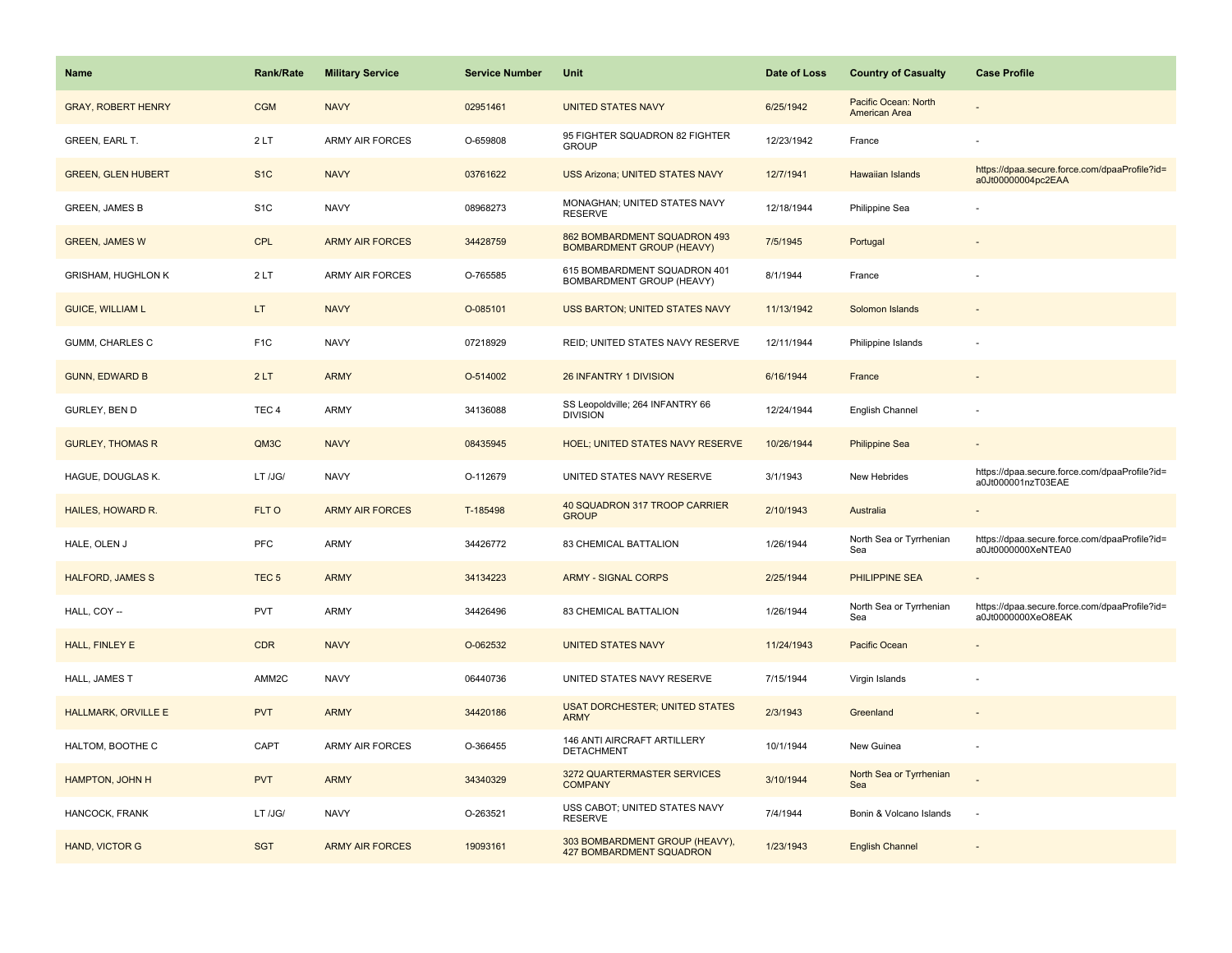| <b>Name</b>                | <b>Rank/Rate</b> | <b>Military Service</b> | <b>Service Number</b> | Unit                                                              | Date of Loss | <b>Country of Casualty</b>            | <b>Case Profile</b>                                                 |
|----------------------------|------------------|-------------------------|-----------------------|-------------------------------------------------------------------|--------------|---------------------------------------|---------------------------------------------------------------------|
| <b>GRAY, ROBERT HENRY</b>  | <b>CGM</b>       | <b>NAVY</b>             | 02951461              | <b>UNITED STATES NAVY</b>                                         | 6/25/1942    | Pacific Ocean: North<br>American Area |                                                                     |
| GREEN, EARL T.             | 2LT              | <b>ARMY AIR FORCES</b>  | O-659808              | 95 FIGHTER SQUADRON 82 FIGHTER<br><b>GROUP</b>                    | 12/23/1942   | France                                |                                                                     |
| <b>GREEN, GLEN HUBERT</b>  | S <sub>1</sub> C | <b>NAVY</b>             | 03761622              | <b>USS Arizona; UNITED STATES NAVY</b>                            | 12/7/1941    | Hawaiian Islands                      | https://dpaa.secure.force.com/dpaaProfile?id=<br>a0Jt00000004pc2EAA |
| <b>GREEN, JAMES B</b>      | S <sub>1</sub> C | <b>NAVY</b>             | 08968273              | MONAGHAN; UNITED STATES NAVY<br><b>RESERVE</b>                    | 12/18/1944   | Philippine Sea                        |                                                                     |
| <b>GREEN, JAMES W</b>      | <b>CPL</b>       | <b>ARMY AIR FORCES</b>  | 34428759              | 862 BOMBARDMENT SQUADRON 493<br><b>BOMBARDMENT GROUP (HEAVY)</b>  | 7/5/1945     | Portugal                              |                                                                     |
| <b>GRISHAM, HUGHLON K</b>  | 2LT              | <b>ARMY AIR FORCES</b>  | O-765585              | 615 BOMBARDMENT SQUADRON 401<br>BOMBARDMENT GROUP (HEAVY)         | 8/1/1944     | France                                |                                                                     |
| <b>GUICE, WILLIAM L</b>    | LT.              | <b>NAVY</b>             | O-085101              | USS BARTON; UNITED STATES NAVY                                    | 11/13/1942   | Solomon Islands                       |                                                                     |
| GUMM, CHARLES C            | F <sub>1C</sub>  | <b>NAVY</b>             | 07218929              | REID; UNITED STATES NAVY RESERVE                                  | 12/11/1944   | Philippine Islands                    |                                                                     |
| <b>GUNN, EDWARD B</b>      | 2LT              | <b>ARMY</b>             | O-514002              | 26 INFANTRY 1 DIVISION                                            | 6/16/1944    | France                                |                                                                     |
| GURLEY, BEN D              | TEC <sub>4</sub> | ARMY                    | 34136088              | SS Leopoldville; 264 INFANTRY 66<br><b>DIVISION</b>               | 12/24/1944   | English Channel                       |                                                                     |
| <b>GURLEY, THOMAS R</b>    | QM3C             | <b>NAVY</b>             | 08435945              | <b>HOEL; UNITED STATES NAVY RESERVE</b>                           | 10/26/1944   | <b>Philippine Sea</b>                 |                                                                     |
| HAGUE, DOUGLAS K.          | LT /JG/          | <b>NAVY</b>             | O-112679              | UNITED STATES NAVY RESERVE                                        | 3/1/1943     | New Hebrides                          | https://dpaa.secure.force.com/dpaaProfile?id=<br>a0Jt000001nzT03EAE |
| <b>HAILES, HOWARD R.</b>   | FLT O            | <b>ARMY AIR FORCES</b>  | T-185498              | 40 SQUADRON 317 TROOP CARRIER<br><b>GROUP</b>                     | 2/10/1943    | Australia                             |                                                                     |
| HALE, OLEN J               | <b>PFC</b>       | <b>ARMY</b>             | 34426772              | 83 CHEMICAL BATTALION                                             | 1/26/1944    | North Sea or Tyrrhenian<br>Sea        | https://dpaa.secure.force.com/dpaaProfile?id=<br>a0Jt0000000XeNTEA0 |
| <b>HALFORD, JAMES S</b>    | TEC <sub>5</sub> | <b>ARMY</b>             | 34134223              | <b>ARMY - SIGNAL CORPS</b>                                        | 2/25/1944    | <b>PHILIPPINE SEA</b>                 |                                                                     |
| HALL, COY --               | <b>PVT</b>       | ARMY                    | 34426496              | 83 CHEMICAL BATTALION                                             | 1/26/1944    | North Sea or Tyrrhenian<br>Sea        | https://dpaa.secure.force.com/dpaaProfile?id=<br>a0Jt0000000XeO8EAK |
| HALL, FINLEY E             | <b>CDR</b>       | <b>NAVY</b>             | O-062532              | <b>UNITED STATES NAVY</b>                                         | 11/24/1943   | Pacific Ocean                         |                                                                     |
| HALL, JAMES T              | AMM2C            | <b>NAVY</b>             | 06440736              | UNITED STATES NAVY RESERVE                                        | 7/15/1944    | Virgin Islands                        |                                                                     |
| <b>HALLMARK, ORVILLE E</b> | <b>PVT</b>       | <b>ARMY</b>             | 34420186              | <b>USAT DORCHESTER; UNITED STATES</b><br><b>ARMY</b>              | 2/3/1943     | Greenland                             |                                                                     |
| HALTOM, BOOTHE C           | CAPT             | <b>ARMY AIR FORCES</b>  | O-366455              | 146 ANTI AIRCRAFT ARTILLERY<br><b>DETACHMENT</b>                  | 10/1/1944    | New Guinea                            |                                                                     |
| HAMPTON, JOHN H            | <b>PVT</b>       | <b>ARMY</b>             | 34340329              | 3272 QUARTERMASTER SERVICES<br><b>COMPANY</b>                     | 3/10/1944    | North Sea or Tyrrhenian<br>Sea        |                                                                     |
| HANCOCK, FRANK             | LT /JG/          | <b>NAVY</b>             | O-263521              | USS CABOT; UNITED STATES NAVY<br><b>RESERVE</b>                   | 7/4/1944     | Bonin & Volcano Islands               | $\sim$                                                              |
| HAND, VICTOR G             | <b>SGT</b>       | <b>ARMY AIR FORCES</b>  | 19093161              | 303 BOMBARDMENT GROUP (HEAVY),<br><b>427 BOMBARDMENT SQUADRON</b> | 1/23/1943    | <b>English Channel</b>                |                                                                     |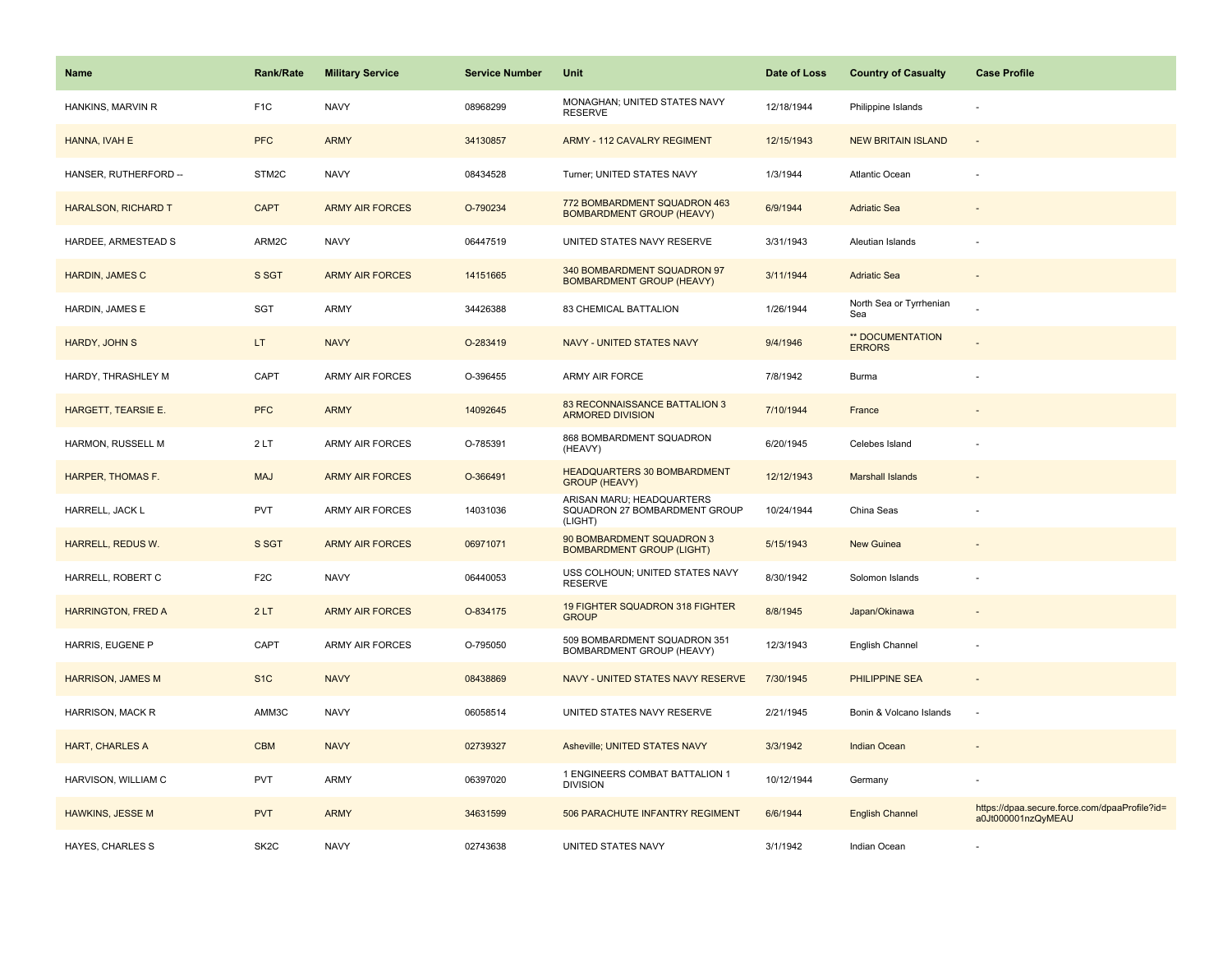| Name                      | <b>Rank/Rate</b>  | <b>Military Service</b> | <b>Service Number</b> | Unit                                                                  | Date of Loss | <b>Country of Casualty</b>        | <b>Case Profile</b>                                                 |
|---------------------------|-------------------|-------------------------|-----------------------|-----------------------------------------------------------------------|--------------|-----------------------------------|---------------------------------------------------------------------|
| HANKINS, MARVIN R         | F <sub>1</sub> C  | <b>NAVY</b>             | 08968299              | MONAGHAN; UNITED STATES NAVY<br><b>RESERVE</b>                        | 12/18/1944   | Philippine Islands                |                                                                     |
| HANNA, IVAH E             | <b>PFC</b>        | <b>ARMY</b>             | 34130857              | <b>ARMY - 112 CAVALRY REGIMENT</b>                                    | 12/15/1943   | <b>NEW BRITAIN ISLAND</b>         | $\sim$                                                              |
| HANSER, RUTHERFORD --     | STM2C             | <b>NAVY</b>             | 08434528              | Turner; UNITED STATES NAVY                                            | 1/3/1944     | <b>Atlantic Ocean</b>             |                                                                     |
| HARALSON, RICHARD T       | <b>CAPT</b>       | <b>ARMY AIR FORCES</b>  | O-790234              | 772 BOMBARDMENT SQUADRON 463<br><b>BOMBARDMENT GROUP (HEAVY)</b>      | 6/9/1944     | <b>Adriatic Sea</b>               |                                                                     |
| HARDEE, ARMESTEAD S       | ARM2C             | <b>NAVY</b>             | 06447519              | UNITED STATES NAVY RESERVE                                            | 3/31/1943    | Aleutian Islands                  |                                                                     |
| HARDIN, JAMES C           | S SGT             | <b>ARMY AIR FORCES</b>  | 14151665              | 340 BOMBARDMENT SQUADRON 97<br><b>BOMBARDMENT GROUP (HEAVY)</b>       | 3/11/1944    | <b>Adriatic Sea</b>               | $\sim$                                                              |
| HARDIN, JAMES E           | SGT               | <b>ARMY</b>             | 34426388              | 83 CHEMICAL BATTALION                                                 | 1/26/1944    | North Sea or Tyrrhenian<br>Sea    |                                                                     |
| HARDY, JOHN S             | LT.               | <b>NAVY</b>             | O-283419              | NAVY - UNITED STATES NAVY                                             | 9/4/1946     | ** DOCUMENTATION<br><b>ERRORS</b> |                                                                     |
| HARDY, THRASHLEY M        | CAPT              | <b>ARMY AIR FORCES</b>  | O-396455              | ARMY AIR FORCE                                                        | 7/8/1942     | Burma                             |                                                                     |
| HARGETT, TEARSIE E.       | <b>PFC</b>        | <b>ARMY</b>             | 14092645              | <b>83 RECONNAISSANCE BATTALION 3</b><br><b>ARMORED DIVISION</b>       | 7/10/1944    | France                            |                                                                     |
| HARMON, RUSSELL M         | 2LT               | ARMY AIR FORCES         | O-785391              | 868 BOMBARDMENT SQUADRON<br>(HEAVY)                                   | 6/20/1945    | Celebes Island                    |                                                                     |
| HARPER, THOMAS F.         | <b>MAJ</b>        | <b>ARMY AIR FORCES</b>  | O-366491              | HEADQUARTERS 30 BOMBARDMENT<br><b>GROUP (HEAVY)</b>                   | 12/12/1943   | <b>Marshall Islands</b>           |                                                                     |
| HARRELL, JACK L           | <b>PVT</b>        | ARMY AIR FORCES         | 14031036              | ARISAN MARU; HEADQUARTERS<br>SQUADRON 27 BOMBARDMENT GROUP<br>(LIGHT) | 10/24/1944   | China Seas                        |                                                                     |
| HARRELL, REDUS W.         | S SGT             | <b>ARMY AIR FORCES</b>  | 06971071              | 90 BOMBARDMENT SQUADRON 3<br><b>BOMBARDMENT GROUP (LIGHT)</b>         | 5/15/1943    | New Guinea                        |                                                                     |
| HARRELL, ROBERT C         | F <sub>2</sub> C  | <b>NAVY</b>             | 06440053              | USS COLHOUN; UNITED STATES NAVY<br><b>RESERVE</b>                     | 8/30/1942    | Solomon Islands                   |                                                                     |
| <b>HARRINGTON, FRED A</b> | 2LT               | <b>ARMY AIR FORCES</b>  | O-834175              | 19 FIGHTER SQUADRON 318 FIGHTER<br><b>GROUP</b>                       | 8/8/1945     | Japan/Okinawa                     |                                                                     |
| HARRIS, EUGENE P          | CAPT              | <b>ARMY AIR FORCES</b>  | O-795050              | 509 BOMBARDMENT SQUADRON 351<br>BOMBARDMENT GROUP (HEAVY)             | 12/3/1943    | English Channel                   |                                                                     |
| <b>HARRISON, JAMES M</b>  | S <sub>1</sub> C  | <b>NAVY</b>             | 08438869              | NAVY - UNITED STATES NAVY RESERVE                                     | 7/30/1945    | PHILIPPINE SEA                    |                                                                     |
| HARRISON, MACK R          | AMM3C             | <b>NAVY</b>             | 06058514              | UNITED STATES NAVY RESERVE                                            | 2/21/1945    | Bonin & Volcano Islands           | $\sim$                                                              |
| <b>HART, CHARLES A</b>    | <b>CBM</b>        | <b>NAVY</b>             | 02739327              | Asheville; UNITED STATES NAVY                                         | 3/3/1942     | <b>Indian Ocean</b>               |                                                                     |
| HARVISON, WILLIAM C       | <b>PVT</b>        | ARMY                    | 06397020              | 1 ENGINEERS COMBAT BATTALION 1<br><b>DIVISION</b>                     | 10/12/1944   | Germany                           |                                                                     |
| <b>HAWKINS, JESSE M</b>   | <b>PVT</b>        | <b>ARMY</b>             | 34631599              | 506 PARACHUTE INFANTRY REGIMENT                                       | 6/6/1944     | <b>English Channel</b>            | https://dpaa.secure.force.com/dpaaProfile?id=<br>a0Jt000001nzQyMEAU |
| HAYES, CHARLES S          | SK <sub>2</sub> C | <b>NAVY</b>             | 02743638              | UNITED STATES NAVY                                                    | 3/1/1942     | Indian Ocean                      |                                                                     |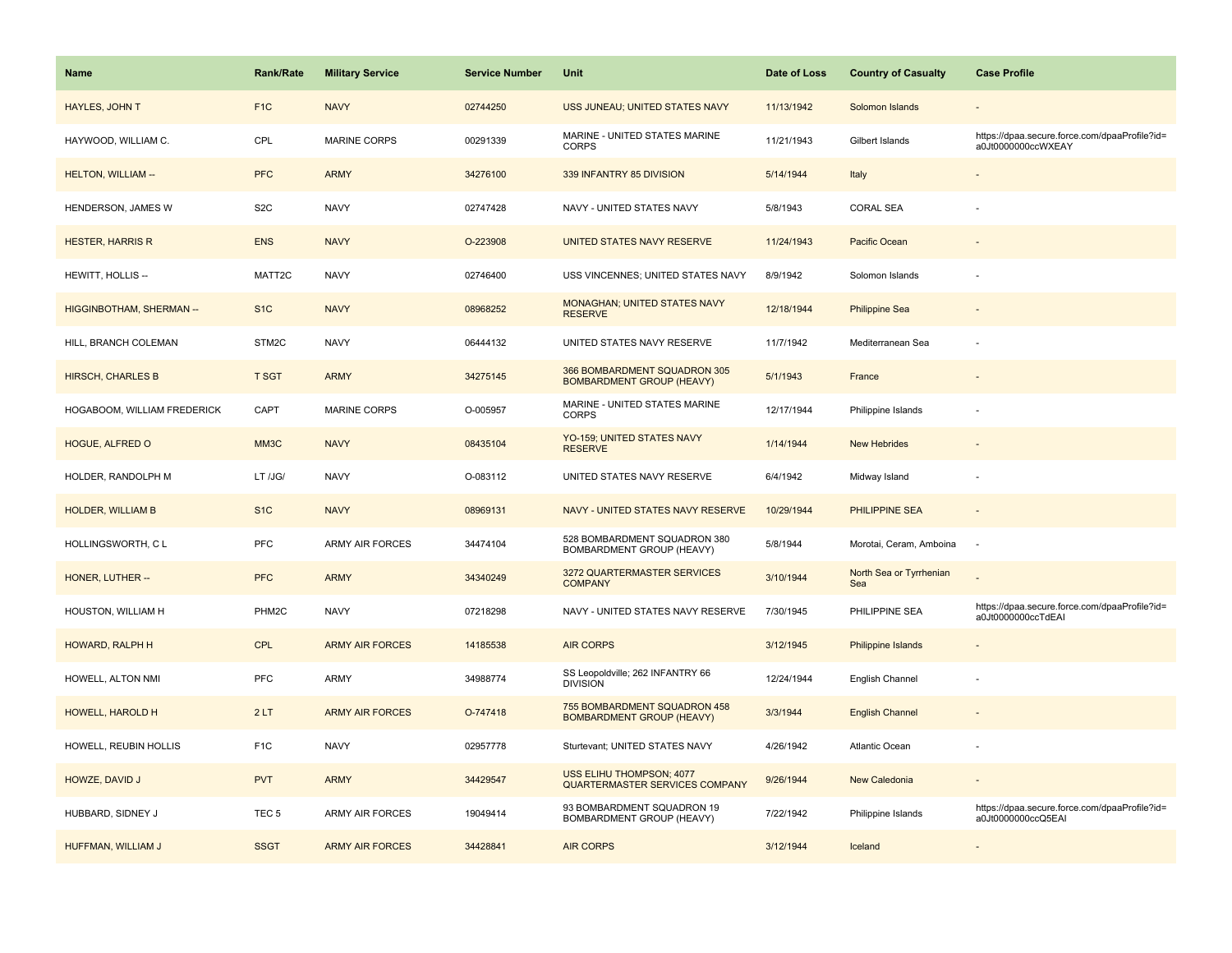| Name                            | <b>Rank/Rate</b> | <b>Military Service</b> | <b>Service Number</b> | Unit                                                              | Date of Loss | <b>Country of Casualty</b>     | <b>Case Profile</b>                                                 |
|---------------------------------|------------------|-------------------------|-----------------------|-------------------------------------------------------------------|--------------|--------------------------------|---------------------------------------------------------------------|
| <b>HAYLES, JOHN T</b>           | F <sub>1C</sub>  | <b>NAVY</b>             | 02744250              | USS JUNEAU; UNITED STATES NAVY                                    | 11/13/1942   | Solomon Islands                |                                                                     |
| HAYWOOD, WILLIAM C.             | CPL              | MARINE CORPS            | 00291339              | MARINE - UNITED STATES MARINE<br><b>CORPS</b>                     | 11/21/1943   | Gilbert Islands                | https://dpaa.secure.force.com/dpaaProfile?id=<br>a0Jt0000000ccWXEAY |
| <b>HELTON, WILLIAM --</b>       | <b>PFC</b>       | <b>ARMY</b>             | 34276100              | 339 INFANTRY 85 DIVISION                                          | 5/14/1944    | Italy                          |                                                                     |
| HENDERSON, JAMES W              | S <sub>2</sub> C | <b>NAVY</b>             | 02747428              | NAVY - UNITED STATES NAVY                                         | 5/8/1943     | <b>CORAL SEA</b>               |                                                                     |
| <b>HESTER, HARRIS R</b>         | <b>ENS</b>       | <b>NAVY</b>             | O-223908              | UNITED STATES NAVY RESERVE                                        | 11/24/1943   | Pacific Ocean                  |                                                                     |
| HEWITT, HOLLIS --               | MATT2C           | <b>NAVY</b>             | 02746400              | USS VINCENNES; UNITED STATES NAVY                                 | 8/9/1942     | Solomon Islands                |                                                                     |
| <b>HIGGINBOTHAM, SHERMAN --</b> | S <sub>1C</sub>  | <b>NAVY</b>             | 08968252              | MONAGHAN; UNITED STATES NAVY<br><b>RESERVE</b>                    | 12/18/1944   | Philippine Sea                 |                                                                     |
| HILL, BRANCH COLEMAN            | STM2C            | <b>NAVY</b>             | 06444132              | UNITED STATES NAVY RESERVE                                        | 11/7/1942    | Mediterranean Sea              |                                                                     |
| <b>HIRSCH, CHARLES B</b>        | <b>T SGT</b>     | <b>ARMY</b>             | 34275145              | 366 BOMBARDMENT SQUADRON 305<br><b>BOMBARDMENT GROUP (HEAVY)</b>  | 5/1/1943     | France                         |                                                                     |
| HOGABOOM, WILLIAM FREDERICK     | CAPT             | MARINE CORPS            | O-005957              | MARINE - UNITED STATES MARINE<br><b>CORPS</b>                     | 12/17/1944   | Philippine Islands             |                                                                     |
| HOGUE, ALFRED O                 | MM3C             | <b>NAVY</b>             | 08435104              | YO-159; UNITED STATES NAVY<br><b>RESERVE</b>                      | 1/14/1944    | <b>New Hebrides</b>            |                                                                     |
| HOLDER, RANDOLPH M              | LT /JG/          | <b>NAVY</b>             | O-083112              | UNITED STATES NAVY RESERVE                                        | 6/4/1942     | Midway Island                  |                                                                     |
| <b>HOLDER, WILLIAM B</b>        | S <sub>1</sub> C | <b>NAVY</b>             | 08969131              | NAVY - UNITED STATES NAVY RESERVE                                 | 10/29/1944   | PHILIPPINE SEA                 |                                                                     |
| HOLLINGSWORTH, CL               | PFC              | <b>ARMY AIR FORCES</b>  | 34474104              | 528 BOMBARDMENT SQUADRON 380<br>BOMBARDMENT GROUP (HEAVY)         | 5/8/1944     | Morotai, Ceram, Amboina        | $\sim$                                                              |
| HONER, LUTHER --                | <b>PFC</b>       | <b>ARMY</b>             | 34340249              | 3272 QUARTERMASTER SERVICES<br><b>COMPANY</b>                     | 3/10/1944    | North Sea or Tyrrhenian<br>Sea |                                                                     |
| HOUSTON, WILLIAM H              | PHM2C            | <b>NAVY</b>             | 07218298              | NAVY - UNITED STATES NAVY RESERVE                                 | 7/30/1945    | PHILIPPINE SEA                 | https://dpaa.secure.force.com/dpaaProfile?id=<br>a0Jt0000000ccTdEAI |
| HOWARD, RALPH H                 | <b>CPL</b>       | <b>ARMY AIR FORCES</b>  | 14185538              | <b>AIR CORPS</b>                                                  | 3/12/1945    | Philippine Islands             |                                                                     |
| HOWELL, ALTON NMI               | PFC              | ARMY                    | 34988774              | SS Leopoldville; 262 INFANTRY 66<br><b>DIVISION</b>               | 12/24/1944   | English Channel                |                                                                     |
| HOWELL, HAROLD H                | 2LT              | <b>ARMY AIR FORCES</b>  | O-747418              | 755 BOMBARDMENT SQUADRON 458<br><b>BOMBARDMENT GROUP (HEAVY)</b>  | 3/3/1944     | <b>English Channel</b>         |                                                                     |
| HOWELL, REUBIN HOLLIS           | F <sub>1C</sub>  | <b>NAVY</b>             | 02957778              | Sturtevant; UNITED STATES NAVY                                    | 4/26/1942    | <b>Atlantic Ocean</b>          |                                                                     |
| HOWZE, DAVID J                  | <b>PVT</b>       | <b>ARMY</b>             | 34429547              | <b>USS ELIHU THOMPSON; 4077</b><br>QUARTERMASTER SERVICES COMPANY | 9/26/1944    | <b>New Caledonia</b>           |                                                                     |
| HUBBARD, SIDNEY J               | TEC <sub>5</sub> | ARMY AIR FORCES         | 19049414              | 93 BOMBARDMENT SQUADRON 19<br>BOMBARDMENT GROUP (HEAVY)           | 7/22/1942    | Philippine Islands             | https://dpaa.secure.force.com/dpaaProfile?id=<br>a0Jt0000000ccQ5EAI |
| HUFFMAN, WILLIAM J              | <b>SSGT</b>      | <b>ARMY AIR FORCES</b>  | 34428841              | <b>AIR CORPS</b>                                                  | 3/12/1944    | Iceland                        |                                                                     |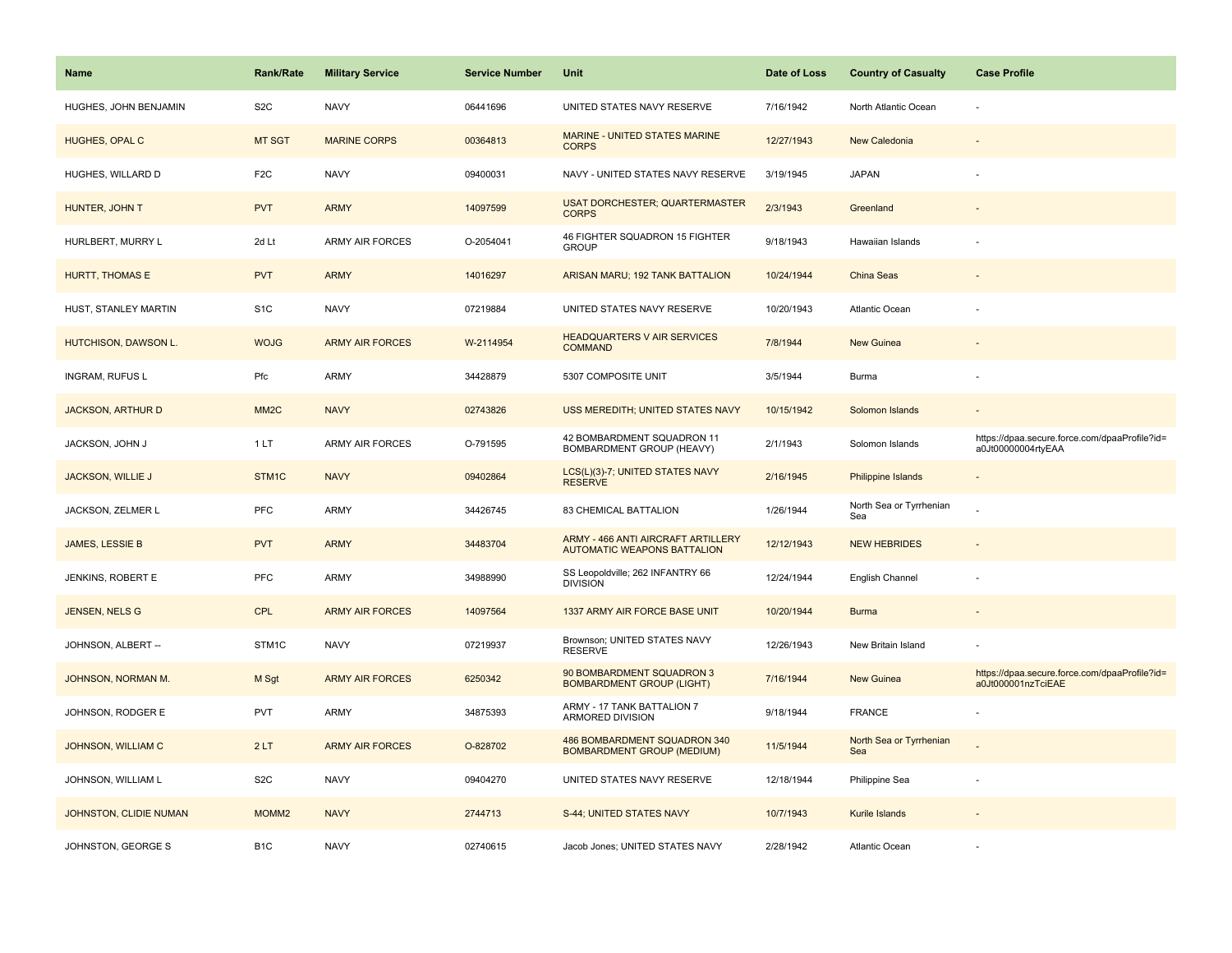| <b>Name</b>                 | <b>Rank/Rate</b>  | <b>Military Service</b> | <b>Service Number</b> | Unit                                                                     | Date of Loss | <b>Country of Casualty</b>     | <b>Case Profile</b>                                                 |
|-----------------------------|-------------------|-------------------------|-----------------------|--------------------------------------------------------------------------|--------------|--------------------------------|---------------------------------------------------------------------|
| HUGHES, JOHN BENJAMIN       | S <sub>2</sub> C  | <b>NAVY</b>             | 06441696              | UNITED STATES NAVY RESERVE                                               | 7/16/1942    | North Atlantic Ocean           |                                                                     |
| HUGHES, OPAL C              | MT SGT            | <b>MARINE CORPS</b>     | 00364813              | MARINE - UNITED STATES MARINE<br><b>CORPS</b>                            | 12/27/1943   | New Caledonia                  |                                                                     |
| HUGHES, WILLARD D           | F <sub>2</sub> C  | <b>NAVY</b>             | 09400031              | NAVY - UNITED STATES NAVY RESERVE                                        | 3/19/1945    | <b>JAPAN</b>                   |                                                                     |
| HUNTER, JOHN T              | <b>PVT</b>        | <b>ARMY</b>             | 14097599              | <b>USAT DORCHESTER; QUARTERMASTER</b><br><b>CORPS</b>                    | 2/3/1943     | Greenland                      |                                                                     |
| HURLBERT, MURRY L           | 2d Lt             | <b>ARMY AIR FORCES</b>  | O-2054041             | 46 FIGHTER SQUADRON 15 FIGHTER<br><b>GROUP</b>                           | 9/18/1943    | Hawaiian Islands               |                                                                     |
| <b>HURTT, THOMAS E</b>      | <b>PVT</b>        | <b>ARMY</b>             | 14016297              | ARISAN MARU; 192 TANK BATTALION                                          | 10/24/1944   | China Seas                     |                                                                     |
| HUST, STANLEY MARTIN        | S <sub>1</sub> C  | <b>NAVY</b>             | 07219884              | UNITED STATES NAVY RESERVE                                               | 10/20/1943   | <b>Atlantic Ocean</b>          |                                                                     |
| <b>HUTCHISON, DAWSON L.</b> | <b>WOJG</b>       | <b>ARMY AIR FORCES</b>  | W-2114954             | <b>HEADQUARTERS V AIR SERVICES</b><br><b>COMMAND</b>                     | 7/8/1944     | <b>New Guinea</b>              |                                                                     |
| <b>INGRAM, RUFUS L</b>      | Pfc               | ARMY                    | 34428879              | 5307 COMPOSITE UNIT                                                      | 3/5/1944     | Burma                          |                                                                     |
| <b>JACKSON, ARTHUR D</b>    | MM <sub>2</sub> C | <b>NAVY</b>             | 02743826              | USS MEREDITH; UNITED STATES NAVY                                         | 10/15/1942   | Solomon Islands                |                                                                     |
| JACKSON, JOHN J             | 1 LT              | <b>ARMY AIR FORCES</b>  | O-791595              | 42 BOMBARDMENT SQUADRON 11<br>BOMBARDMENT GROUP (HEAVY)                  | 2/1/1943     | Solomon Islands                | https://dpaa.secure.force.com/dpaaProfile?id=<br>a0Jt00000004rtyEAA |
| <b>JACKSON, WILLIE J</b>    | STM1C             | <b>NAVY</b>             | 09402864              | LCS(L)(3)-7; UNITED STATES NAVY<br><b>RESERVE</b>                        | 2/16/1945    | Philippine Islands             |                                                                     |
| JACKSON, ZELMER L           | <b>PFC</b>        | ARMY                    | 34426745              | 83 CHEMICAL BATTALION                                                    | 1/26/1944    | North Sea or Tyrrhenian<br>Sea |                                                                     |
| JAMES, LESSIE B             | <b>PVT</b>        | <b>ARMY</b>             | 34483704              | ARMY - 466 ANTI AIRCRAFT ARTILLERY<br><b>AUTOMATIC WEAPONS BATTALION</b> | 12/12/1943   | <b>NEW HEBRIDES</b>            |                                                                     |
| JENKINS, ROBERT E           | <b>PFC</b>        | ARMY                    | 34988990              | SS Leopoldville; 262 INFANTRY 66<br><b>DIVISION</b>                      | 12/24/1944   | English Channel                |                                                                     |
| <b>JENSEN, NELS G</b>       | CPL               | <b>ARMY AIR FORCES</b>  | 14097564              | 1337 ARMY AIR FORCE BASE UNIT                                            | 10/20/1944   | <b>Burma</b>                   |                                                                     |
| JOHNSON, ALBERT --          | STM1C             | <b>NAVY</b>             | 07219937              | Brownson; UNITED STATES NAVY<br><b>RESERVE</b>                           | 12/26/1943   | New Britain Island             |                                                                     |
| JOHNSON, NORMAN M.          | M Sgt             | <b>ARMY AIR FORCES</b>  | 6250342               | 90 BOMBARDMENT SQUADRON 3<br><b>BOMBARDMENT GROUP (LIGHT)</b>            | 7/16/1944    | <b>New Guinea</b>              | https://dpaa.secure.force.com/dpaaProfile?id=<br>a0Jt000001nzTciEAE |
| JOHNSON, RODGER E           | <b>PVT</b>        | <b>ARMY</b>             | 34875393              | ARMY - 17 TANK BATTALION 7<br>ARMORED DIVISION                           | 9/18/1944    | <b>FRANCE</b>                  |                                                                     |
| JOHNSON, WILLIAM C          | 2LT               | <b>ARMY AIR FORCES</b>  | O-828702              | 486 BOMBARDMENT SQUADRON 340<br><b>BOMBARDMENT GROUP (MEDIUM)</b>        | 11/5/1944    | North Sea or Tyrrhenian<br>Sea |                                                                     |
| JOHNSON, WILLIAM L          | S <sub>2</sub> C  | <b>NAVY</b>             | 09404270              | UNITED STATES NAVY RESERVE                                               | 12/18/1944   | Philippine Sea                 |                                                                     |
| JOHNSTON, CLIDIE NUMAN      | MOMM <sub>2</sub> | <b>NAVY</b>             | 2744713               | S-44; UNITED STATES NAVY                                                 | 10/7/1943    | Kurile Islands                 |                                                                     |
| JOHNSTON, GEORGE S          | B <sub>1</sub> C  | <b>NAVY</b>             | 02740615              | Jacob Jones; UNITED STATES NAVY                                          | 2/28/1942    | Atlantic Ocean                 |                                                                     |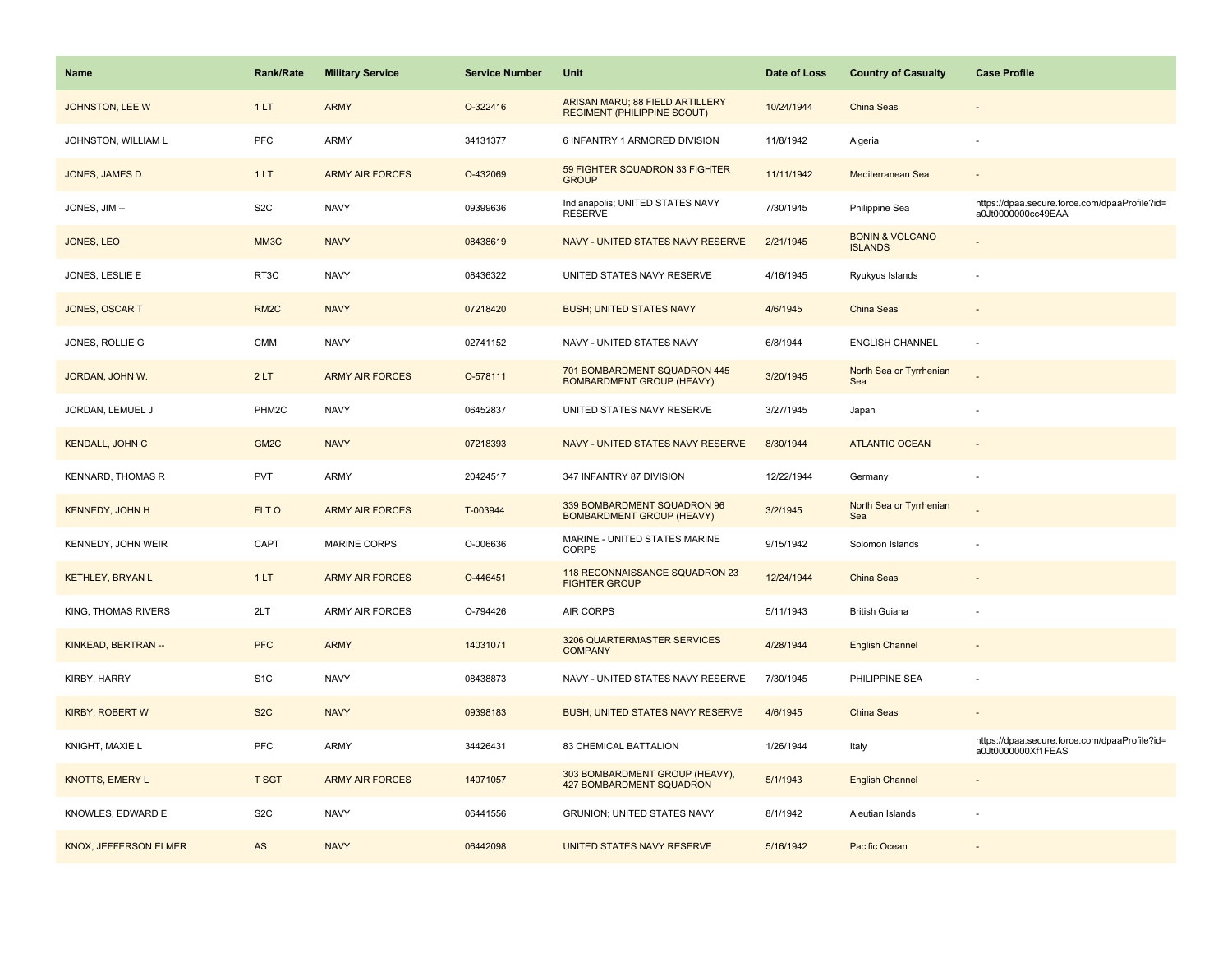| <b>Name</b>              | <b>Rank/Rate</b>  | <b>Military Service</b> | <b>Service Number</b> | <b>Unit</b>                                                           | Date of Loss | <b>Country of Casualty</b>                   | <b>Case Profile</b>                                                 |
|--------------------------|-------------------|-------------------------|-----------------------|-----------------------------------------------------------------------|--------------|----------------------------------------------|---------------------------------------------------------------------|
| JOHNSTON, LEE W          | 1LT               | <b>ARMY</b>             | O-322416              | ARISAN MARU; 88 FIELD ARTILLERY<br><b>REGIMENT (PHILIPPINE SCOUT)</b> | 10/24/1944   | China Seas                                   |                                                                     |
| JOHNSTON, WILLIAM L      | PFC               | ARMY                    | 34131377              | 6 INFANTRY 1 ARMORED DIVISION                                         | 11/8/1942    | Algeria                                      |                                                                     |
| <b>JONES, JAMES D</b>    | 1LT               | <b>ARMY AIR FORCES</b>  | O-432069              | 59 FIGHTER SQUADRON 33 FIGHTER<br><b>GROUP</b>                        | 11/11/1942   | Mediterranean Sea                            |                                                                     |
| JONES, JIM --            | S <sub>2</sub> C  | <b>NAVY</b>             | 09399636              | Indianapolis; UNITED STATES NAVY<br><b>RESERVE</b>                    | 7/30/1945    | Philippine Sea                               | https://dpaa.secure.force.com/dpaaProfile?id=<br>a0Jt0000000cc49EAA |
| JONES, LEO               | MM <sub>3</sub> C | <b>NAVY</b>             | 08438619              | NAVY - UNITED STATES NAVY RESERVE                                     | 2/21/1945    | <b>BONIN &amp; VOLCANO</b><br><b>ISLANDS</b> |                                                                     |
| JONES, LESLIE E          | RT3C              | <b>NAVY</b>             | 08436322              | UNITED STATES NAVY RESERVE                                            | 4/16/1945    | Ryukyus Islands                              |                                                                     |
| JONES, OSCAR T           | RM <sub>2</sub> C | <b>NAVY</b>             | 07218420              | <b>BUSH; UNITED STATES NAVY</b>                                       | 4/6/1945     | China Seas                                   | $\sim$                                                              |
| JONES, ROLLIE G          | <b>CMM</b>        | <b>NAVY</b>             | 02741152              | NAVY - UNITED STATES NAVY                                             | 6/8/1944     | <b>ENGLISH CHANNEL</b>                       |                                                                     |
| JORDAN, JOHN W.          | 2LT               | <b>ARMY AIR FORCES</b>  | O-578111              | 701 BOMBARDMENT SQUADRON 445<br><b>BOMBARDMENT GROUP (HEAVY)</b>      | 3/20/1945    | North Sea or Tyrrhenian<br>Sea               |                                                                     |
| JORDAN, LEMUEL J         | PHM2C             | <b>NAVY</b>             | 06452837              | UNITED STATES NAVY RESERVE                                            | 3/27/1945    | Japan                                        |                                                                     |
| <b>KENDALL, JOHN C</b>   | GM <sub>2</sub> C | <b>NAVY</b>             | 07218393              | NAVY - UNITED STATES NAVY RESERVE                                     | 8/30/1944    | <b>ATLANTIC OCEAN</b>                        |                                                                     |
| <b>KENNARD, THOMAS R</b> | <b>PVT</b>        | <b>ARMY</b>             | 20424517              | 347 INFANTRY 87 DIVISION                                              | 12/22/1944   | Germany                                      |                                                                     |
| <b>KENNEDY, JOHN H</b>   | FLT O             | <b>ARMY AIR FORCES</b>  | T-003944              | 339 BOMBARDMENT SQUADRON 96<br><b>BOMBARDMENT GROUP (HEAVY)</b>       | 3/2/1945     | North Sea or Tyrrhenian<br>Sea               |                                                                     |
| KENNEDY, JOHN WEIR       | CAPT              | <b>MARINE CORPS</b>     | O-006636              | MARINE - UNITED STATES MARINE<br><b>CORPS</b>                         | 9/15/1942    | Solomon Islands                              |                                                                     |
| <b>KETHLEY, BRYAN L</b>  | 1LT               | <b>ARMY AIR FORCES</b>  | O-446451              | 118 RECONNAISSANCE SQUADRON 23<br><b>FIGHTER GROUP</b>                | 12/24/1944   | China Seas                                   |                                                                     |
| KING, THOMAS RIVERS      | 2LT               | <b>ARMY AIR FORCES</b>  | O-794426              | <b>AIR CORPS</b>                                                      | 5/11/1943    | <b>British Guiana</b>                        |                                                                     |
| KINKEAD, BERTRAN --      | <b>PFC</b>        | <b>ARMY</b>             | 14031071              | 3206 QUARTERMASTER SERVICES<br><b>COMPANY</b>                         | 4/28/1944    | <b>English Channel</b>                       |                                                                     |
| KIRBY, HARRY             | S <sub>1</sub> C  | <b>NAVY</b>             | 08438873              | NAVY - UNITED STATES NAVY RESERVE                                     | 7/30/1945    | PHILIPPINE SEA                               |                                                                     |
| <b>KIRBY, ROBERT W</b>   | S <sub>2</sub> C  | <b>NAVY</b>             | 09398183              | <b>BUSH; UNITED STATES NAVY RESERVE</b>                               | 4/6/1945     | China Seas                                   |                                                                     |
| KNIGHT, MAXIE L          | <b>PFC</b>        | ARMY                    | 34426431              | 83 CHEMICAL BATTALION                                                 | 1/26/1944    | Italy                                        | https://dpaa.secure.force.com/dpaaProfile?id=<br>a0Jt0000000Xf1FEAS |
| KNOTTS, EMERY L          | <b>T SGT</b>      | <b>ARMY AIR FORCES</b>  | 14071057              | 303 BOMBARDMENT GROUP (HEAVY),<br>427 BOMBARDMENT SQUADRON            | 5/1/1943     | <b>English Channel</b>                       |                                                                     |
| KNOWLES, EDWARD E        | S <sub>2</sub> C  | <b>NAVY</b>             | 06441556              | <b>GRUNION; UNITED STATES NAVY</b>                                    | 8/1/1942     | Aleutian Islands                             |                                                                     |
| KNOX, JEFFERSON ELMER    | AS                | <b>NAVY</b>             | 06442098              | UNITED STATES NAVY RESERVE                                            | 5/16/1942    | Pacific Ocean                                |                                                                     |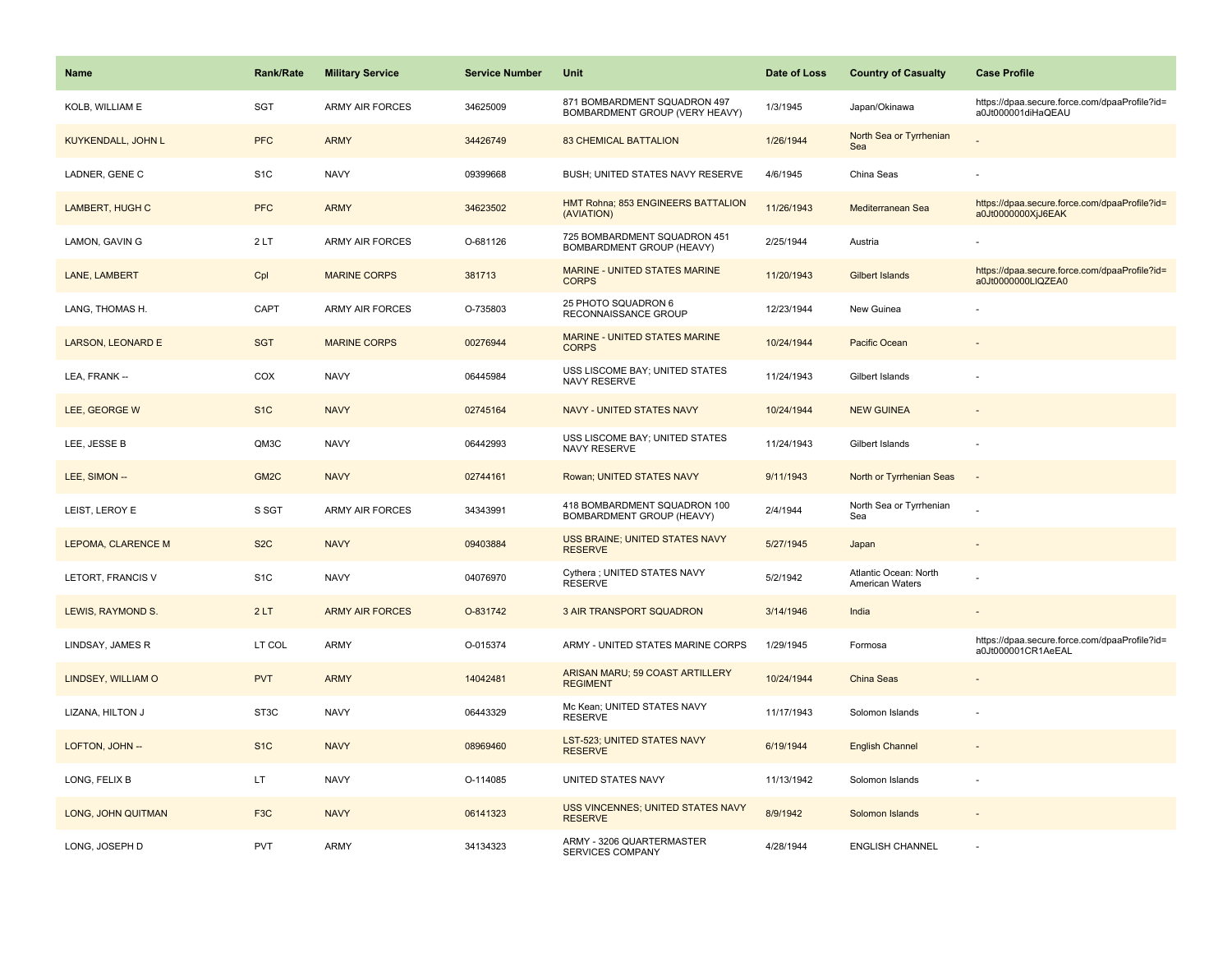| <b>Name</b>               | <b>Rank/Rate</b>  | <b>Military Service</b> | <b>Service Number</b> | Unit                                                             | Date of Loss | <b>Country of Casualty</b>               | <b>Case Profile</b>                                                 |
|---------------------------|-------------------|-------------------------|-----------------------|------------------------------------------------------------------|--------------|------------------------------------------|---------------------------------------------------------------------|
| KOLB, WILLIAM E           | <b>SGT</b>        | <b>ARMY AIR FORCES</b>  | 34625009              | 871 BOMBARDMENT SQUADRON 497<br>BOMBARDMENT GROUP (VERY HEAVY)   | 1/3/1945     | Japan/Okinawa                            | https://dpaa.secure.force.com/dpaaProfile?id=<br>a0Jt000001diHaQEAU |
| <b>KUYKENDALL, JOHN L</b> | <b>PFC</b>        | <b>ARMY</b>             | 34426749              | <b>83 CHEMICAL BATTALION</b>                                     | 1/26/1944    | North Sea or Tyrrhenian<br>Sea           |                                                                     |
| LADNER, GENE C            | S <sub>1</sub> C  | <b>NAVY</b>             | 09399668              | BUSH; UNITED STATES NAVY RESERVE                                 | 4/6/1945     | China Seas                               |                                                                     |
| LAMBERT, HUGH C           | <b>PFC</b>        | <b>ARMY</b>             | 34623502              | HMT Rohna; 853 ENGINEERS BATTALION<br>(AVIATION)                 | 11/26/1943   | Mediterranean Sea                        | https://dpaa.secure.force.com/dpaaProfile?id=<br>a0Jt0000000XjJ6EAK |
| LAMON, GAVIN G            | 2LT               | <b>ARMY AIR FORCES</b>  | O-681126              | 725 BOMBARDMENT SQUADRON 451<br><b>BOMBARDMENT GROUP (HEAVY)</b> | 2/25/1944    | Austria                                  |                                                                     |
| LANE, LAMBERT             | Cpl               | <b>MARINE CORPS</b>     | 381713                | MARINE - UNITED STATES MARINE<br><b>CORPS</b>                    | 11/20/1943   | Gilbert Islands                          | https://dpaa.secure.force.com/dpaaProfile?id=<br>a0Jt0000000LIQZEA0 |
| LANG, THOMAS H.           | CAPT              | <b>ARMY AIR FORCES</b>  | O-735803              | 25 PHOTO SQUADRON 6<br>RECONNAISSANCE GROUP                      | 12/23/1944   | New Guinea                               |                                                                     |
| LARSON, LEONARD E         | <b>SGT</b>        | <b>MARINE CORPS</b>     | 00276944              | <b>MARINE - UNITED STATES MARINE</b><br><b>CORPS</b>             | 10/24/1944   | Pacific Ocean                            |                                                                     |
| LEA, FRANK --             | COX               | <b>NAVY</b>             | 06445984              | USS LISCOME BAY; UNITED STATES<br>NAVY RESERVE                   | 11/24/1943   | Gilbert Islands                          |                                                                     |
| LEE, GEORGE W             | S <sub>1C</sub>   | <b>NAVY</b>             | 02745164              | NAVY - UNITED STATES NAVY                                        | 10/24/1944   | <b>NEW GUINEA</b>                        |                                                                     |
| LEE, JESSE B              | QM3C              | <b>NAVY</b>             | 06442993              | USS LISCOME BAY; UNITED STATES<br>NAVY RESERVE                   | 11/24/1943   | Gilbert Islands                          |                                                                     |
| LEE, SIMON --             | GM <sub>2</sub> C | <b>NAVY</b>             | 02744161              | Rowan; UNITED STATES NAVY                                        | 9/11/1943    | North or Tyrrhenian Seas                 | $\overline{\phantom{a}}$                                            |
| LEIST, LEROY E            | S SGT             | <b>ARMY AIR FORCES</b>  | 34343991              | 418 BOMBARDMENT SQUADRON 100<br>BOMBARDMENT GROUP (HEAVY)        | 2/4/1944     | North Sea or Tyrrhenian<br>Sea           |                                                                     |
| LEPOMA, CLARENCE M        | S <sub>2</sub> C  | <b>NAVY</b>             | 09403884              | USS BRAINE; UNITED STATES NAVY<br><b>RESERVE</b>                 | 5/27/1945    | Japan                                    |                                                                     |
| LETORT, FRANCIS V         | S <sub>1</sub> C  | <b>NAVY</b>             | 04076970              | Cythera ; UNITED STATES NAVY<br><b>RESERVE</b>                   | 5/2/1942     | Atlantic Ocean: North<br>American Waters |                                                                     |
| LEWIS, RAYMOND S.         | 2LT               | <b>ARMY AIR FORCES</b>  | O-831742              | 3 AIR TRANSPORT SQUADRON                                         | 3/14/1946    | India                                    |                                                                     |
| LINDSAY, JAMES R          | LT COL            | <b>ARMY</b>             | O-015374              | ARMY - UNITED STATES MARINE CORPS                                | 1/29/1945    | Formosa                                  | https://dpaa.secure.force.com/dpaaProfile?id=<br>a0Jt000001CR1AeEAL |
| LINDSEY, WILLIAM O        | <b>PVT</b>        | <b>ARMY</b>             | 14042481              | ARISAN MARU; 59 COAST ARTILLERY<br><b>REGIMENT</b>               | 10/24/1944   | China Seas                               |                                                                     |
| LIZANA, HILTON J          | ST3C              | <b>NAVY</b>             | 06443329              | Mc Kean; UNITED STATES NAVY<br><b>RESERVE</b>                    | 11/17/1943   | Solomon Islands                          |                                                                     |
| LOFTON, JOHN --           | S <sub>1</sub> C  | <b>NAVY</b>             | 08969460              | <b>LST-523; UNITED STATES NAVY</b><br><b>RESERVE</b>             | 6/19/1944    | <b>English Channel</b>                   |                                                                     |
| LONG, FELIX B             | LT                | <b>NAVY</b>             | O-114085              | UNITED STATES NAVY                                               | 11/13/1942   | Solomon Islands                          |                                                                     |
| LONG, JOHN QUITMAN        | F <sub>3</sub> C  | <b>NAVY</b>             | 06141323              | USS VINCENNES; UNITED STATES NAVY<br><b>RESERVE</b>              | 8/9/1942     | Solomon Islands                          |                                                                     |
| LONG, JOSEPH D            | PVT               | <b>ARMY</b>             | 34134323              | ARMY - 3206 QUARTERMASTER<br><b>SERVICES COMPANY</b>             | 4/28/1944    | <b>ENGLISH CHANNEL</b>                   |                                                                     |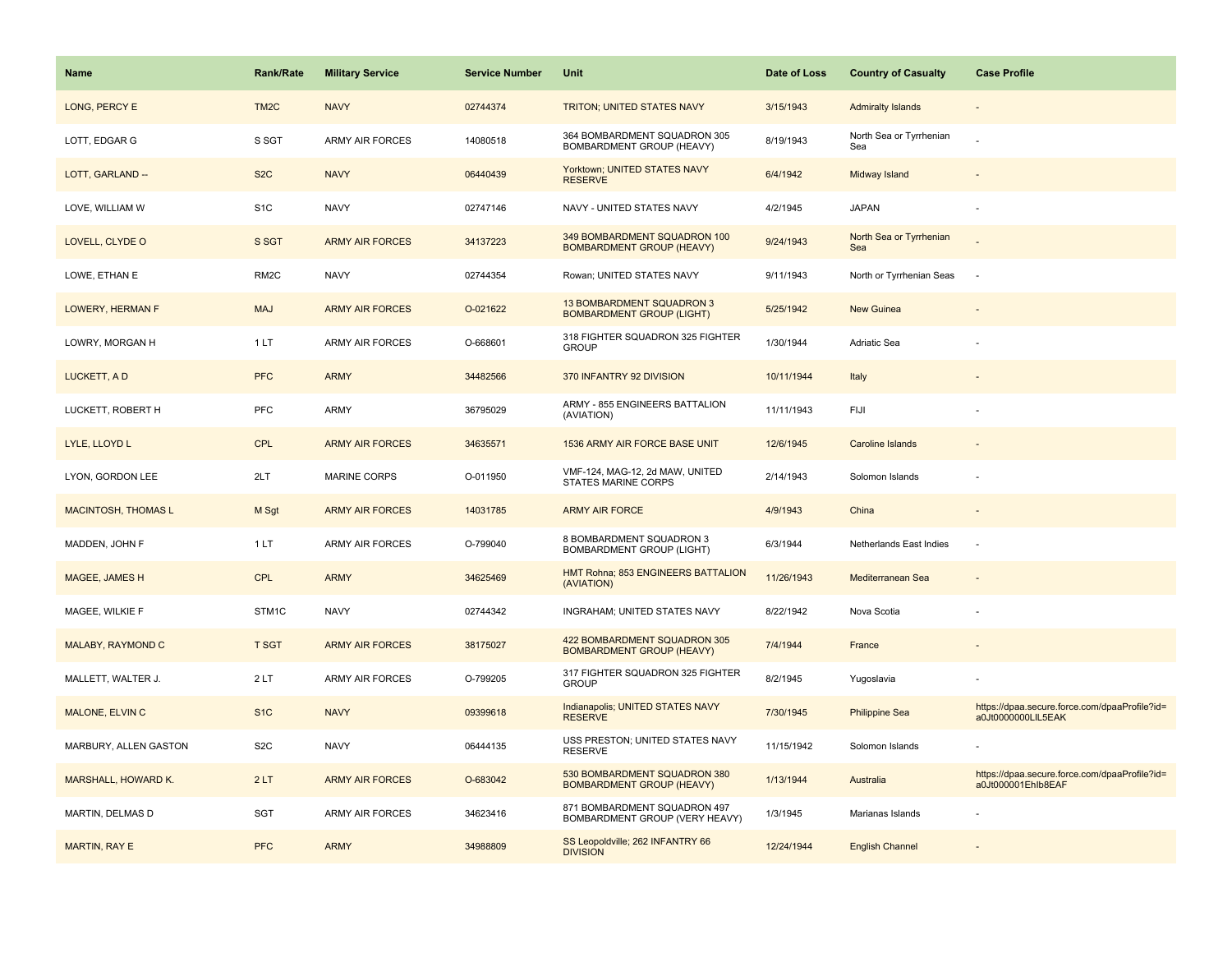| <b>Name</b>                | <b>Rank/Rate</b>  | <b>Military Service</b> | <b>Service Number</b> | Unit                                                             | Date of Loss | <b>Country of Casualty</b>     | <b>Case Profile</b>                                                 |
|----------------------------|-------------------|-------------------------|-----------------------|------------------------------------------------------------------|--------------|--------------------------------|---------------------------------------------------------------------|
| LONG, PERCY E              | TM <sub>2</sub> C | <b>NAVY</b>             | 02744374              | <b>TRITON; UNITED STATES NAVY</b>                                | 3/15/1943    | <b>Admiralty Islands</b>       |                                                                     |
| LOTT, EDGAR G              | S SGT             | ARMY AIR FORCES         | 14080518              | 364 BOMBARDMENT SQUADRON 305<br>BOMBARDMENT GROUP (HEAVY)        | 8/19/1943    | North Sea or Tyrrhenian<br>Sea |                                                                     |
| LOTT, GARLAND --           | S <sub>2</sub> C  | <b>NAVY</b>             | 06440439              | Yorktown; UNITED STATES NAVY<br><b>RESERVE</b>                   | 6/4/1942     | Midway Island                  |                                                                     |
| LOVE, WILLIAM W            | S <sub>1</sub> C  | <b>NAVY</b>             | 02747146              | NAVY - UNITED STATES NAVY                                        | 4/2/1945     | <b>JAPAN</b>                   |                                                                     |
| LOVELL, CLYDE O            | S SGT             | <b>ARMY AIR FORCES</b>  | 34137223              | 349 BOMBARDMENT SQUADRON 100<br><b>BOMBARDMENT GROUP (HEAVY)</b> | 9/24/1943    | North Sea or Tyrrhenian<br>Sea |                                                                     |
| LOWE, ETHAN E              | RM <sub>2</sub> C | <b>NAVY</b>             | 02744354              | Rowan; UNITED STATES NAVY                                        | 9/11/1943    | North or Tyrrhenian Seas       | ÷.                                                                  |
| LOWERY, HERMAN F           | <b>MAJ</b>        | <b>ARMY AIR FORCES</b>  | O-021622              | 13 BOMBARDMENT SQUADRON 3<br><b>BOMBARDMENT GROUP (LIGHT)</b>    | 5/25/1942    | New Guinea                     |                                                                     |
| LOWRY, MORGAN H            | 1LT               | <b>ARMY AIR FORCES</b>  | O-668601              | 318 FIGHTER SQUADRON 325 FIGHTER<br><b>GROUP</b>                 | 1/30/1944    | Adriatic Sea                   |                                                                     |
| LUCKETT, A D               | <b>PFC</b>        | <b>ARMY</b>             | 34482566              | 370 INFANTRY 92 DIVISION                                         | 10/11/1944   | Italy                          |                                                                     |
| LUCKETT, ROBERT H          | <b>PFC</b>        | ARMY                    | 36795029              | ARMY - 855 ENGINEERS BATTALION<br>(AVIATION)                     | 11/11/1943   | <b>FIJI</b>                    |                                                                     |
| LYLE, LLOYD L              | CPL               | <b>ARMY AIR FORCES</b>  | 34635571              | 1536 ARMY AIR FORCE BASE UNIT                                    | 12/6/1945    | <b>Caroline Islands</b>        |                                                                     |
| LYON, GORDON LEE           | 2LT               | <b>MARINE CORPS</b>     | O-011950              | VMF-124, MAG-12, 2d MAW, UNITED<br><b>STATES MARINE CORPS</b>    | 2/14/1943    | Solomon Islands                |                                                                     |
| <b>MACINTOSH, THOMAS L</b> | M Sgt             | <b>ARMY AIR FORCES</b>  | 14031785              | <b>ARMY AIR FORCE</b>                                            | 4/9/1943     | China                          |                                                                     |
| MADDEN, JOHN F             | 1LT               | <b>ARMY AIR FORCES</b>  | O-799040              | 8 BOMBARDMENT SQUADRON 3<br><b>BOMBARDMENT GROUP (LIGHT)</b>     | 6/3/1944     | Netherlands East Indies        |                                                                     |
| MAGEE, JAMES H             | CPL               | <b>ARMY</b>             | 34625469              | HMT Rohna; 853 ENGINEERS BATTALION<br>(AVIATION)                 | 11/26/1943   | Mediterranean Sea              |                                                                     |
| MAGEE, WILKIE F            | STM1C             | <b>NAVY</b>             | 02744342              | INGRAHAM; UNITED STATES NAVY                                     | 8/22/1942    | Nova Scotia                    |                                                                     |
| MALABY, RAYMOND C          | <b>T SGT</b>      | <b>ARMY AIR FORCES</b>  | 38175027              | 422 BOMBARDMENT SQUADRON 305<br><b>BOMBARDMENT GROUP (HEAVY)</b> | 7/4/1944     | France                         |                                                                     |
| MALLETT, WALTER J.         | 2LT               | <b>ARMY AIR FORCES</b>  | O-799205              | 317 FIGHTER SQUADRON 325 FIGHTER<br><b>GROUP</b>                 | 8/2/1945     | Yugoslavia                     |                                                                     |
| MALONE, ELVIN C            | S <sub>1</sub> C  | <b>NAVY</b>             | 09399618              | Indianapolis; UNITED STATES NAVY<br><b>RESERVE</b>               | 7/30/1945    | <b>Philippine Sea</b>          | https://dpaa.secure.force.com/dpaaProfile?id=<br>a0Jt0000000LIL5EAK |
| MARBURY, ALLEN GASTON      | S <sub>2</sub> C  | <b>NAVY</b>             | 06444135              | USS PRESTON; UNITED STATES NAVY<br><b>RESERVE</b>                | 11/15/1942   | Solomon Islands                |                                                                     |
| <b>MARSHALL, HOWARD K.</b> | 2LT               | <b>ARMY AIR FORCES</b>  | O-683042              | 530 BOMBARDMENT SQUADRON 380<br><b>BOMBARDMENT GROUP (HEAVY)</b> | 1/13/1944    | Australia                      | https://dpaa.secure.force.com/dpaaProfile?id=<br>a0Jt000001Ehlb8EAF |
| MARTIN, DELMAS D           | <b>SGT</b>        | <b>ARMY AIR FORCES</b>  | 34623416              | 871 BOMBARDMENT SQUADRON 497<br>BOMBARDMENT GROUP (VERY HEAVY)   | 1/3/1945     | Marianas Islands               |                                                                     |
| <b>MARTIN, RAY E</b>       | <b>PFC</b>        | <b>ARMY</b>             | 34988809              | SS Leopoldville; 262 INFANTRY 66<br><b>DIVISION</b>              | 12/24/1944   | <b>English Channel</b>         |                                                                     |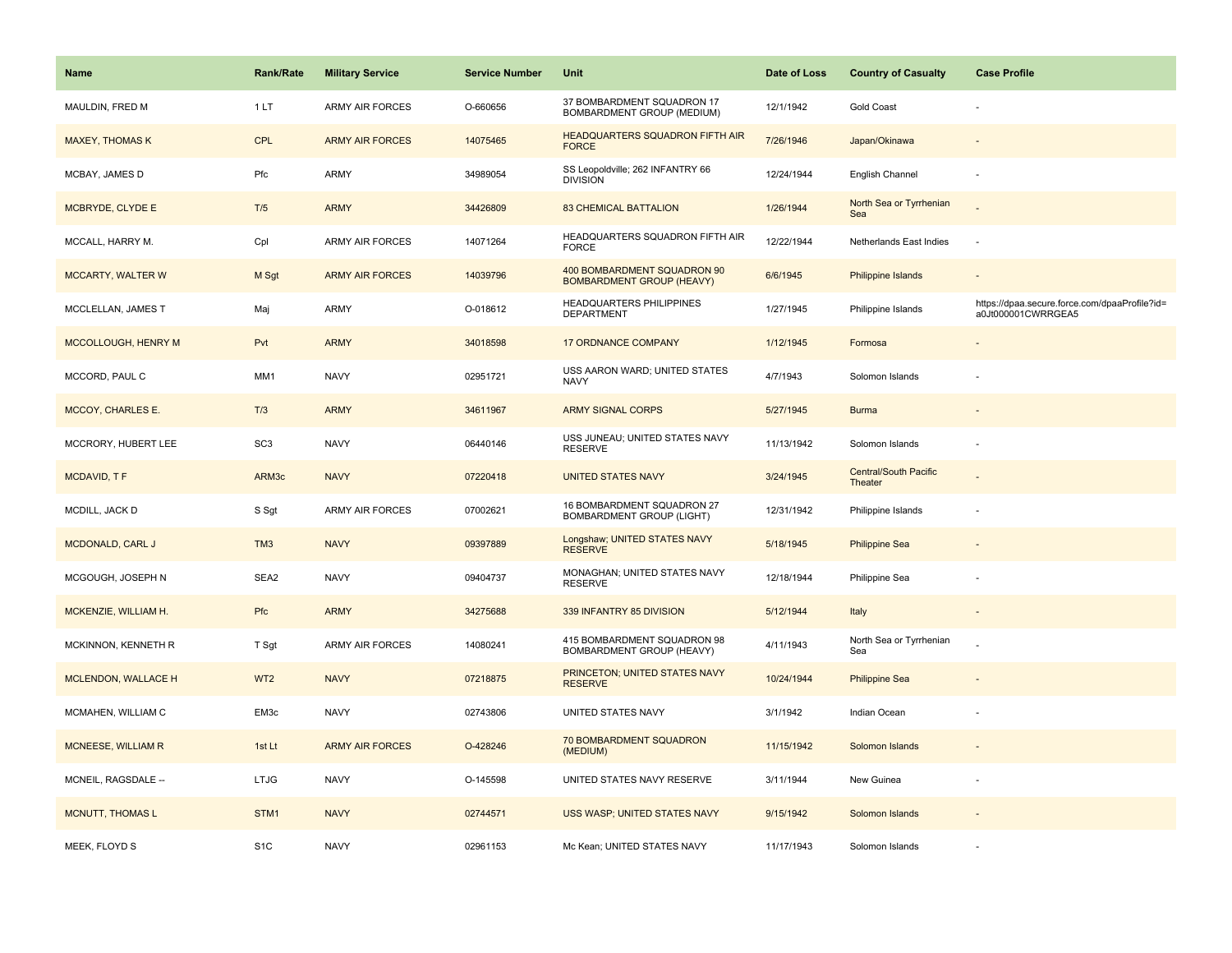| <b>Name</b>               | <b>Rank/Rate</b> | <b>Military Service</b> | <b>Service Number</b> | Unit                                                            | Date of Loss | <b>Country of Casualty</b>              | <b>Case Profile</b>                                                 |
|---------------------------|------------------|-------------------------|-----------------------|-----------------------------------------------------------------|--------------|-----------------------------------------|---------------------------------------------------------------------|
| MAULDIN, FRED M           | 1LT              | <b>ARMY AIR FORCES</b>  | O-660656              | 37 BOMBARDMENT SQUADRON 17<br>BOMBARDMENT GROUP (MEDIUM)        | 12/1/1942    | <b>Gold Coast</b>                       |                                                                     |
| <b>MAXEY, THOMAS K</b>    | CPL              | <b>ARMY AIR FORCES</b>  | 14075465              | HEADQUARTERS SQUADRON FIFTH AIR<br><b>FORCE</b>                 | 7/26/1946    | Japan/Okinawa                           |                                                                     |
| MCBAY, JAMES D            | Pfc              | <b>ARMY</b>             | 34989054              | SS Leopoldville; 262 INFANTRY 66<br><b>DIVISION</b>             | 12/24/1944   | English Channel                         | $\overline{\phantom{a}}$                                            |
| MCBRYDE, CLYDE E          | T/5              | <b>ARMY</b>             | 34426809              | <b>83 CHEMICAL BATTALION</b>                                    | 1/26/1944    | North Sea or Tyrrhenian<br>Sea          |                                                                     |
| MCCALL, HARRY M.          | Cpl              | ARMY AIR FORCES         | 14071264              | HEADQUARTERS SQUADRON FIFTH AIR<br><b>FORCE</b>                 | 12/22/1944   | Netherlands East Indies                 |                                                                     |
| <b>MCCARTY, WALTER W</b>  | M Sgt            | <b>ARMY AIR FORCES</b>  | 14039796              | 400 BOMBARDMENT SQUADRON 90<br><b>BOMBARDMENT GROUP (HEAVY)</b> | 6/6/1945     | Philippine Islands                      | $\overline{\phantom{a}}$                                            |
| MCCLELLAN, JAMES T        | Maj              | ARMY                    | O-018612              | HEADQUARTERS PHILIPPINES<br><b>DEPARTMENT</b>                   | 1/27/1945    | Philippine Islands                      | https://dpaa.secure.force.com/dpaaProfile?id=<br>a0Jt000001CWRRGEA5 |
| MCCOLLOUGH, HENRY M       | Pvt              | <b>ARMY</b>             | 34018598              | <b>17 ORDNANCE COMPANY</b>                                      | 1/12/1945    | Formosa                                 |                                                                     |
| MCCORD, PAUL C            | MM1              | <b>NAVY</b>             | 02951721              | USS AARON WARD; UNITED STATES<br>NAVY                           | 4/7/1943     | Solomon Islands                         |                                                                     |
| <b>MCCOY, CHARLES E.</b>  | T/3              | <b>ARMY</b>             | 34611967              | <b>ARMY SIGNAL CORPS</b>                                        | 5/27/1945    | <b>Burma</b>                            |                                                                     |
| MCCRORY, HUBERT LEE       | SC <sub>3</sub>  | <b>NAVY</b>             | 06440146              | USS JUNEAU; UNITED STATES NAVY<br><b>RESERVE</b>                | 11/13/1942   | Solomon Islands                         |                                                                     |
| MCDAVID, TF               | ARM3c            | <b>NAVY</b>             | 07220418              | <b>UNITED STATES NAVY</b>                                       | 3/24/1945    | <b>Central/South Pacific</b><br>Theater |                                                                     |
| MCDILL, JACK D            | S Sgt            | ARMY AIR FORCES         | 07002621              | 16 BOMBARDMENT SQUADRON 27<br><b>BOMBARDMENT GROUP (LIGHT)</b>  | 12/31/1942   | Philippine Islands                      |                                                                     |
| MCDONALD, CARL J          | TM <sub>3</sub>  | <b>NAVY</b>             | 09397889              | Longshaw; UNITED STATES NAVY<br><b>RESERVE</b>                  | 5/18/1945    | <b>Philippine Sea</b>                   |                                                                     |
| MCGOUGH, JOSEPH N         | SEA2             | <b>NAVY</b>             | 09404737              | MONAGHAN; UNITED STATES NAVY<br><b>RESERVE</b>                  | 12/18/1944   | Philippine Sea                          |                                                                     |
| MCKENZIE, WILLIAM H.      | <b>Pfc</b>       | <b>ARMY</b>             | 34275688              | 339 INFANTRY 85 DIVISION                                        | 5/12/1944    | Italy                                   |                                                                     |
| MCKINNON, KENNETH R       | T Sgt            | <b>ARMY AIR FORCES</b>  | 14080241              | 415 BOMBARDMENT SQUADRON 98<br>BOMBARDMENT GROUP (HEAVY)        | 4/11/1943    | North Sea or Tyrrhenian<br>Sea          |                                                                     |
| MCLENDON, WALLACE H       | WT <sub>2</sub>  | <b>NAVY</b>             | 07218875              | PRINCETON; UNITED STATES NAVY<br><b>RESERVE</b>                 | 10/24/1944   | <b>Philippine Sea</b>                   |                                                                     |
| MCMAHEN, WILLIAM C        | EM3c             | <b>NAVY</b>             | 02743806              | UNITED STATES NAVY                                              | 3/1/1942     | Indian Ocean                            |                                                                     |
| <b>MCNEESE, WILLIAM R</b> | 1st Lt           | <b>ARMY AIR FORCES</b>  | O-428246              | 70 BOMBARDMENT SQUADRON<br>(MEDIUM)                             | 11/15/1942   | Solomon Islands                         |                                                                     |
| MCNEIL, RAGSDALE --       | <b>LTJG</b>      | <b>NAVY</b>             | O-145598              | UNITED STATES NAVY RESERVE                                      | 3/11/1944    | New Guinea                              |                                                                     |
| <b>MCNUTT, THOMAS L</b>   | STM1             | <b>NAVY</b>             | 02744571              | USS WASP; UNITED STATES NAVY                                    | 9/15/1942    | Solomon Islands                         |                                                                     |
| MEEK, FLOYD S             | S <sub>1</sub> C | <b>NAVY</b>             | 02961153              | Mc Kean; UNITED STATES NAVY                                     | 11/17/1943   | Solomon Islands                         |                                                                     |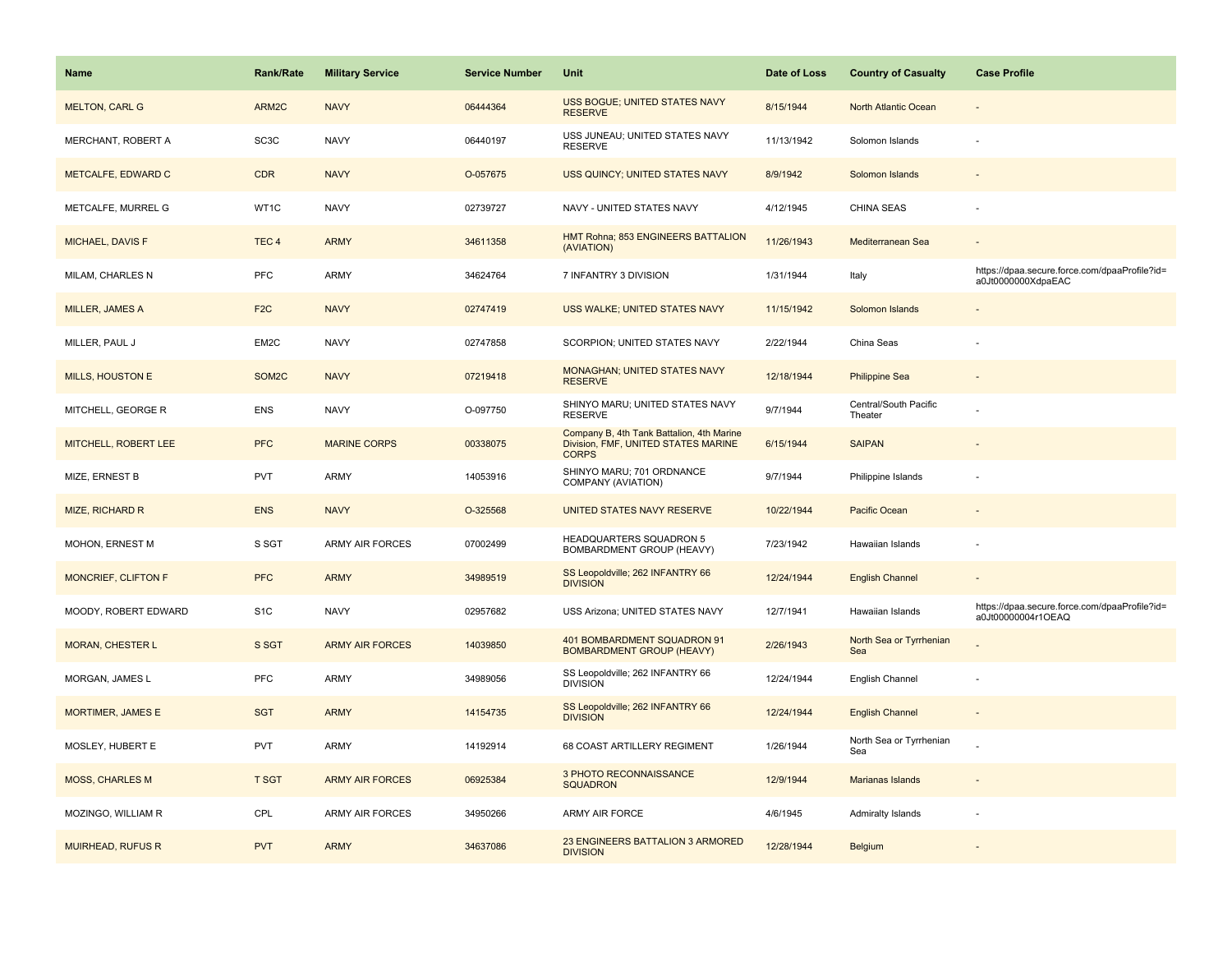| Name                       | <b>Rank/Rate</b>   | <b>Military Service</b> | <b>Service Number</b> | Unit                                                                                             | Date of Loss | <b>Country of Casualty</b>       | <b>Case Profile</b>                                                 |
|----------------------------|--------------------|-------------------------|-----------------------|--------------------------------------------------------------------------------------------------|--------------|----------------------------------|---------------------------------------------------------------------|
| <b>MELTON, CARL G</b>      | ARM2C              | <b>NAVY</b>             | 06444364              | USS BOGUE; UNITED STATES NAVY<br><b>RESERVE</b>                                                  | 8/15/1944    | North Atlantic Ocean             |                                                                     |
| MERCHANT, ROBERT A         | SC <sub>3</sub> C  | <b>NAVY</b>             | 06440197              | USS JUNEAU; UNITED STATES NAVY<br><b>RESERVE</b>                                                 | 11/13/1942   | Solomon Islands                  |                                                                     |
| METCALFE, EDWARD C         | <b>CDR</b>         | <b>NAVY</b>             | O-057675              | USS QUINCY; UNITED STATES NAVY                                                                   | 8/9/1942     | Solomon Islands                  |                                                                     |
| METCALFE, MURREL G         | WT1C               | <b>NAVY</b>             | 02739727              | NAVY - UNITED STATES NAVY                                                                        | 4/12/1945    | <b>CHINA SEAS</b>                |                                                                     |
| MICHAEL, DAVIS F           | TEC <sub>4</sub>   | <b>ARMY</b>             | 34611358              | HMT Rohna; 853 ENGINEERS BATTALION<br>(AVIATION)                                                 | 11/26/1943   | Mediterranean Sea                |                                                                     |
| MILAM, CHARLES N           | <b>PFC</b>         | <b>ARMY</b>             | 34624764              | 7 INFANTRY 3 DIVISION                                                                            | 1/31/1944    | Italy                            | https://dpaa.secure.force.com/dpaaProfile?id=<br>a0Jt0000000XdpaEAC |
| MILLER, JAMES A            | F <sub>2</sub> C   | <b>NAVY</b>             | 02747419              | USS WALKE; UNITED STATES NAVY                                                                    | 11/15/1942   | Solomon Islands                  |                                                                     |
| MILLER, PAUL J             | EM2C               | <b>NAVY</b>             | 02747858              | SCORPION; UNITED STATES NAVY                                                                     | 2/22/1944    | China Seas                       |                                                                     |
| <b>MILLS, HOUSTON E</b>    | SOM <sub>2</sub> C | <b>NAVY</b>             | 07219418              | <b>MONAGHAN; UNITED STATES NAVY</b><br><b>RESERVE</b>                                            | 12/18/1944   | <b>Philippine Sea</b>            |                                                                     |
| MITCHELL, GEORGE R         | <b>ENS</b>         | <b>NAVY</b>             | O-097750              | SHINYO MARU; UNITED STATES NAVY<br><b>RESERVE</b>                                                | 9/7/1944     | Central/South Pacific<br>Theater |                                                                     |
| MITCHELL, ROBERT LEE       | <b>PFC</b>         | <b>MARINE CORPS</b>     | 00338075              | Company B, 4th Tank Battalion, 4th Marine<br>Division, FMF, UNITED STATES MARINE<br><b>CORPS</b> | 6/15/1944    | <b>SAIPAN</b>                    |                                                                     |
| MIZE, ERNEST B             | <b>PVT</b>         | <b>ARMY</b>             | 14053916              | SHINYO MARU; 701 ORDNANCE<br>COMPANY (AVIATION)                                                  | 9/7/1944     | Philippine Islands               |                                                                     |
| <b>MIZE, RICHARD R</b>     | <b>ENS</b>         | <b>NAVY</b>             | O-325568              | UNITED STATES NAVY RESERVE                                                                       | 10/22/1944   | Pacific Ocean                    |                                                                     |
| MOHON, ERNEST M            | S SGT              | <b>ARMY AIR FORCES</b>  | 07002499              | HEADQUARTERS SQUADRON 5<br>BOMBARDMENT GROUP (HEAVY)                                             | 7/23/1942    | Hawaiian Islands                 |                                                                     |
| <b>MONCRIEF, CLIFTON F</b> | <b>PFC</b>         | <b>ARMY</b>             | 34989519              | SS Leopoldville; 262 INFANTRY 66<br><b>DIVISION</b>                                              | 12/24/1944   | <b>English Channel</b>           |                                                                     |
| MOODY, ROBERT EDWARD       | S <sub>1</sub> C   | <b>NAVY</b>             | 02957682              | USS Arizona; UNITED STATES NAVY                                                                  | 12/7/1941    | Hawaiian Islands                 | https://dpaa.secure.force.com/dpaaProfile?id=<br>a0Jt00000004r1OEAQ |
| <b>MORAN, CHESTER L</b>    | S SGT              | <b>ARMY AIR FORCES</b>  | 14039850              | 401 BOMBARDMENT SQUADRON 91<br><b>BOMBARDMENT GROUP (HEAVY)</b>                                  | 2/26/1943    | North Sea or Tyrrhenian<br>Sea   |                                                                     |
| MORGAN, JAMES L            | <b>PFC</b>         | ARMY                    | 34989056              | SS Leopoldville; 262 INFANTRY 66<br><b>DIVISION</b>                                              | 12/24/1944   | English Channel                  |                                                                     |
| <b>MORTIMER, JAMES E</b>   | <b>SGT</b>         | <b>ARMY</b>             | 14154735              | SS Leopoldville; 262 INFANTRY 66<br><b>DIVISION</b>                                              | 12/24/1944   | <b>English Channel</b>           |                                                                     |
| MOSLEY, HUBERT E           | <b>PVT</b>         | ARMY                    | 14192914              | 68 COAST ARTILLERY REGIMENT                                                                      | 1/26/1944    | North Sea or Tyrrhenian<br>Sea   |                                                                     |
| <b>MOSS, CHARLES M</b>     | <b>T SGT</b>       | <b>ARMY AIR FORCES</b>  | 06925384              | <b>3 PHOTO RECONNAISSANCE</b><br><b>SQUADRON</b>                                                 | 12/9/1944    | Marianas Islands                 |                                                                     |
| MOZINGO, WILLIAM R         | CPL                | <b>ARMY AIR FORCES</b>  | 34950266              | ARMY AIR FORCE                                                                                   | 4/6/1945     | Admiralty Islands                |                                                                     |
| <b>MUIRHEAD, RUFUS R</b>   | <b>PVT</b>         | <b>ARMY</b>             | 34637086              | 23 ENGINEERS BATTALION 3 ARMORED<br><b>DIVISION</b>                                              | 12/28/1944   | Belgium                          |                                                                     |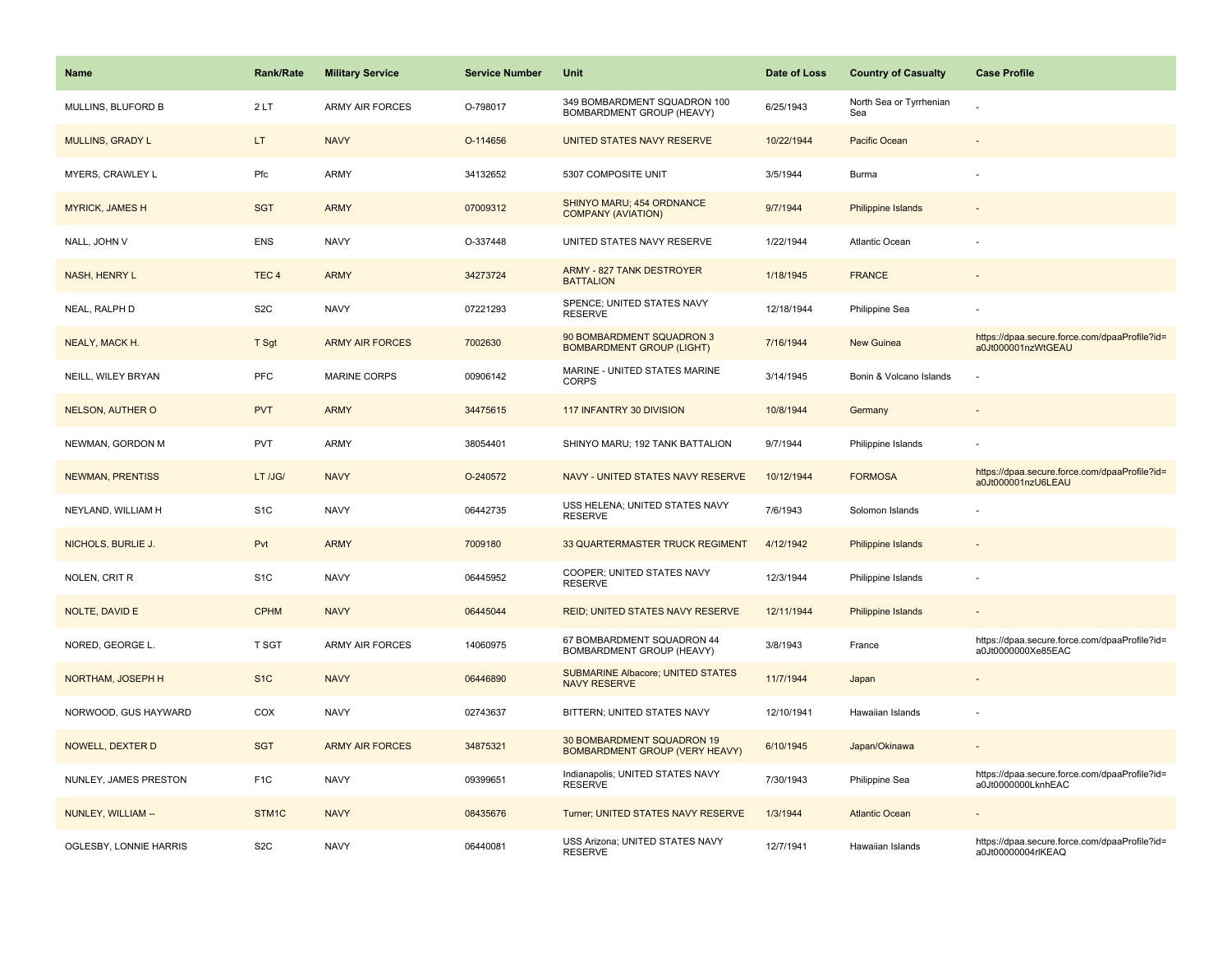| <b>Name</b>             | <b>Rank/Rate</b> | <b>Military Service</b> | <b>Service Number</b> | <b>Unit</b>                                                     | Date of Loss | <b>Country of Casualty</b>     | <b>Case Profile</b>                                                 |
|-------------------------|------------------|-------------------------|-----------------------|-----------------------------------------------------------------|--------------|--------------------------------|---------------------------------------------------------------------|
| MULLINS, BLUFORD B      | 2LT              | <b>ARMY AIR FORCES</b>  | O-798017              | 349 BOMBARDMENT SQUADRON 100<br>BOMBARDMENT GROUP (HEAVY)       | 6/25/1943    | North Sea or Tyrrhenian<br>Sea |                                                                     |
| <b>MULLINS, GRADY L</b> | LT.              | <b>NAVY</b>             | O-114656              | UNITED STATES NAVY RESERVE                                      | 10/22/1944   | <b>Pacific Ocean</b>           |                                                                     |
| MYERS, CRAWLEY L        | Pfc              | <b>ARMY</b>             | 34132652              | 5307 COMPOSITE UNIT                                             | 3/5/1944     | Burma                          |                                                                     |
| <b>MYRICK, JAMES H</b>  | <b>SGT</b>       | <b>ARMY</b>             | 07009312              | SHINYO MARU; 454 ORDNANCE<br><b>COMPANY (AVIATION)</b>          | 9/7/1944     | <b>Philippine Islands</b>      |                                                                     |
| NALL, JOHN V            | <b>ENS</b>       | <b>NAVY</b>             | O-337448              | UNITED STATES NAVY RESERVE                                      | 1/22/1944    | <b>Atlantic Ocean</b>          |                                                                     |
| NASH, HENRY L           | TEC <sub>4</sub> | <b>ARMY</b>             | 34273724              | <b>ARMY - 827 TANK DESTROYER</b><br><b>BATTALION</b>            | 1/18/1945    | <b>FRANCE</b>                  |                                                                     |
| NEAL, RALPH D           | S <sub>2</sub> C | <b>NAVY</b>             | 07221293              | SPENCE; UNITED STATES NAVY<br><b>RESERVE</b>                    | 12/18/1944   | Philippine Sea                 |                                                                     |
| NEALY, MACK H.          | T Sgt            | <b>ARMY AIR FORCES</b>  | 7002630               | 90 BOMBARDMENT SQUADRON 3<br><b>BOMBARDMENT GROUP (LIGHT)</b>   | 7/16/1944    | New Guinea                     | https://dpaa.secure.force.com/dpaaProfile?id=<br>a0Jt000001nzWtGEAU |
| NEILL, WILEY BRYAN      | PFC              | <b>MARINE CORPS</b>     | 00906142              | MARINE - UNITED STATES MARINE<br><b>CORPS</b>                   | 3/14/1945    | Bonin & Volcano Islands        |                                                                     |
| <b>NELSON, AUTHER O</b> | <b>PVT</b>       | <b>ARMY</b>             | 34475615              | 117 INFANTRY 30 DIVISION                                        | 10/8/1944    | Germany                        |                                                                     |
| NEWMAN, GORDON M        | <b>PVT</b>       | <b>ARMY</b>             | 38054401              | SHINYO MARU; 192 TANK BATTALION                                 | 9/7/1944     | Philippine Islands             |                                                                     |
| <b>NEWMAN, PRENTISS</b> | LT /JG/          | <b>NAVY</b>             | O-240572              | NAVY - UNITED STATES NAVY RESERVE                               | 10/12/1944   | <b>FORMOSA</b>                 | https://dpaa.secure.force.com/dpaaProfile?id=<br>a0Jt000001nzU6LEAU |
| NEYLAND, WILLIAM H      | S <sub>1</sub> C | <b>NAVY</b>             | 06442735              | USS HELENA; UNITED STATES NAVY<br><b>RESERVE</b>                | 7/6/1943     | Solomon Islands                |                                                                     |
| NICHOLS, BURLIE J.      | Pvt              | <b>ARMY</b>             | 7009180               | 33 QUARTERMASTER TRUCK REGIMENT                                 | 4/12/1942    | <b>Philippine Islands</b>      |                                                                     |
| NOLEN, CRIT R           | S <sub>1</sub> C | <b>NAVY</b>             | 06445952              | COOPER; UNITED STATES NAVY<br><b>RESERVE</b>                    | 12/3/1944    | Philippine Islands             |                                                                     |
| NOLTE, DAVID E          | <b>CPHM</b>      | <b>NAVY</b>             | 06445044              | <b>REID; UNITED STATES NAVY RESERVE</b>                         | 12/11/1944   | Philippine Islands             |                                                                     |
| NORED, GEORGE L.        | T SGT            | ARMY AIR FORCES         | 14060975              | 67 BOMBARDMENT SQUADRON 44<br>BOMBARDMENT GROUP (HEAVY)         | 3/8/1943     | France                         | https://dpaa.secure.force.com/dpaaProfile?id=<br>a0Jt0000000Xe85EAC |
| NORTHAM, JOSEPH H       | S <sub>1</sub> C | <b>NAVY</b>             | 06446890              | <b>SUBMARINE Albacore; UNITED STATES</b><br><b>NAVY RESERVE</b> | 11/7/1944    | Japan                          |                                                                     |
| NORWOOD, GUS HAYWARD    | COX              | <b>NAVY</b>             | 02743637              | BITTERN; UNITED STATES NAVY                                     | 12/10/1941   | Hawaiian Islands               |                                                                     |
| NOWELL, DEXTER D        | <b>SGT</b>       | <b>ARMY AIR FORCES</b>  | 34875321              | 30 BOMBARDMENT SQUADRON 19<br>BOMBARDMENT GROUP (VERY HEAVY)    | 6/10/1945    | Japan/Okinawa                  |                                                                     |
| NUNLEY, JAMES PRESTON   | F <sub>1</sub> C | <b>NAVY</b>             | 09399651              | Indianapolis; UNITED STATES NAVY<br><b>RESERVE</b>              | 7/30/1943    | Philippine Sea                 | https://dpaa.secure.force.com/dpaaProfile?id=<br>a0Jt0000000LknhEAC |
| NUNLEY, WILLIAM --      | STM1C            | <b>NAVY</b>             | 08435676              | Turner; UNITED STATES NAVY RESERVE                              | 1/3/1944     | <b>Atlantic Ocean</b>          |                                                                     |
| OGLESBY, LONNIE HARRIS  | S <sub>2</sub> C | <b>NAVY</b>             | 06440081              | USS Arizona; UNITED STATES NAVY<br><b>RESERVE</b>               | 12/7/1941    | Hawaiian Islands               | https://dpaa.secure.force.com/dpaaProfile?id=<br>a0Jt00000004rlKEAQ |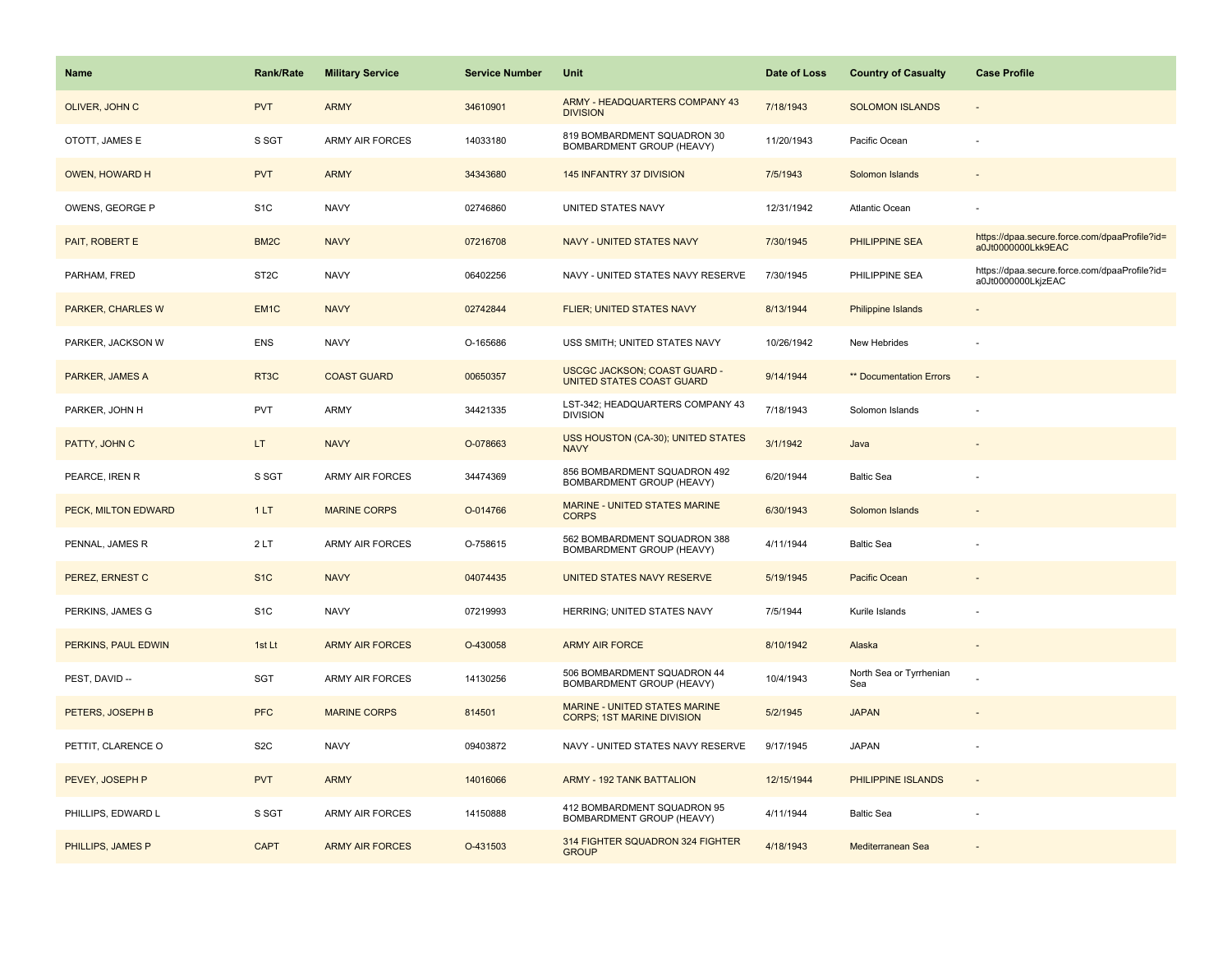| <b>Name</b>              | <b>Rank/Rate</b>  | <b>Military Service</b> | <b>Service Number</b> | Unit                                                               | Date of Loss | <b>Country of Casualty</b>     | <b>Case Profile</b>                                                 |
|--------------------------|-------------------|-------------------------|-----------------------|--------------------------------------------------------------------|--------------|--------------------------------|---------------------------------------------------------------------|
| OLIVER, JOHN C           | <b>PVT</b>        | <b>ARMY</b>             | 34610901              | ARMY - HEADQUARTERS COMPANY 43<br><b>DIVISION</b>                  | 7/18/1943    | <b>SOLOMON ISLANDS</b>         |                                                                     |
| OTOTT, JAMES E           | S SGT             | <b>ARMY AIR FORCES</b>  | 14033180              | 819 BOMBARDMENT SQUADRON 30<br>BOMBARDMENT GROUP (HEAVY)           | 11/20/1943   | Pacific Ocean                  |                                                                     |
| OWEN, HOWARD H           | <b>PVT</b>        | <b>ARMY</b>             | 34343680              | 145 INFANTRY 37 DIVISION                                           | 7/5/1943     | Solomon Islands                |                                                                     |
| OWENS, GEORGE P          | S <sub>1</sub> C  | <b>NAVY</b>             | 02746860              | UNITED STATES NAVY                                                 | 12/31/1942   | Atlantic Ocean                 |                                                                     |
| PAIT, ROBERT E           | BM <sub>2</sub> C | <b>NAVY</b>             | 07216708              | <b>NAVY - UNITED STATES NAVY</b>                                   | 7/30/1945    | PHILIPPINE SEA                 | https://dpaa.secure.force.com/dpaaProfile?id=<br>a0Jt0000000Lkk9EAC |
| PARHAM, FRED             | ST <sub>2</sub> C | <b>NAVY</b>             | 06402256              | NAVY - UNITED STATES NAVY RESERVE                                  | 7/30/1945    | PHILIPPINE SEA                 | https://dpaa.secure.force.com/dpaaProfile?id=<br>a0Jt0000000LkjzEAC |
| <b>PARKER, CHARLES W</b> | EM <sub>1</sub> C | <b>NAVY</b>             | 02742844              | <b>FLIER; UNITED STATES NAVY</b>                                   | 8/13/1944    | Philippine Islands             |                                                                     |
| PARKER, JACKSON W        | <b>ENS</b>        | <b>NAVY</b>             | O-165686              | USS SMITH; UNITED STATES NAVY                                      | 10/26/1942   | New Hebrides                   |                                                                     |
| PARKER, JAMES A          | RT <sub>3</sub> C | <b>COAST GUARD</b>      | 00650357              | <b>USCGC JACKSON; COAST GUARD -</b><br>UNITED STATES COAST GUARD   | 9/14/1944    | ** Documentation Errors        | $\overline{\phantom{a}}$                                            |
| PARKER, JOHN H           | PVT               | ARMY                    | 34421335              | LST-342; HEADQUARTERS COMPANY 43<br><b>DIVISION</b>                | 7/18/1943    | Solomon Islands                |                                                                     |
| PATTY, JOHN C            | LT.               | <b>NAVY</b>             | O-078663              | USS HOUSTON (CA-30); UNITED STATES<br><b>NAVY</b>                  | 3/1/1942     | Java                           |                                                                     |
| PEARCE, IREN R           | S SGT             | ARMY AIR FORCES         | 34474369              | 856 BOMBARDMENT SQUADRON 492<br>BOMBARDMENT GROUP (HEAVY)          | 6/20/1944    | <b>Baltic Sea</b>              |                                                                     |
| PECK, MILTON EDWARD      | 1LT               | <b>MARINE CORPS</b>     | O-014766              | MARINE - UNITED STATES MARINE<br><b>CORPS</b>                      | 6/30/1943    | Solomon Islands                |                                                                     |
| PENNAL, JAMES R          | 2LT               | <b>ARMY AIR FORCES</b>  | O-758615              | 562 BOMBARDMENT SQUADRON 388<br>BOMBARDMENT GROUP (HEAVY)          | 4/11/1944    | <b>Baltic Sea</b>              |                                                                     |
| PEREZ, ERNEST C          | S <sub>1C</sub>   | <b>NAVY</b>             | 04074435              | UNITED STATES NAVY RESERVE                                         | 5/19/1945    | Pacific Ocean                  |                                                                     |
| PERKINS, JAMES G         | S <sub>1</sub> C  | <b>NAVY</b>             | 07219993              | HERRING; UNITED STATES NAVY                                        | 7/5/1944     | Kurile Islands                 |                                                                     |
| PERKINS, PAUL EDWIN      | 1st Lt            | <b>ARMY AIR FORCES</b>  | O-430058              | <b>ARMY AIR FORCE</b>                                              | 8/10/1942    | Alaska                         |                                                                     |
| PEST, DAVID --           | SGT               | ARMY AIR FORCES         | 14130256              | 506 BOMBARDMENT SQUADRON 44<br>BOMBARDMENT GROUP (HEAVY)           | 10/4/1943    | North Sea or Tyrrhenian<br>Sea |                                                                     |
| PETERS, JOSEPH B         | <b>PFC</b>        | <b>MARINE CORPS</b>     | 814501                | MARINE - UNITED STATES MARINE<br><b>CORPS; 1ST MARINE DIVISION</b> | 5/2/1945     | <b>JAPAN</b>                   |                                                                     |
| PETTIT, CLARENCE O       | S <sub>2</sub> C  | <b>NAVY</b>             | 09403872              | NAVY - UNITED STATES NAVY RESERVE                                  | 9/17/1945    | <b>JAPAN</b>                   |                                                                     |
| PEVEY, JOSEPH P          | <b>PVT</b>        | <b>ARMY</b>             | 14016066              | <b>ARMY - 192 TANK BATTALION</b>                                   | 12/15/1944   | PHILIPPINE ISLANDS             |                                                                     |
| PHILLIPS, EDWARD L       | S SGT             | <b>ARMY AIR FORCES</b>  | 14150888              | 412 BOMBARDMENT SQUADRON 95<br>BOMBARDMENT GROUP (HEAVY)           | 4/11/1944    | <b>Baltic Sea</b>              |                                                                     |
| PHILLIPS, JAMES P        | <b>CAPT</b>       | <b>ARMY AIR FORCES</b>  | O-431503              | 314 FIGHTER SQUADRON 324 FIGHTER<br><b>GROUP</b>                   | 4/18/1943    | Mediterranean Sea              |                                                                     |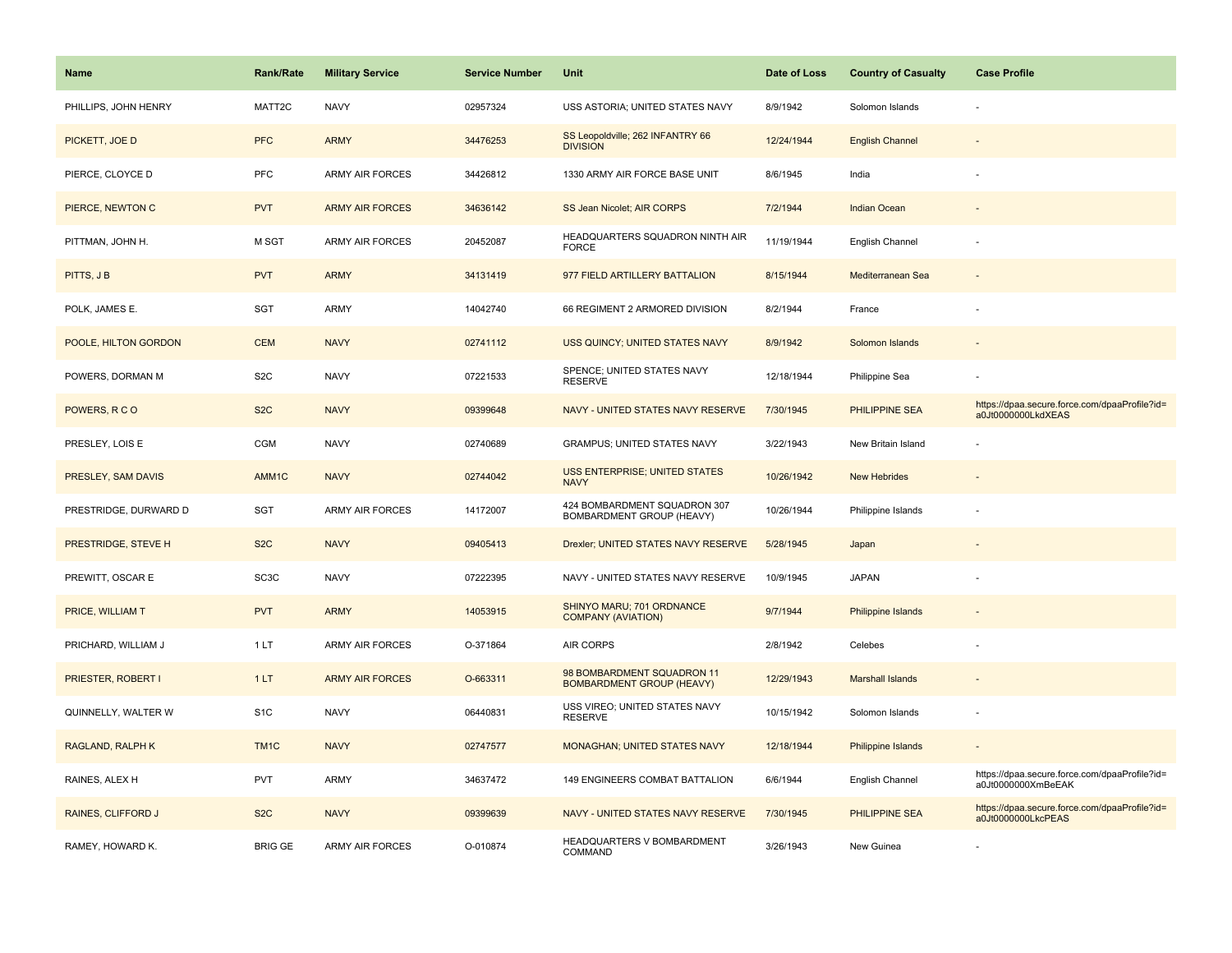| <b>Name</b>               | <b>Rank/Rate</b>  | <b>Military Service</b> | <b>Service Number</b> | Unit                                                           | Date of Loss | <b>Country of Casualty</b> | <b>Case Profile</b>                                                 |
|---------------------------|-------------------|-------------------------|-----------------------|----------------------------------------------------------------|--------------|----------------------------|---------------------------------------------------------------------|
| PHILLIPS, JOHN HENRY      | MATT2C            | <b>NAVY</b>             | 02957324              | USS ASTORIA; UNITED STATES NAVY                                | 8/9/1942     | Solomon Islands            |                                                                     |
| PICKETT, JOE D            | <b>PFC</b>        | <b>ARMY</b>             | 34476253              | SS Leopoldville; 262 INFANTRY 66<br><b>DIVISION</b>            | 12/24/1944   | <b>English Channel</b>     |                                                                     |
| PIERCE, CLOYCE D          | <b>PFC</b>        | <b>ARMY AIR FORCES</b>  | 34426812              | 1330 ARMY AIR FORCE BASE UNIT                                  | 8/6/1945     | India                      |                                                                     |
| PIERCE, NEWTON C          | <b>PVT</b>        | <b>ARMY AIR FORCES</b>  | 34636142              | SS Jean Nicolet; AIR CORPS                                     | 7/2/1944     | <b>Indian Ocean</b>        |                                                                     |
| PITTMAN, JOHN H.          | M SGT             | <b>ARMY AIR FORCES</b>  | 20452087              | HEADQUARTERS SQUADRON NINTH AIR<br><b>FORCE</b>                | 11/19/1944   | English Channel            |                                                                     |
| PITTS, J B                | <b>PVT</b>        | <b>ARMY</b>             | 34131419              | 977 FIELD ARTILLERY BATTALION                                  | 8/15/1944    | Mediterranean Sea          |                                                                     |
| POLK, JAMES E.            | SGT               | ARMY                    | 14042740              | 66 REGIMENT 2 ARMORED DIVISION                                 | 8/2/1944     | France                     |                                                                     |
| POOLE, HILTON GORDON      | <b>CEM</b>        | <b>NAVY</b>             | 02741112              | USS QUINCY; UNITED STATES NAVY                                 | 8/9/1942     | Solomon Islands            |                                                                     |
| POWERS, DORMAN M          | S <sub>2</sub> C  | <b>NAVY</b>             | 07221533              | SPENCE; UNITED STATES NAVY<br><b>RESERVE</b>                   | 12/18/1944   | Philippine Sea             |                                                                     |
| POWERS, RCO               | S <sub>2</sub> C  | <b>NAVY</b>             | 09399648              | NAVY - UNITED STATES NAVY RESERVE                              | 7/30/1945    | <b>PHILIPPINE SEA</b>      | https://dpaa.secure.force.com/dpaaProfile?id=<br>a0Jt0000000LkdXEAS |
| PRESLEY, LOIS E           | <b>CGM</b>        | <b>NAVY</b>             | 02740689              | <b>GRAMPUS; UNITED STATES NAVY</b>                             | 3/22/1943    | New Britain Island         |                                                                     |
| PRESLEY, SAM DAVIS        | AMM1C             | <b>NAVY</b>             | 02744042              | <b>USS ENTERPRISE; UNITED STATES</b><br><b>NAVY</b>            | 10/26/1942   | <b>New Hebrides</b>        |                                                                     |
| PRESTRIDGE, DURWARD D     | <b>SGT</b>        | ARMY AIR FORCES         | 14172007              | 424 BOMBARDMENT SQUADRON 307<br>BOMBARDMENT GROUP (HEAVY)      | 10/26/1944   | Philippine Islands         |                                                                     |
| PRESTRIDGE, STEVE H       | S <sub>2</sub> C  | <b>NAVY</b>             | 09405413              | Drexler; UNITED STATES NAVY RESERVE                            | 5/28/1945    | Japan                      |                                                                     |
| PREWITT, OSCAR E          | SC <sub>3</sub> C | <b>NAVY</b>             | 07222395              | NAVY - UNITED STATES NAVY RESERVE                              | 10/9/1945    | <b>JAPAN</b>               |                                                                     |
| PRICE, WILLIAM T          | <b>PVT</b>        | <b>ARMY</b>             | 14053915              | SHINYO MARU; 701 ORDNANCE<br><b>COMPANY (AVIATION)</b>         | 9/7/1944     | <b>Philippine Islands</b>  |                                                                     |
| PRICHARD, WILLIAM J       | 1LT               | ARMY AIR FORCES         | O-371864              | AIR CORPS                                                      | 2/8/1942     | Celebes                    |                                                                     |
| <b>PRIESTER, ROBERT I</b> | 1LT               | <b>ARMY AIR FORCES</b>  | O-663311              | 98 BOMBARDMENT SQUADRON 11<br><b>BOMBARDMENT GROUP (HEAVY)</b> | 12/29/1943   | <b>Marshall Islands</b>    |                                                                     |
| QUINNELLY, WALTER W       | S <sub>1</sub> C  | <b>NAVY</b>             | 06440831              | USS VIREO; UNITED STATES NAVY<br><b>RESERVE</b>                | 10/15/1942   | Solomon Islands            |                                                                     |
| <b>RAGLAND, RALPH K</b>   | TM <sub>1</sub> C | <b>NAVY</b>             | 02747577              | <b>MONAGHAN; UNITED STATES NAVY</b>                            | 12/18/1944   | Philippine Islands         |                                                                     |
| RAINES, ALEX H            | <b>PVT</b>        | ARMY                    | 34637472              | 149 ENGINEERS COMBAT BATTALION                                 | 6/6/1944     | English Channel            | https://dpaa.secure.force.com/dpaaProfile?id=<br>a0Jt0000000XmBeEAK |
| RAINES, CLIFFORD J        | S <sub>2</sub> C  | <b>NAVY</b>             | 09399639              | NAVY - UNITED STATES NAVY RESERVE                              | 7/30/1945    | PHILIPPINE SEA             | https://dpaa.secure.force.com/dpaaProfile?id=<br>a0Jt0000000LkcPEAS |
| RAMEY, HOWARD K.          | <b>BRIG GE</b>    | <b>ARMY AIR FORCES</b>  | O-010874              | HEADQUARTERS V BOMBARDMENT<br>COMMAND                          | 3/26/1943    | New Guinea                 |                                                                     |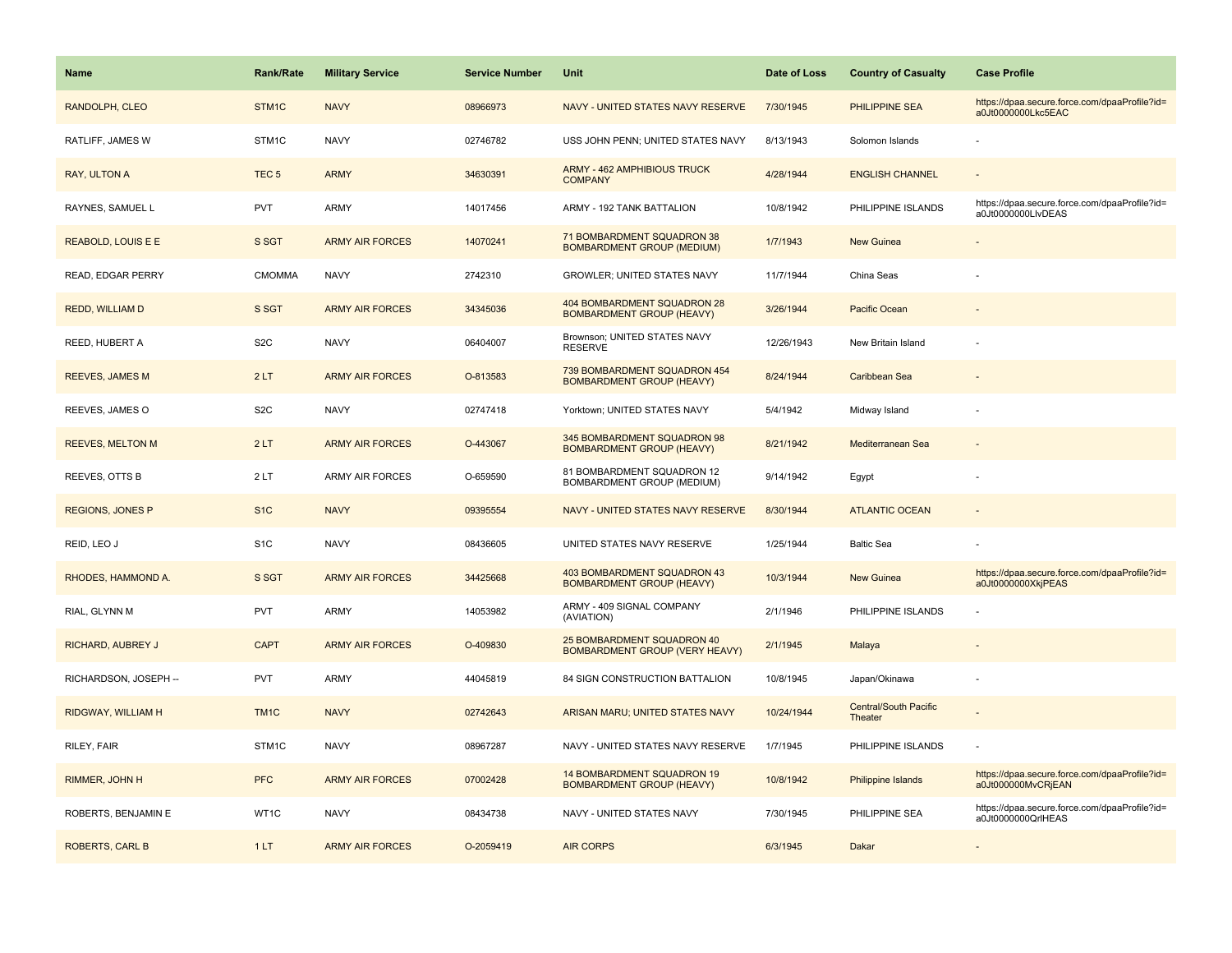| Name                      | <b>Rank/Rate</b>  | <b>Military Service</b> | <b>Service Number</b> | Unit                                                                | Date of Loss | <b>Country of Casualty</b>       | <b>Case Profile</b>                                                 |
|---------------------------|-------------------|-------------------------|-----------------------|---------------------------------------------------------------------|--------------|----------------------------------|---------------------------------------------------------------------|
| RANDOLPH, CLEO            | STM <sub>1C</sub> | <b>NAVY</b>             | 08966973              | NAVY - UNITED STATES NAVY RESERVE                                   | 7/30/1945    | PHILIPPINE SEA                   | https://dpaa.secure.force.com/dpaaProfile?id=<br>a0Jt0000000Lkc5EAC |
| RATLIFF, JAMES W          | STM <sub>1C</sub> | <b>NAVY</b>             | 02746782              | USS JOHN PENN; UNITED STATES NAVY                                   | 8/13/1943    | Solomon Islands                  |                                                                     |
| RAY, ULTON A              | TEC <sub>5</sub>  | <b>ARMY</b>             | 34630391              | ARMY - 462 AMPHIBIOUS TRUCK<br><b>COMPANY</b>                       | 4/28/1944    | <b>ENGLISH CHANNEL</b>           |                                                                     |
| RAYNES, SAMUEL L          | <b>PVT</b>        | ARMY                    | 14017456              | ARMY - 192 TANK BATTALION                                           | 10/8/1942    | PHILIPPINE ISLANDS               | https://dpaa.secure.force.com/dpaaProfile?id=<br>a0Jt0000000LlvDEAS |
| <b>REABOLD, LOUIS E E</b> | S SGT             | <b>ARMY AIR FORCES</b>  | 14070241              | 71 BOMBARDMENT SQUADRON 38<br><b>BOMBARDMENT GROUP (MEDIUM)</b>     | 1/7/1943     | <b>New Guinea</b>                |                                                                     |
| READ, EDGAR PERRY         | <b>CMOMMA</b>     | <b>NAVY</b>             | 2742310               | <b>GROWLER: UNITED STATES NAVY</b>                                  | 11/7/1944    | China Seas                       |                                                                     |
| <b>REDD, WILLIAM D</b>    | S SGT             | <b>ARMY AIR FORCES</b>  | 34345036              | 404 BOMBARDMENT SQUADRON 28<br><b>BOMBARDMENT GROUP (HEAVY)</b>     | 3/26/1944    | <b>Pacific Ocean</b>             |                                                                     |
| REED, HUBERT A            | S <sub>2</sub> C  | <b>NAVY</b>             | 06404007              | Brownson; UNITED STATES NAVY<br><b>RESERVE</b>                      | 12/26/1943   | New Britain Island               |                                                                     |
| <b>REEVES, JAMES M</b>    | 2LT               | <b>ARMY AIR FORCES</b>  | O-813583              | 739 BOMBARDMENT SQUADRON 454<br><b>BOMBARDMENT GROUP (HEAVY)</b>    | 8/24/1944    | Caribbean Sea                    |                                                                     |
| REEVES, JAMES O           | S <sub>2</sub> C  | <b>NAVY</b>             | 02747418              | Yorktown; UNITED STATES NAVY                                        | 5/4/1942     | Midway Island                    |                                                                     |
| <b>REEVES, MELTON M</b>   | 2LT               | <b>ARMY AIR FORCES</b>  | O-443067              | 345 BOMBARDMENT SQUADRON 98<br><b>BOMBARDMENT GROUP (HEAVY)</b>     | 8/21/1942    | Mediterranean Sea                |                                                                     |
| REEVES, OTTS B            | 2LT               | ARMY AIR FORCES         | O-659590              | 81 BOMBARDMENT SQUADRON 12<br>BOMBARDMENT GROUP (MEDIUM)            | 9/14/1942    | Egypt                            |                                                                     |
| <b>REGIONS, JONES P</b>   | S <sub>1C</sub>   | <b>NAVY</b>             | 09395554              | NAVY - UNITED STATES NAVY RESERVE                                   | 8/30/1944    | <b>ATLANTIC OCEAN</b>            |                                                                     |
| REID, LEO J               | S <sub>1</sub> C  | <b>NAVY</b>             | 08436605              | UNITED STATES NAVY RESERVE                                          | 1/25/1944    | <b>Baltic Sea</b>                |                                                                     |
| RHODES, HAMMOND A.        | S SGT             | <b>ARMY AIR FORCES</b>  | 34425668              | 403 BOMBARDMENT SQUADRON 43<br><b>BOMBARDMENT GROUP (HEAVY)</b>     | 10/3/1944    | <b>New Guinea</b>                | https://dpaa.secure.force.com/dpaaProfile?id=<br>a0Jt0000000XkjPEAS |
| RIAL, GLYNN M             | <b>PVT</b>        | <b>ARMY</b>             | 14053982              | ARMY - 409 SIGNAL COMPANY<br>(AVIATION)                             | 2/1/1946     | PHILIPPINE ISLANDS               |                                                                     |
| RICHARD, AUBREY J         | <b>CAPT</b>       | <b>ARMY AIR FORCES</b>  | O-409830              | 25 BOMBARDMENT SQUADRON 40<br><b>BOMBARDMENT GROUP (VERY HEAVY)</b> | 2/1/1945     | Malaya                           |                                                                     |
| RICHARDSON, JOSEPH --     | <b>PVT</b>        | ARMY                    | 44045819              | 84 SIGN CONSTRUCTION BATTALION                                      | 10/8/1945    | Japan/Okinawa                    |                                                                     |
| RIDGWAY, WILLIAM H        | TM <sub>1C</sub>  | <b>NAVY</b>             | 02742643              | ARISAN MARU; UNITED STATES NAVY                                     | 10/24/1944   | Central/South Pacific<br>Theater |                                                                     |
| RILEY, FAIR               | STM1C             | <b>NAVY</b>             | 08967287              | NAVY - UNITED STATES NAVY RESERVE                                   | 1/7/1945     | PHILIPPINE ISLANDS               |                                                                     |
| RIMMER, JOHN H            | <b>PFC</b>        | <b>ARMY AIR FORCES</b>  | 07002428              | 14 BOMBARDMENT SQUADRON 19<br><b>BOMBARDMENT GROUP (HEAVY)</b>      | 10/8/1942    | Philippine Islands               | https://dpaa.secure.force.com/dpaaProfile?id=<br>a0Jt000000MvCRjEAN |
| ROBERTS, BENJAMIN E       | WT1C              | <b>NAVY</b>             | 08434738              | NAVY - UNITED STATES NAVY                                           | 7/30/1945    | PHILIPPINE SEA                   | https://dpaa.secure.force.com/dpaaProfile?id=<br>a0Jt0000000QrlHEAS |
| <b>ROBERTS, CARL B</b>    | 1LT               | <b>ARMY AIR FORCES</b>  | O-2059419             | <b>AIR CORPS</b>                                                    | 6/3/1945     | Dakar                            |                                                                     |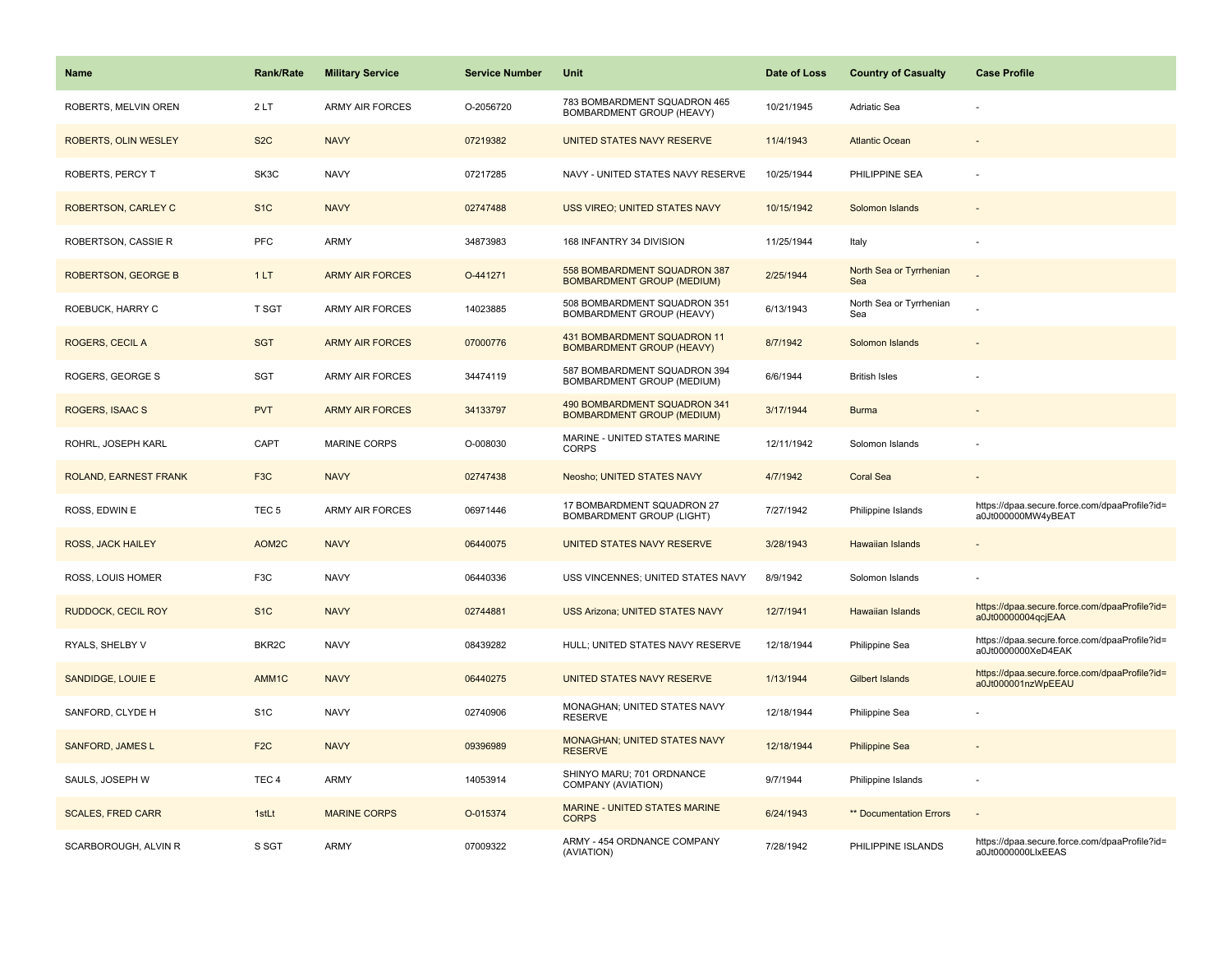| Name                        | <b>Rank/Rate</b>   | <b>Military Service</b> | <b>Service Number</b> | Unit                                                              | Date of Loss | <b>Country of Casualty</b>     | <b>Case Profile</b>                                                 |
|-----------------------------|--------------------|-------------------------|-----------------------|-------------------------------------------------------------------|--------------|--------------------------------|---------------------------------------------------------------------|
| ROBERTS, MELVIN OREN        | 2LT                | <b>ARMY AIR FORCES</b>  | O-2056720             | 783 BOMBARDMENT SQUADRON 465<br>BOMBARDMENT GROUP (HEAVY)         | 10/21/1945   | Adriatic Sea                   |                                                                     |
| <b>ROBERTS, OLIN WESLEY</b> | S <sub>2</sub> C   | <b>NAVY</b>             | 07219382              | UNITED STATES NAVY RESERVE                                        | 11/4/1943    | <b>Atlantic Ocean</b>          |                                                                     |
| <b>ROBERTS, PERCY T</b>     | SK3C               | <b>NAVY</b>             | 07217285              | NAVY - UNITED STATES NAVY RESERVE                                 | 10/25/1944   | PHILIPPINE SEA                 |                                                                     |
| ROBERTSON, CARLEY C         | S <sub>1</sub> C   | <b>NAVY</b>             | 02747488              | USS VIREO; UNITED STATES NAVY                                     | 10/15/1942   | Solomon Islands                |                                                                     |
| ROBERTSON, CASSIE R         | PFC                | <b>ARMY</b>             | 34873983              | 168 INFANTRY 34 DIVISION                                          | 11/25/1944   | Italy                          |                                                                     |
| <b>ROBERTSON, GEORGE B</b>  | 1LT                | <b>ARMY AIR FORCES</b>  | O-441271              | 558 BOMBARDMENT SQUADRON 387<br><b>BOMBARDMENT GROUP (MEDIUM)</b> | 2/25/1944    | North Sea or Tyrrhenian<br>Sea |                                                                     |
| ROEBUCK, HARRY C            | T SGT              | <b>ARMY AIR FORCES</b>  | 14023885              | 508 BOMBARDMENT SQUADRON 351<br>BOMBARDMENT GROUP (HEAVY)         | 6/13/1943    | North Sea or Tyrrhenian<br>Sea |                                                                     |
| <b>ROGERS, CECIL A</b>      | <b>SGT</b>         | <b>ARMY AIR FORCES</b>  | 07000776              | 431 BOMBARDMENT SQUADRON 11<br><b>BOMBARDMENT GROUP (HEAVY)</b>   | 8/7/1942     | Solomon Islands                |                                                                     |
| ROGERS, GEORGE S            | SGT                | <b>ARMY AIR FORCES</b>  | 34474119              | 587 BOMBARDMENT SQUADRON 394<br>BOMBARDMENT GROUP (MEDIUM)        | 6/6/1944     | <b>British Isles</b>           |                                                                     |
| <b>ROGERS, ISAAC S</b>      | <b>PVT</b>         | <b>ARMY AIR FORCES</b>  | 34133797              | 490 BOMBARDMENT SQUADRON 341<br><b>BOMBARDMENT GROUP (MEDIUM)</b> | 3/17/1944    | <b>Burma</b>                   |                                                                     |
| ROHRL, JOSEPH KARL          | CAPT               | <b>MARINE CORPS</b>     | O-008030              | MARINE - UNITED STATES MARINE<br><b>CORPS</b>                     | 12/11/1942   | Solomon Islands                |                                                                     |
| ROLAND, EARNEST FRANK       | F <sub>3</sub> C   | <b>NAVY</b>             | 02747438              | Neosho; UNITED STATES NAVY                                        | 4/7/1942     | <b>Coral Sea</b>               |                                                                     |
| ROSS, EDWIN E               | TEC <sub>5</sub>   | <b>ARMY AIR FORCES</b>  | 06971446              | 17 BOMBARDMENT SQUADRON 27<br>BOMBARDMENT GROUP (LIGHT)           | 7/27/1942    | Philippine Islands             | https://dpaa.secure.force.com/dpaaProfile?id=<br>a0Jt000000MW4yBEAT |
| ROSS, JACK HAILEY           | AOM2C              | <b>NAVY</b>             | 06440075              | UNITED STATES NAVY RESERVE                                        | 3/28/1943    | <b>Hawaiian Islands</b>        |                                                                     |
| ROSS, LOUIS HOMER           | F <sub>3</sub> C   | <b>NAVY</b>             | 06440336              | USS VINCENNES; UNITED STATES NAVY                                 | 8/9/1942     | Solomon Islands                |                                                                     |
| <b>RUDDOCK, CECIL ROY</b>   | S <sub>1</sub> C   | <b>NAVY</b>             | 02744881              | USS Arizona; UNITED STATES NAVY                                   | 12/7/1941    | Hawaiian Islands               | https://dpaa.secure.force.com/dpaaProfile?id=<br>a0Jt00000004qcjEAA |
| RYALS, SHELBY V             | BKR <sub>2</sub> C | <b>NAVY</b>             | 08439282              | HULL; UNITED STATES NAVY RESERVE                                  | 12/18/1944   | Philippine Sea                 | https://dpaa.secure.force.com/dpaaProfile?id=<br>a0Jt0000000XeD4EAK |
| SANDIDGE, LOUIE E           | AMM1C              | <b>NAVY</b>             | 06440275              | UNITED STATES NAVY RESERVE                                        | 1/13/1944    | <b>Gilbert Islands</b>         | https://dpaa.secure.force.com/dpaaProfile?id=<br>a0Jt000001nzWpEEAU |
| SANFORD, CLYDE H            | S <sub>1</sub> C   | <b>NAVY</b>             | 02740906              | MONAGHAN; UNITED STATES NAVY<br><b>RESERVE</b>                    | 12/18/1944   | Philippine Sea                 |                                                                     |
| <b>SANFORD, JAMES L</b>     | F <sub>2</sub> C   | <b>NAVY</b>             | 09396989              | MONAGHAN; UNITED STATES NAVY<br><b>RESERVE</b>                    | 12/18/1944   | <b>Philippine Sea</b>          |                                                                     |
| SAULS, JOSEPH W             | TEC <sub>4</sub>   | ARMY                    | 14053914              | SHINYO MARU; 701 ORDNANCE<br>COMPANY (AVIATION)                   | 9/7/1944     | Philippine Islands             |                                                                     |
| <b>SCALES, FRED CARR</b>    | 1stLt              | <b>MARINE CORPS</b>     | O-015374              | MARINE - UNITED STATES MARINE<br><b>CORPS</b>                     | 6/24/1943    | ** Documentation Errors        |                                                                     |
| SCARBOROUGH, ALVIN R        | S SGT              | <b>ARMY</b>             | 07009322              | ARMY - 454 ORDNANCE COMPANY<br>(AVIATION)                         | 7/28/1942    | PHILIPPINE ISLANDS             | https://dpaa.secure.force.com/dpaaProfile?id=<br>a0Jt0000000LlxEEAS |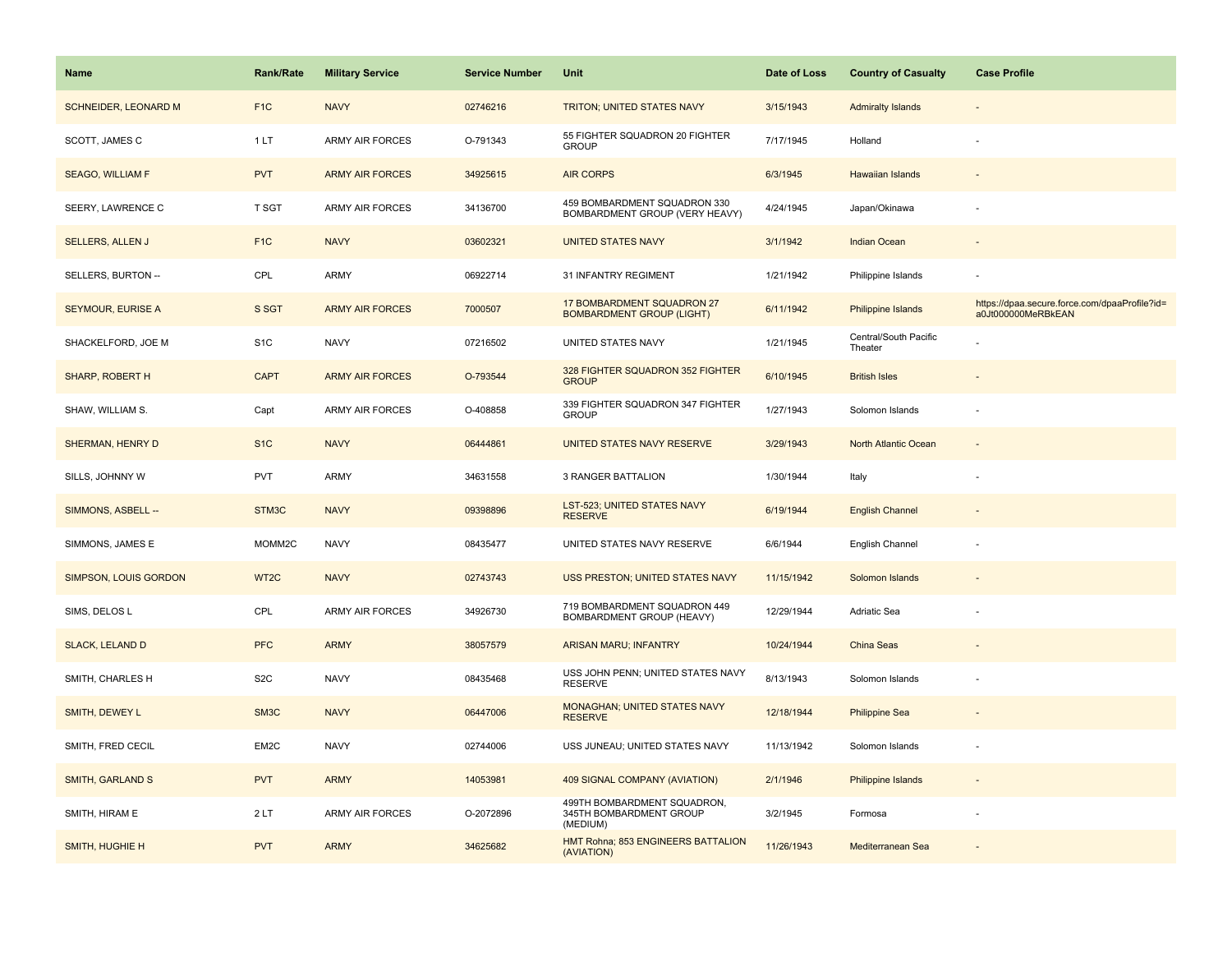| <b>Name</b>                 | <b>Rank/Rate</b>  | <b>Military Service</b> | <b>Service Number</b> | Unit                                                               | Date of Loss | <b>Country of Casualty</b>       | <b>Case Profile</b>                                                 |
|-----------------------------|-------------------|-------------------------|-----------------------|--------------------------------------------------------------------|--------------|----------------------------------|---------------------------------------------------------------------|
| <b>SCHNEIDER, LEONARD M</b> | F <sub>1</sub> C  | <b>NAVY</b>             | 02746216              | TRITON; UNITED STATES NAVY                                         | 3/15/1943    | <b>Admiralty Islands</b>         |                                                                     |
| SCOTT, JAMES C              | 1LT               | <b>ARMY AIR FORCES</b>  | O-791343              | 55 FIGHTER SQUADRON 20 FIGHTER<br><b>GROUP</b>                     | 7/17/1945    | Holland                          |                                                                     |
| <b>SEAGO, WILLIAM F</b>     | <b>PVT</b>        | <b>ARMY AIR FORCES</b>  | 34925615              | <b>AIR CORPS</b>                                                   | 6/3/1945     | Hawaiian Islands                 |                                                                     |
| SEERY, LAWRENCE C           | <b>T SGT</b>      | <b>ARMY AIR FORCES</b>  | 34136700              | 459 BOMBARDMENT SQUADRON 330<br>BOMBARDMENT GROUP (VERY HEAVY)     | 4/24/1945    | Japan/Okinawa                    |                                                                     |
| <b>SELLERS, ALLEN J</b>     | F <sub>1C</sub>   | <b>NAVY</b>             | 03602321              | <b>UNITED STATES NAVY</b>                                          | 3/1/1942     | <b>Indian Ocean</b>              |                                                                     |
| SELLERS, BURTON --          | CPL               | <b>ARMY</b>             | 06922714              | 31 INFANTRY REGIMENT                                               | 1/21/1942    | Philippine Islands               |                                                                     |
| <b>SEYMOUR, EURISE A</b>    | S SGT             | <b>ARMY AIR FORCES</b>  | 7000507               | 17 BOMBARDMENT SQUADRON 27<br><b>BOMBARDMENT GROUP (LIGHT)</b>     | 6/11/1942    | <b>Philippine Islands</b>        | https://dpaa.secure.force.com/dpaaProfile?id=<br>a0Jt000000MeRBkEAN |
| SHACKELFORD, JOE M          | S <sub>1</sub> C  | <b>NAVY</b>             | 07216502              | UNITED STATES NAVY                                                 | 1/21/1945    | Central/South Pacific<br>Theater |                                                                     |
| SHARP, ROBERT H             | <b>CAPT</b>       | <b>ARMY AIR FORCES</b>  | O-793544              | 328 FIGHTER SQUADRON 352 FIGHTER<br><b>GROUP</b>                   | 6/10/1945    | <b>British Isles</b>             |                                                                     |
| SHAW, WILLIAM S.            | Capt              | <b>ARMY AIR FORCES</b>  | O-408858              | 339 FIGHTER SQUADRON 347 FIGHTER<br><b>GROUP</b>                   | 1/27/1943    | Solomon Islands                  |                                                                     |
| SHERMAN, HENRY D            | S <sub>1</sub> C  | <b>NAVY</b>             | 06444861              | UNITED STATES NAVY RESERVE                                         | 3/29/1943    | North Atlantic Ocean             |                                                                     |
| SILLS, JOHNNY W             | <b>PVT</b>        | <b>ARMY</b>             | 34631558              | <b>3 RANGER BATTALION</b>                                          | 1/30/1944    | Italy                            |                                                                     |
| SIMMONS, ASBELL --          | STM3C             | <b>NAVY</b>             | 09398896              | LST-523; UNITED STATES NAVY<br><b>RESERVE</b>                      | 6/19/1944    | <b>English Channel</b>           |                                                                     |
| SIMMONS, JAMES E            | MOMM2C            | <b>NAVY</b>             | 08435477              | UNITED STATES NAVY RESERVE                                         | 6/6/1944     | English Channel                  |                                                                     |
| SIMPSON, LOUIS GORDON       | WT <sub>2</sub> C | <b>NAVY</b>             | 02743743              | USS PRESTON; UNITED STATES NAVY                                    | 11/15/1942   | Solomon Islands                  | $\sim$                                                              |
| SIMS, DELOS L               | CPL               | <b>ARMY AIR FORCES</b>  | 34926730              | 719 BOMBARDMENT SQUADRON 449<br>BOMBARDMENT GROUP (HEAVY)          | 12/29/1944   | <b>Adriatic Sea</b>              | $\sim$                                                              |
| <b>SLACK, LELAND D</b>      | <b>PFC</b>        | <b>ARMY</b>             | 38057579              | <b>ARISAN MARU; INFANTRY</b>                                       | 10/24/1944   | China Seas                       |                                                                     |
| SMITH, CHARLES H            | S <sub>2</sub> C  | <b>NAVY</b>             | 08435468              | USS JOHN PENN; UNITED STATES NAVY<br><b>RESERVE</b>                | 8/13/1943    | Solomon Islands                  |                                                                     |
| SMITH, DEWEY L              | SM3C              | <b>NAVY</b>             | 06447006              | MONAGHAN; UNITED STATES NAVY<br><b>RESERVE</b>                     | 12/18/1944   | <b>Philippine Sea</b>            |                                                                     |
| SMITH, FRED CECIL           | EM2C              | <b>NAVY</b>             | 02744006              | USS JUNEAU; UNITED STATES NAVY                                     | 11/13/1942   | Solomon Islands                  |                                                                     |
| <b>SMITH, GARLAND S</b>     | <b>PVT</b>        | <b>ARMY</b>             | 14053981              | 409 SIGNAL COMPANY (AVIATION)                                      | 2/1/1946     | <b>Philippine Islands</b>        |                                                                     |
| SMITH, HIRAM E              | 2LT               | <b>ARMY AIR FORCES</b>  | O-2072896             | 499TH BOMBARDMENT SQUADRON,<br>345TH BOMBARDMENT GROUP<br>(MEDIUM) | 3/2/1945     | Formosa                          |                                                                     |
| SMITH, HUGHIE H             | <b>PVT</b>        | <b>ARMY</b>             | 34625682              | HMT Rohna; 853 ENGINEERS BATTALION<br>(AVIATION)                   | 11/26/1943   | Mediterranean Sea                |                                                                     |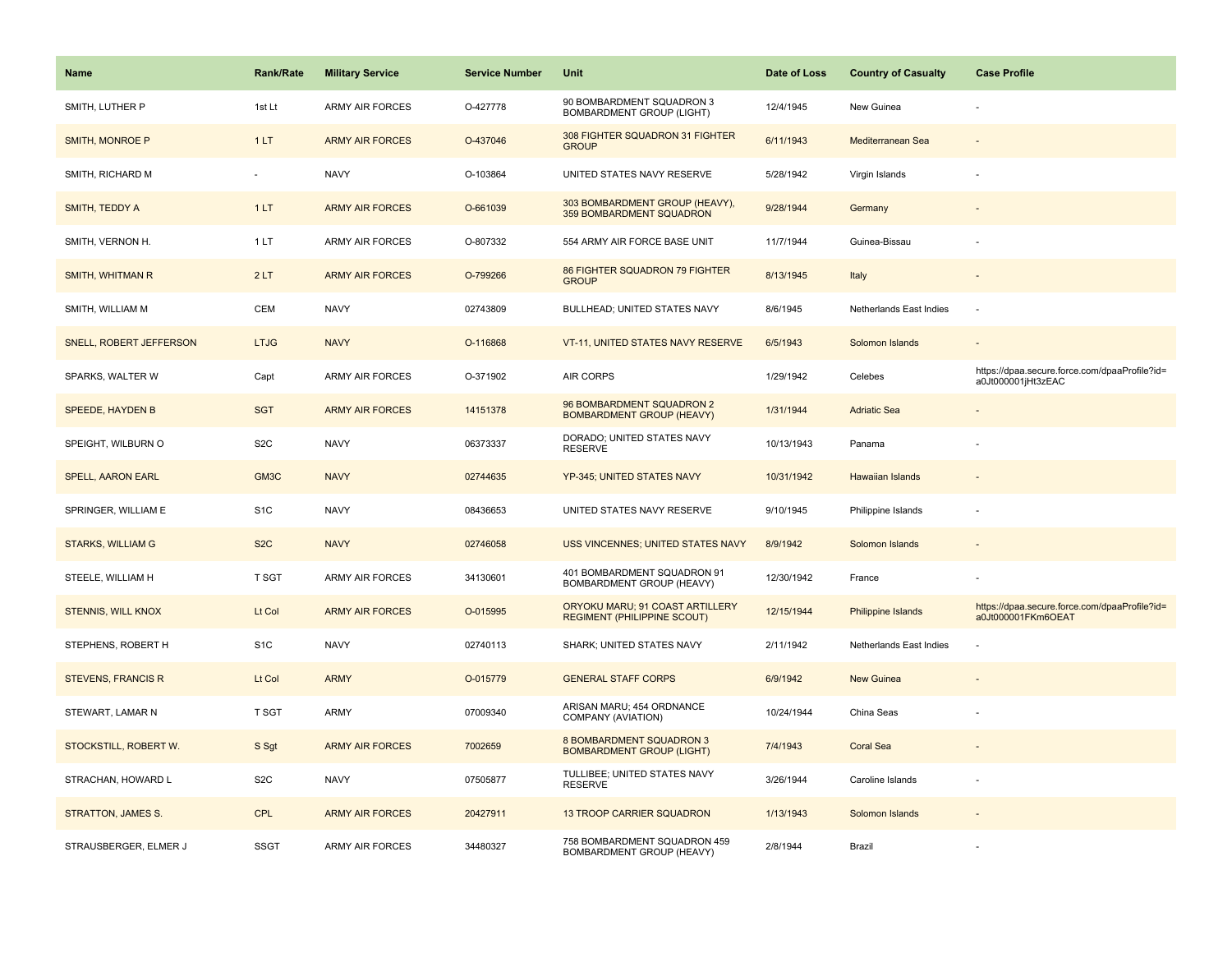| <b>Name</b>               | <b>Rank/Rate</b> | <b>Military Service</b> | <b>Service Number</b> | Unit                                                                  | Date of Loss | <b>Country of Casualty</b> | <b>Case Profile</b>                                                 |
|---------------------------|------------------|-------------------------|-----------------------|-----------------------------------------------------------------------|--------------|----------------------------|---------------------------------------------------------------------|
| SMITH, LUTHER P           | 1st Lt           | ARMY AIR FORCES         | O-427778              | 90 BOMBARDMENT SQUADRON 3<br>BOMBARDMENT GROUP (LIGHT)                | 12/4/1945    | New Guinea                 |                                                                     |
| SMITH, MONROE P           | 1LT              | <b>ARMY AIR FORCES</b>  | O-437046              | 308 FIGHTER SQUADRON 31 FIGHTER<br><b>GROUP</b>                       | 6/11/1943    | Mediterranean Sea          |                                                                     |
| SMITH, RICHARD M          |                  | <b>NAVY</b>             | O-103864              | UNITED STATES NAVY RESERVE                                            | 5/28/1942    | Virgin Islands             |                                                                     |
| SMITH, TEDDY A            | 1LT              | <b>ARMY AIR FORCES</b>  | O-661039              | 303 BOMBARDMENT GROUP (HEAVY),<br>359 BOMBARDMENT SQUADRON            | 9/28/1944    | Germany                    |                                                                     |
| SMITH, VERNON H.          | 1LT              | <b>ARMY AIR FORCES</b>  | O-807332              | 554 ARMY AIR FORCE BASE UNIT                                          | 11/7/1944    | Guinea-Bissau              |                                                                     |
| SMITH, WHITMAN R          | 2LT              | <b>ARMY AIR FORCES</b>  | O-799266              | 86 FIGHTER SQUADRON 79 FIGHTER<br><b>GROUP</b>                        | 8/13/1945    | Italy                      |                                                                     |
| SMITH, WILLIAM M          | CEM              | <b>NAVY</b>             | 02743809              | BULLHEAD; UNITED STATES NAVY                                          | 8/6/1945     | Netherlands East Indies    | $\sim$                                                              |
| SNELL, ROBERT JEFFERSON   | <b>LTJG</b>      | <b>NAVY</b>             | O-116868              | VT-11, UNITED STATES NAVY RESERVE                                     | 6/5/1943     | Solomon Islands            |                                                                     |
| SPARKS, WALTER W          | Capt             | ARMY AIR FORCES         | O-371902              | AIR CORPS                                                             | 1/29/1942    | Celebes                    | https://dpaa.secure.force.com/dpaaProfile?id=<br>a0Jt000001jHt3zEAC |
| SPEEDE, HAYDEN B          | <b>SGT</b>       | <b>ARMY AIR FORCES</b>  | 14151378              | 96 BOMBARDMENT SQUADRON 2<br><b>BOMBARDMENT GROUP (HEAVY)</b>         | 1/31/1944    | <b>Adriatic Sea</b>        |                                                                     |
| SPEIGHT, WILBURN O        | S <sub>2</sub> C | <b>NAVY</b>             | 06373337              | DORADO; UNITED STATES NAVY<br><b>RESERVE</b>                          | 10/13/1943   | Panama                     |                                                                     |
| <b>SPELL, AARON EARL</b>  | GM3C             | <b>NAVY</b>             | 02744635              | YP-345; UNITED STATES NAVY                                            | 10/31/1942   | Hawaiian Islands           |                                                                     |
| SPRINGER, WILLIAM E       | S <sub>1</sub> C | <b>NAVY</b>             | 08436653              | UNITED STATES NAVY RESERVE                                            | 9/10/1945    | Philippine Islands         |                                                                     |
| <b>STARKS, WILLIAM G</b>  | S <sub>2</sub> C | <b>NAVY</b>             | 02746058              | USS VINCENNES; UNITED STATES NAVY                                     | 8/9/1942     | Solomon Islands            |                                                                     |
| STEELE, WILLIAM H         | T SGT            | ARMY AIR FORCES         | 34130601              | 401 BOMBARDMENT SQUADRON 91<br>BOMBARDMENT GROUP (HEAVY)              | 12/30/1942   | France                     |                                                                     |
| STENNIS, WILL KNOX        | Lt Col           | <b>ARMY AIR FORCES</b>  | O-015995              | ORYOKU MARU; 91 COAST ARTILLERY<br><b>REGIMENT (PHILIPPINE SCOUT)</b> | 12/15/1944   | Philippine Islands         | https://dpaa.secure.force.com/dpaaProfile?id=<br>a0Jt000001FKm6OEAT |
| STEPHENS, ROBERT H        | S <sub>1</sub> C | <b>NAVY</b>             | 02740113              | SHARK; UNITED STATES NAVY                                             | 2/11/1942    | Netherlands East Indies    |                                                                     |
| <b>STEVENS, FRANCIS R</b> | Lt Col           | <b>ARMY</b>             | O-015779              | <b>GENERAL STAFF CORPS</b>                                            | 6/9/1942     | <b>New Guinea</b>          |                                                                     |
| STEWART, LAMAR N          | T SGT            | ARMY                    | 07009340              | ARISAN MARU; 454 ORDNANCE<br>COMPANY (AVIATION)                       | 10/24/1944   | China Seas                 |                                                                     |
| STOCKSTILL, ROBERT W.     | S Sgt            | <b>ARMY AIR FORCES</b>  | 7002659               | <b>8 BOMBARDMENT SQUADRON 3</b><br><b>BOMBARDMENT GROUP (LIGHT)</b>   | 7/4/1943     | <b>Coral Sea</b>           |                                                                     |
| STRACHAN, HOWARD L        | S <sub>2</sub> C | <b>NAVY</b>             | 07505877              | TULLIBEE; UNITED STATES NAVY<br><b>RESERVE</b>                        | 3/26/1944    | Caroline Islands           |                                                                     |
| <b>STRATTON, JAMES S.</b> | CPL              | <b>ARMY AIR FORCES</b>  | 20427911              | 13 TROOP CARRIER SQUADRON                                             | 1/13/1943    | Solomon Islands            |                                                                     |
| STRAUSBERGER, ELMER J     | <b>SSGT</b>      | ARMY AIR FORCES         | 34480327              | 758 BOMBARDMENT SQUADRON 459<br>BOMBARDMENT GROUP (HEAVY)             | 2/8/1944     | Brazil                     |                                                                     |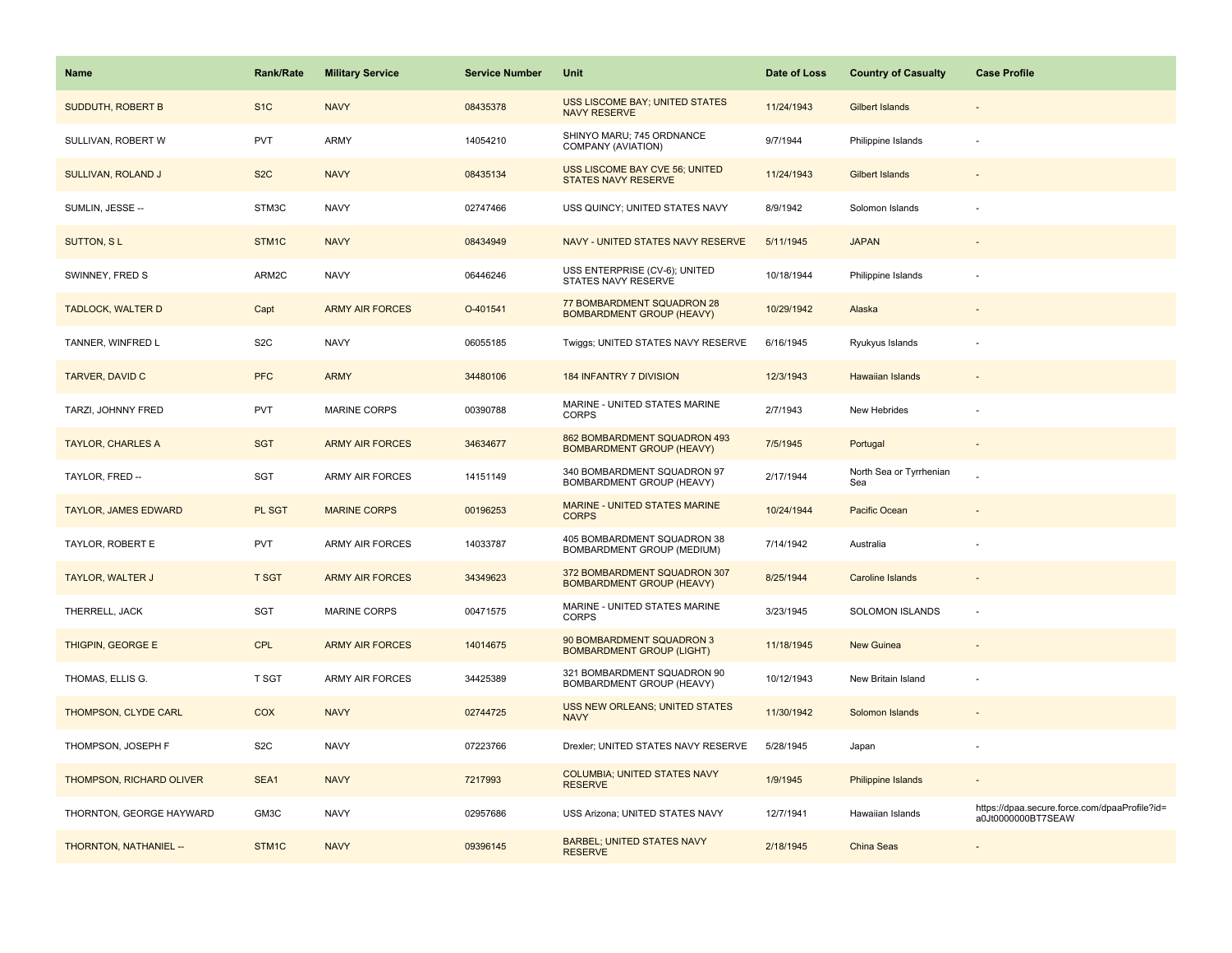| Name                            | <b>Rank/Rate</b>   | <b>Military Service</b> | <b>Service Number</b> | Unit                                                             | Date of Loss | <b>Country of Casualty</b>     | <b>Case Profile</b>                                                 |
|---------------------------------|--------------------|-------------------------|-----------------------|------------------------------------------------------------------|--------------|--------------------------------|---------------------------------------------------------------------|
| <b>SUDDUTH, ROBERT B</b>        | S <sub>1</sub> C   | <b>NAVY</b>             | 08435378              | USS LISCOME BAY; UNITED STATES<br><b>NAVY RESERVE</b>            | 11/24/1943   | <b>Gilbert Islands</b>         |                                                                     |
| SULLIVAN, ROBERT W              | <b>PVT</b>         | ARMY                    | 14054210              | SHINYO MARU; 745 ORDNANCE<br>COMPANY (AVIATION)                  | 9/7/1944     | Philippine Islands             |                                                                     |
| <b>SULLIVAN, ROLAND J</b>       | S <sub>2</sub> C   | <b>NAVY</b>             | 08435134              | USS LISCOME BAY CVE 56; UNITED<br><b>STATES NAVY RESERVE</b>     | 11/24/1943   | <b>Gilbert Islands</b>         |                                                                     |
| SUMLIN, JESSE --                | STM3C              | <b>NAVY</b>             | 02747466              | USS QUINCY; UNITED STATES NAVY                                   | 8/9/1942     | Solomon Islands                |                                                                     |
| <b>SUTTON, SL</b>               | STM <sub>1</sub> C | <b>NAVY</b>             | 08434949              | NAVY - UNITED STATES NAVY RESERVE                                | 5/11/1945    | <b>JAPAN</b>                   |                                                                     |
| SWINNEY, FRED S                 | ARM2C              | <b>NAVY</b>             | 06446246              | USS ENTERPRISE (CV-6); UNITED<br>STATES NAVY RESERVE             | 10/18/1944   | Philippine Islands             |                                                                     |
| <b>TADLOCK, WALTER D</b>        | Capt               | <b>ARMY AIR FORCES</b>  | O-401541              | 77 BOMBARDMENT SQUADRON 28<br><b>BOMBARDMENT GROUP (HEAVY)</b>   | 10/29/1942   | Alaska                         |                                                                     |
| TANNER, WINFRED L               | S <sub>2</sub> C   | <b>NAVY</b>             | 06055185              | Twiggs; UNITED STATES NAVY RESERVE                               | 6/16/1945    | Ryukyus Islands                |                                                                     |
| <b>TARVER, DAVID C</b>          | <b>PFC</b>         | <b>ARMY</b>             | 34480106              | <b>184 INFANTRY 7 DIVISION</b>                                   | 12/3/1943    | <b>Hawaiian Islands</b>        |                                                                     |
| TARZI, JOHNNY FRED              | PVT                | <b>MARINE CORPS</b>     | 00390788              | MARINE - UNITED STATES MARINE<br><b>CORPS</b>                    | 2/7/1943     | New Hebrides                   |                                                                     |
| <b>TAYLOR, CHARLES A</b>        | <b>SGT</b>         | <b>ARMY AIR FORCES</b>  | 34634677              | 862 BOMBARDMENT SQUADRON 493<br><b>BOMBARDMENT GROUP (HEAVY)</b> | 7/5/1945     | Portugal                       |                                                                     |
| TAYLOR, FRED --                 | SGT                | ARMY AIR FORCES         | 14151149              | 340 BOMBARDMENT SQUADRON 97<br>BOMBARDMENT GROUP (HEAVY)         | 2/17/1944    | North Sea or Tyrrhenian<br>Sea |                                                                     |
| <b>TAYLOR, JAMES EDWARD</b>     | PL SGT             | <b>MARINE CORPS</b>     | 00196253              | MARINE - UNITED STATES MARINE<br><b>CORPS</b>                    | 10/24/1944   | Pacific Ocean                  |                                                                     |
| TAYLOR, ROBERT E                | <b>PVT</b>         | <b>ARMY AIR FORCES</b>  | 14033787              | 405 BOMBARDMENT SQUADRON 38<br>BOMBARDMENT GROUP (MEDIUM)        | 7/14/1942    | Australia                      |                                                                     |
| <b>TAYLOR, WALTER J</b>         | <b>T SGT</b>       | <b>ARMY AIR FORCES</b>  | 34349623              | 372 BOMBARDMENT SQUADRON 307<br><b>BOMBARDMENT GROUP (HEAVY)</b> | 8/25/1944    | Caroline Islands               |                                                                     |
| THERRELL, JACK                  | SGT                | <b>MARINE CORPS</b>     | 00471575              | MARINE - UNITED STATES MARINE<br><b>CORPS</b>                    | 3/23/1945    | <b>SOLOMON ISLANDS</b>         | $\sim$                                                              |
| THIGPIN, GEORGE E               | <b>CPL</b>         | <b>ARMY AIR FORCES</b>  | 14014675              | 90 BOMBARDMENT SQUADRON 3<br><b>BOMBARDMENT GROUP (LIGHT)</b>    | 11/18/1945   | New Guinea                     |                                                                     |
| THOMAS, ELLIS G.                | <b>T SGT</b>       | ARMY AIR FORCES         | 34425389              | 321 BOMBARDMENT SQUADRON 90<br>BOMBARDMENT GROUP (HEAVY)         | 10/12/1943   | New Britain Island             |                                                                     |
| THOMPSON, CLYDE CARL            | <b>COX</b>         | <b>NAVY</b>             | 02744725              | USS NEW ORLEANS; UNITED STATES<br><b>NAVY</b>                    | 11/30/1942   | Solomon Islands                |                                                                     |
| THOMPSON, JOSEPH F              | S <sub>2</sub> C   | <b>NAVY</b>             | 07223766              | Drexler; UNITED STATES NAVY RESERVE                              | 5/28/1945    | Japan                          |                                                                     |
| <b>THOMPSON, RICHARD OLIVER</b> | SEA1               | <b>NAVY</b>             | 7217993               | <b>COLUMBIA: UNITED STATES NAVY</b><br><b>RESERVE</b>            | 1/9/1945     | Philippine Islands             |                                                                     |
| THORNTON, GEORGE HAYWARD        | GM3C               | <b>NAVY</b>             | 02957686              | USS Arizona; UNITED STATES NAVY                                  | 12/7/1941    | Hawaiian Islands               | https://dpaa.secure.force.com/dpaaProfile?id=<br>a0Jt0000000BT7SEAW |
| THORNTON, NATHANIEL --          | STM1C              | <b>NAVY</b>             | 09396145              | <b>BARBEL; UNITED STATES NAVY</b><br><b>RESERVE</b>              | 2/18/1945    | China Seas                     |                                                                     |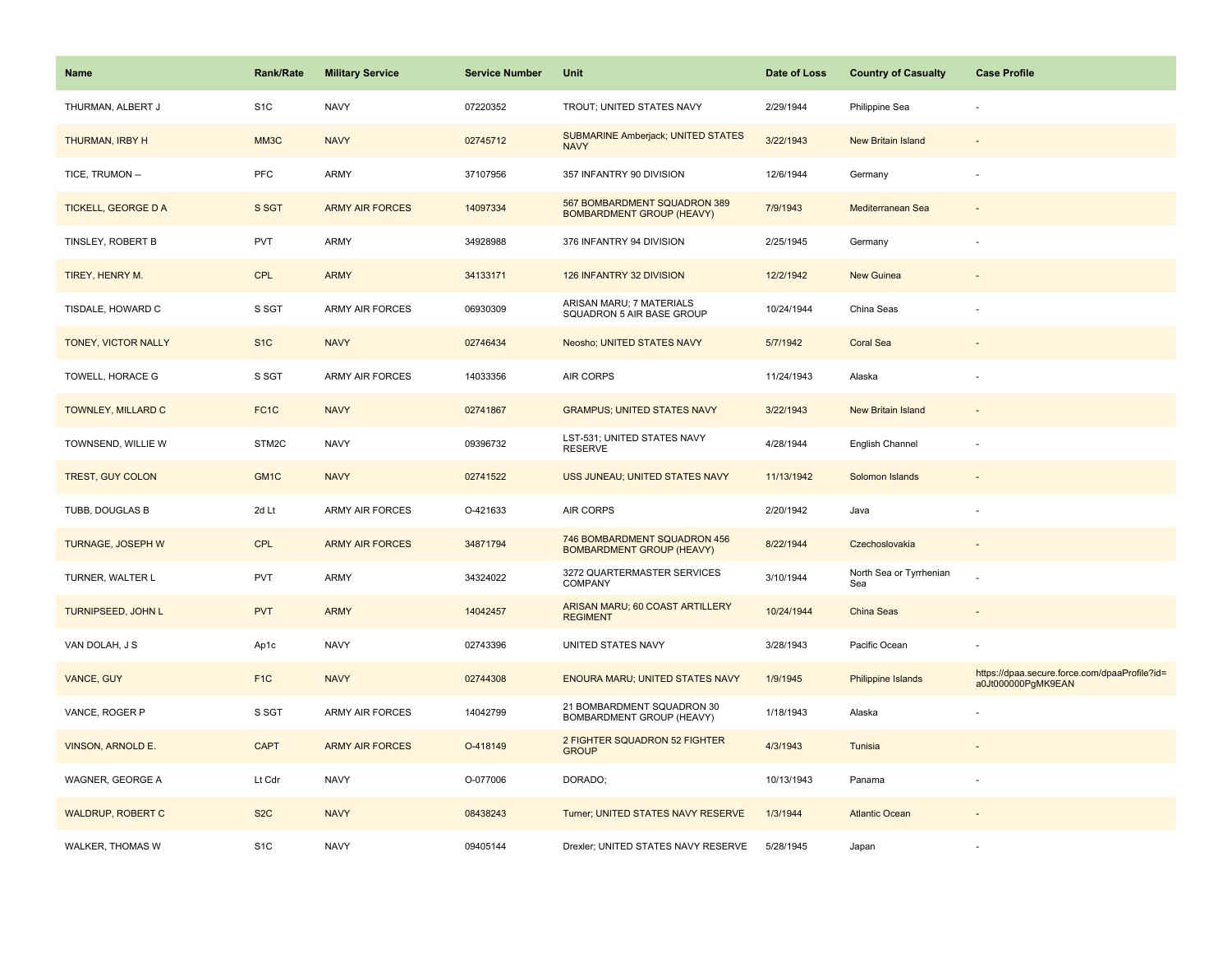| Name                       | <b>Rank/Rate</b>  | <b>Military Service</b> | <b>Service Number</b> | Unit                                                             | Date of Loss | <b>Country of Casualty</b>     | <b>Case Profile</b>                                                 |
|----------------------------|-------------------|-------------------------|-----------------------|------------------------------------------------------------------|--------------|--------------------------------|---------------------------------------------------------------------|
| THURMAN, ALBERT J          | S <sub>1</sub> C  | <b>NAVY</b>             | 07220352              | TROUT; UNITED STATES NAVY                                        | 2/29/1944    | Philippine Sea                 |                                                                     |
| THURMAN, IRBY H            | MM3C              | <b>NAVY</b>             | 02745712              | SUBMARINE Amberjack; UNITED STATES<br><b>NAVY</b>                | 3/22/1943    | <b>New Britain Island</b>      |                                                                     |
| TICE, TRUMON --            | <b>PFC</b>        | <b>ARMY</b>             | 37107956              | 357 INFANTRY 90 DIVISION                                         | 12/6/1944    | Germany                        |                                                                     |
| <b>TICKELL, GEORGE D A</b> | S SGT             | <b>ARMY AIR FORCES</b>  | 14097334              | 567 BOMBARDMENT SQUADRON 389<br><b>BOMBARDMENT GROUP (HEAVY)</b> | 7/9/1943     | Mediterranean Sea              |                                                                     |
| TINSLEY, ROBERT B          | <b>PVT</b>        | <b>ARMY</b>             | 34928988              | 376 INFANTRY 94 DIVISION                                         | 2/25/1945    | Germany                        |                                                                     |
| TIREY, HENRY M.            | <b>CPL</b>        | <b>ARMY</b>             | 34133171              | 126 INFANTRY 32 DIVISION                                         | 12/2/1942    | <b>New Guinea</b>              |                                                                     |
| TISDALE, HOWARD C          | S SGT             | ARMY AIR FORCES         | 06930309              | ARISAN MARU; 7 MATERIALS<br>SQUADRON 5 AIR BASE GROUP            | 10/24/1944   | China Seas                     |                                                                     |
| TONEY, VICTOR NALLY        | S <sub>1</sub> C  | <b>NAVY</b>             | 02746434              | Neosho; UNITED STATES NAVY                                       | 5/7/1942     | <b>Coral Sea</b>               |                                                                     |
| TOWELL, HORACE G           | S SGT             | <b>ARMY AIR FORCES</b>  | 14033356              | AIR CORPS                                                        | 11/24/1943   | Alaska                         |                                                                     |
| TOWNLEY, MILLARD C         | FC <sub>1</sub> C | <b>NAVY</b>             | 02741867              | <b>GRAMPUS; UNITED STATES NAVY</b>                               | 3/22/1943    | <b>New Britain Island</b>      |                                                                     |
| TOWNSEND, WILLIE W         | STM2C             | <b>NAVY</b>             | 09396732              | LST-531; UNITED STATES NAVY<br><b>RESERVE</b>                    | 4/28/1944    | English Channel                |                                                                     |
| TREST, GUY COLON           | GM1C              | <b>NAVY</b>             | 02741522              | USS JUNEAU; UNITED STATES NAVY                                   | 11/13/1942   | Solomon Islands                |                                                                     |
| TUBB, DOUGLAS B            | 2d Lt             | <b>ARMY AIR FORCES</b>  | O-421633              | AIR CORPS                                                        | 2/20/1942    | Java                           |                                                                     |
| <b>TURNAGE, JOSEPH W</b>   | <b>CPL</b>        | <b>ARMY AIR FORCES</b>  | 34871794              | 746 BOMBARDMENT SQUADRON 456<br><b>BOMBARDMENT GROUP (HEAVY)</b> | 8/22/1944    | Czechoslovakia                 | $\sim$                                                              |
| TURNER, WALTER L           | <b>PVT</b>        | <b>ARMY</b>             | 34324022              | 3272 QUARTERMASTER SERVICES<br>COMPANY                           | 3/10/1944    | North Sea or Tyrrhenian<br>Sea |                                                                     |
| <b>TURNIPSEED, JOHN L</b>  | <b>PVT</b>        | <b>ARMY</b>             | 14042457              | ARISAN MARU; 60 COAST ARTILLERY<br><b>REGIMENT</b>               | 10/24/1944   | China Seas                     |                                                                     |
| VAN DOLAH, J S             | Ap1c              | <b>NAVY</b>             | 02743396              | UNITED STATES NAVY                                               | 3/28/1943    | Pacific Ocean                  |                                                                     |
| VANCE, GUY                 | F <sub>1</sub> C  | <b>NAVY</b>             | 02744308              | <b>ENOURA MARU; UNITED STATES NAVY</b>                           | 1/9/1945     | Philippine Islands             | https://dpaa.secure.force.com/dpaaProfile?id=<br>a0Jt000000PgMK9EAN |
| VANCE, ROGER P             | S SGT             | <b>ARMY AIR FORCES</b>  | 14042799              | 21 BOMBARDMENT SQUADRON 30<br>BOMBARDMENT GROUP (HEAVY)          | 1/18/1943    | Alaska                         |                                                                     |
| <b>VINSON, ARNOLD E.</b>   | <b>CAPT</b>       | <b>ARMY AIR FORCES</b>  | O-418149              | 2 FIGHTER SQUADRON 52 FIGHTER<br><b>GROUP</b>                    | 4/3/1943     | Tunisia                        |                                                                     |
| WAGNER, GEORGE A           | Lt Cdr            | <b>NAVY</b>             | O-077006              | DORADO;                                                          | 10/13/1943   | Panama                         |                                                                     |
| WALDRUP, ROBERT C          | S <sub>2</sub> C  | <b>NAVY</b>             | 08438243              | Turner; UNITED STATES NAVY RESERVE                               | 1/3/1944     | <b>Atlantic Ocean</b>          |                                                                     |
| WALKER, THOMAS W           | S <sub>1</sub> C  | <b>NAVY</b>             | 09405144              | Drexler; UNITED STATES NAVY RESERVE                              | 5/28/1945    | Japan                          |                                                                     |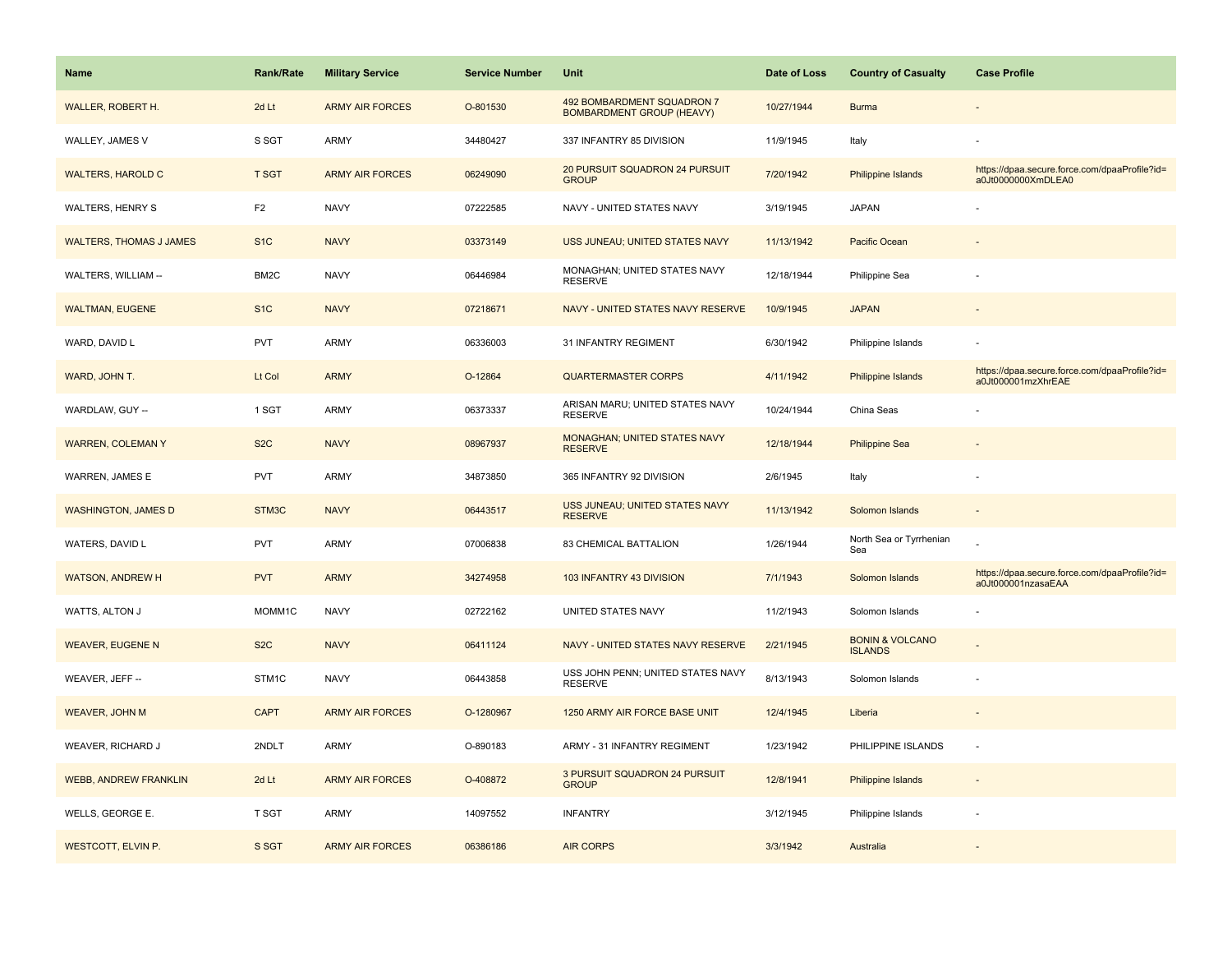| Name                           | Rank/Rate         | <b>Military Service</b> | <b>Service Number</b> | Unit                                                           | Date of Loss | <b>Country of Casualty</b>                   | <b>Case Profile</b>                                                 |
|--------------------------------|-------------------|-------------------------|-----------------------|----------------------------------------------------------------|--------------|----------------------------------------------|---------------------------------------------------------------------|
| WALLER, ROBERT H.              | 2d Lt             | <b>ARMY AIR FORCES</b>  | O-801530              | 492 BOMBARDMENT SQUADRON 7<br><b>BOMBARDMENT GROUP (HEAVY)</b> | 10/27/1944   | <b>Burma</b>                                 |                                                                     |
| WALLEY, JAMES V                | S SGT             | ARMY                    | 34480427              | 337 INFANTRY 85 DIVISION                                       | 11/9/1945    | Italy                                        |                                                                     |
| <b>WALTERS, HAROLD C</b>       | <b>T SGT</b>      | <b>ARMY AIR FORCES</b>  | 06249090              | 20 PURSUIT SQUADRON 24 PURSUIT<br><b>GROUP</b>                 | 7/20/1942    | Philippine Islands                           | https://dpaa.secure.force.com/dpaaProfile?id=<br>a0Jt0000000XmDLEA0 |
| <b>WALTERS, HENRY S</b>        | F <sub>2</sub>    | <b>NAVY</b>             | 07222585              | NAVY - UNITED STATES NAVY                                      | 3/19/1945    | <b>JAPAN</b>                                 |                                                                     |
| <b>WALTERS, THOMAS J JAMES</b> | S <sub>1</sub> C  | <b>NAVY</b>             | 03373149              | USS JUNEAU; UNITED STATES NAVY                                 | 11/13/1942   | Pacific Ocean                                |                                                                     |
| WALTERS, WILLIAM --            | BM <sub>2</sub> C | <b>NAVY</b>             | 06446984              | MONAGHAN; UNITED STATES NAVY<br><b>RESERVE</b>                 | 12/18/1944   | Philippine Sea                               |                                                                     |
| <b>WALTMAN, EUGENE</b>         | S <sub>1</sub> C  | <b>NAVY</b>             | 07218671              | NAVY - UNITED STATES NAVY RESERVE                              | 10/9/1945    | <b>JAPAN</b>                                 | $\sim$                                                              |
| WARD, DAVID L                  | PVT               | ARMY                    | 06336003              | 31 INFANTRY REGIMENT                                           | 6/30/1942    | Philippine Islands                           |                                                                     |
| WARD, JOHN T.                  | Lt Col            | <b>ARMY</b>             | O-12864               | <b>QUARTERMASTER CORPS</b>                                     | 4/11/1942    | Philippine Islands                           | https://dpaa.secure.force.com/dpaaProfile?id=<br>a0Jt000001mzXhrEAE |
| WARDLAW, GUY --                | 1 SGT             | ARMY                    | 06373337              | ARISAN MARU; UNITED STATES NAVY<br><b>RESERVE</b>              | 10/24/1944   | China Seas                                   |                                                                     |
| <b>WARREN, COLEMAN Y</b>       | S <sub>2</sub> C  | <b>NAVY</b>             | 08967937              | MONAGHAN; UNITED STATES NAVY<br><b>RESERVE</b>                 | 12/18/1944   | <b>Philippine Sea</b>                        |                                                                     |
| WARREN, JAMES E                | <b>PVT</b>        | <b>ARMY</b>             | 34873850              | 365 INFANTRY 92 DIVISION                                       | 2/6/1945     | Italy                                        |                                                                     |
| <b>WASHINGTON, JAMES D</b>     | STM3C             | <b>NAVY</b>             | 06443517              | USS JUNEAU; UNITED STATES NAVY<br><b>RESERVE</b>               | 11/13/1942   | Solomon Islands                              |                                                                     |
| WATERS, DAVID L                | <b>PVT</b>        | <b>ARMY</b>             | 07006838              | 83 CHEMICAL BATTALION                                          | 1/26/1944    | North Sea or Tyrrhenian<br>Sea               |                                                                     |
| <b>WATSON, ANDREW H</b>        | <b>PVT</b>        | <b>ARMY</b>             | 34274958              | 103 INFANTRY 43 DIVISION                                       | 7/1/1943     | Solomon Islands                              | https://dpaa.secure.force.com/dpaaProfile?id=<br>a0Jt000001nzasaEAA |
| WATTS, ALTON J                 | MOMM1C            | <b>NAVY</b>             | 02722162              | UNITED STATES NAVY                                             | 11/2/1943    | Solomon Islands                              |                                                                     |
| <b>WEAVER, EUGENE N</b>        | S <sub>2</sub> C  | <b>NAVY</b>             | 06411124              | NAVY - UNITED STATES NAVY RESERVE                              | 2/21/1945    | <b>BONIN &amp; VOLCANO</b><br><b>ISLANDS</b> |                                                                     |
| WEAVER, JEFF --                | STM1C             | <b>NAVY</b>             | 06443858              | USS JOHN PENN; UNITED STATES NAVY<br><b>RESERVE</b>            | 8/13/1943    | Solomon Islands                              |                                                                     |
| <b>WEAVER, JOHN M</b>          | <b>CAPT</b>       | <b>ARMY AIR FORCES</b>  | O-1280967             | 1250 ARMY AIR FORCE BASE UNIT                                  | 12/4/1945    | Liberia                                      |                                                                     |
| WEAVER, RICHARD J              | 2NDLT             | <b>ARMY</b>             | O-890183              | ARMY - 31 INFANTRY REGIMENT                                    | 1/23/1942    | PHILIPPINE ISLANDS                           | ÷,                                                                  |
| <b>WEBB, ANDREW FRANKLIN</b>   | 2d Lt             | <b>ARMY AIR FORCES</b>  | O-408872              | 3 PURSUIT SQUADRON 24 PURSUIT<br><b>GROUP</b>                  | 12/8/1941    | <b>Philippine Islands</b>                    | $\sim$                                                              |
| WELLS, GEORGE E.               | <b>T SGT</b>      | <b>ARMY</b>             | 14097552              | <b>INFANTRY</b>                                                | 3/12/1945    | Philippine Islands                           |                                                                     |
| <b>WESTCOTT, ELVIN P.</b>      | S SGT             | <b>ARMY AIR FORCES</b>  | 06386186              | <b>AIR CORPS</b>                                               | 3/3/1942     | Australia                                    |                                                                     |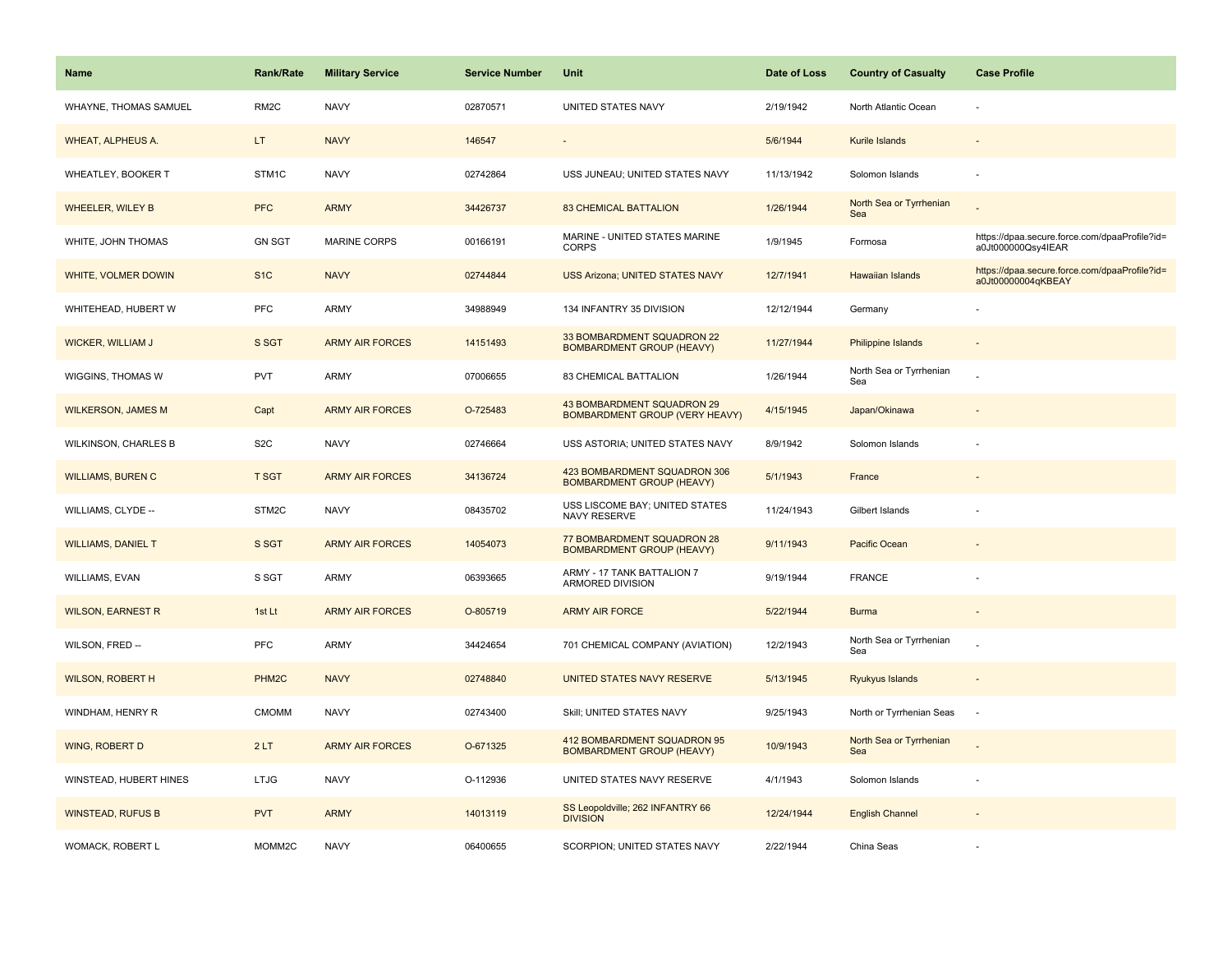| <b>Name</b>                 | <b>Rank/Rate</b>  | <b>Military Service</b> | <b>Service Number</b> | Unit                                                                | Date of Loss | <b>Country of Casualty</b>     | <b>Case Profile</b>                                                 |
|-----------------------------|-------------------|-------------------------|-----------------------|---------------------------------------------------------------------|--------------|--------------------------------|---------------------------------------------------------------------|
| WHAYNE, THOMAS SAMUEL       | RM <sub>2</sub> C | <b>NAVY</b>             | 02870571              | UNITED STATES NAVY                                                  | 2/19/1942    | North Atlantic Ocean           |                                                                     |
| WHEAT, ALPHEUS A.           | LT.               | <b>NAVY</b>             | 146547                |                                                                     | 5/6/1944     | Kurile Islands                 |                                                                     |
| WHEATLEY, BOOKER T          | STM1C             | <b>NAVY</b>             | 02742864              | USS JUNEAU; UNITED STATES NAVY                                      | 11/13/1942   | Solomon Islands                |                                                                     |
| <b>WHEELER, WILEY B</b>     | <b>PFC</b>        | <b>ARMY</b>             | 34426737              | <b>83 CHEMICAL BATTALION</b>                                        | 1/26/1944    | North Sea or Tyrrhenian<br>Sea |                                                                     |
| WHITE, JOHN THOMAS          | <b>GN SGT</b>     | <b>MARINE CORPS</b>     | 00166191              | MARINE - UNITED STATES MARINE<br><b>CORPS</b>                       | 1/9/1945     | Formosa                        | https://dpaa.secure.force.com/dpaaProfile?id=<br>a0Jt000000Qsy4IEAR |
| WHITE, VOLMER DOWIN         | S <sub>1</sub> C  | <b>NAVY</b>             | 02744844              | <b>USS Arizona; UNITED STATES NAVY</b>                              | 12/7/1941    | <b>Hawaiian Islands</b>        | https://dpaa.secure.force.com/dpaaProfile?id=<br>a0Jt00000004qKBEAY |
| WHITEHEAD, HUBERT W         | PFC               | ARMY                    | 34988949              | 134 INFANTRY 35 DIVISION                                            | 12/12/1944   | Germany                        |                                                                     |
| <b>WICKER, WILLIAM J</b>    | S SGT             | <b>ARMY AIR FORCES</b>  | 14151493              | 33 BOMBARDMENT SQUADRON 22<br><b>BOMBARDMENT GROUP (HEAVY)</b>      | 11/27/1944   | <b>Philippine Islands</b>      |                                                                     |
| WIGGINS, THOMAS W           | <b>PVT</b>        | ARMY                    | 07006655              | 83 CHEMICAL BATTALION                                               | 1/26/1944    | North Sea or Tyrrhenian<br>Sea |                                                                     |
| <b>WILKERSON, JAMES M</b>   | Capt              | <b>ARMY AIR FORCES</b>  | O-725483              | 43 BOMBARDMENT SQUADRON 29<br><b>BOMBARDMENT GROUP (VERY HEAVY)</b> | 4/15/1945    | Japan/Okinawa                  |                                                                     |
| <b>WILKINSON, CHARLES B</b> | S <sub>2</sub> C  | <b>NAVY</b>             | 02746664              | USS ASTORIA; UNITED STATES NAVY                                     | 8/9/1942     | Solomon Islands                |                                                                     |
| <b>WILLIAMS, BUREN C</b>    | <b>T SGT</b>      | <b>ARMY AIR FORCES</b>  | 34136724              | 423 BOMBARDMENT SQUADRON 306<br><b>BOMBARDMENT GROUP (HEAVY)</b>    | 5/1/1943     | France                         |                                                                     |
| WILLIAMS, CLYDE --          | STM2C             | <b>NAVY</b>             | 08435702              | USS LISCOME BAY; UNITED STATES<br>NAVY RESERVE                      | 11/24/1943   | Gilbert Islands                |                                                                     |
| <b>WILLIAMS, DANIEL T</b>   | S SGT             | <b>ARMY AIR FORCES</b>  | 14054073              | 77 BOMBARDMENT SQUADRON 28<br><b>BOMBARDMENT GROUP (HEAVY)</b>      | 9/11/1943    | Pacific Ocean                  |                                                                     |
| <b>WILLIAMS, EVAN</b>       | S SGT             | ARMY                    | 06393665              | ARMY - 17 TANK BATTALION 7<br>ARMORED DIVISION                      | 9/19/1944    | <b>FRANCE</b>                  |                                                                     |
| <b>WILSON, EARNEST R</b>    | 1st Lt            | <b>ARMY AIR FORCES</b>  | O-805719              | <b>ARMY AIR FORCE</b>                                               | 5/22/1944    | <b>Burma</b>                   |                                                                     |
| WILSON, FRED --             | <b>PFC</b>        | <b>ARMY</b>             | 34424654              | 701 CHEMICAL COMPANY (AVIATION)                                     | 12/2/1943    | North Sea or Tyrrhenian<br>Sea |                                                                     |
| <b>WILSON, ROBERT H</b>     | PHM <sub>2C</sub> | <b>NAVY</b>             | 02748840              | UNITED STATES NAVY RESERVE                                          | 5/13/1945    | Ryukyus Islands                |                                                                     |
| WINDHAM, HENRY R            | <b>CMOMM</b>      | <b>NAVY</b>             | 02743400              | Skill; UNITED STATES NAVY                                           | 9/25/1943    | North or Tyrrhenian Seas       | $\sim$                                                              |
| WING, ROBERT D              | 2LT               | <b>ARMY AIR FORCES</b>  | O-671325              | 412 BOMBARDMENT SQUADRON 95<br><b>BOMBARDMENT GROUP (HEAVY)</b>     | 10/9/1943    | North Sea or Tyrrhenian<br>Sea |                                                                     |
| WINSTEAD, HUBERT HINES      | <b>LTJG</b>       | <b>NAVY</b>             | O-112936              | UNITED STATES NAVY RESERVE                                          | 4/1/1943     | Solomon Islands                |                                                                     |
| <b>WINSTEAD, RUFUS B</b>    | <b>PVT</b>        | <b>ARMY</b>             | 14013119              | SS Leopoldville; 262 INFANTRY 66<br><b>DIVISION</b>                 | 12/24/1944   | <b>English Channel</b>         |                                                                     |
| <b>WOMACK, ROBERT L</b>     | MOMM2C            | <b>NAVY</b>             | 06400655              | SCORPION; UNITED STATES NAVY                                        | 2/22/1944    | China Seas                     |                                                                     |